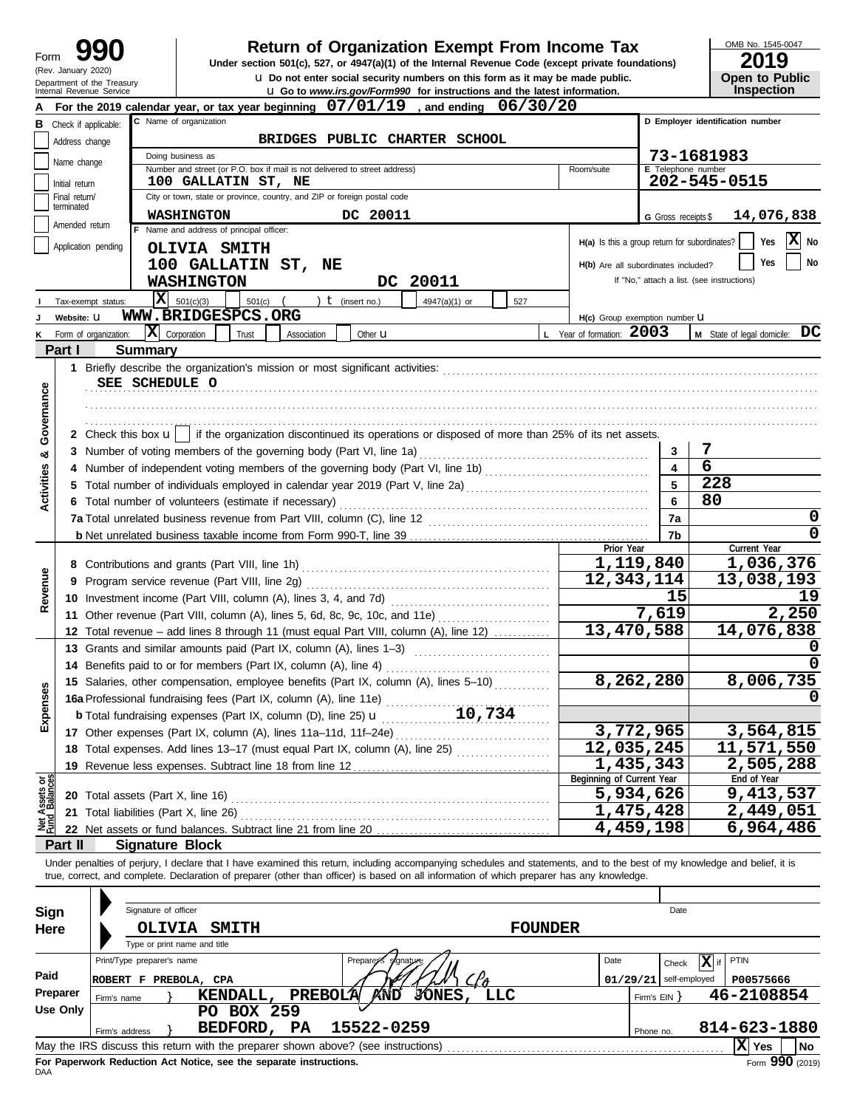| Form                           | (Rev. January 2020)                                                                                                          |                                                        | <b>Return of Organization Exempt From Income Tax</b><br>Under section 501(c), 527, or 4947(a)(1) of the Internal Revenue Code (except private foundations)                                                                                                                                                               |                                               | OMB No. 1545-0047<br>2019                  |  |  |  |  |  |  |
|--------------------------------|------------------------------------------------------------------------------------------------------------------------------|--------------------------------------------------------|--------------------------------------------------------------------------------------------------------------------------------------------------------------------------------------------------------------------------------------------------------------------------------------------------------------------------|-----------------------------------------------|--------------------------------------------|--|--|--|--|--|--|
|                                |                                                                                                                              | Department of the Treasury<br>Internal Revenue Service | <b>u</b> Do not enter social security numbers on this form as it may be made public.<br><b>u</b> Go to www.irs.gov/Form990 for instructions and the latest information.                                                                                                                                                  |                                               | <b>Open to Public</b><br><b>Inspection</b> |  |  |  |  |  |  |
|                                |                                                                                                                              |                                                        | For the 2019 calendar year, or tax year beginning 07/01/19, and ending 06/30/20                                                                                                                                                                                                                                          |                                               |                                            |  |  |  |  |  |  |
| в                              |                                                                                                                              | Check if applicable:                                   | C Name of organization                                                                                                                                                                                                                                                                                                   |                                               | D Employer identification number           |  |  |  |  |  |  |
|                                | Address change                                                                                                               |                                                        | BRIDGES PUBLIC CHARTER SCHOOL                                                                                                                                                                                                                                                                                            |                                               |                                            |  |  |  |  |  |  |
|                                | Name change                                                                                                                  |                                                        | Doing business as                                                                                                                                                                                                                                                                                                        |                                               | 73-1681983                                 |  |  |  |  |  |  |
|                                |                                                                                                                              |                                                        | Number and street (or P.O. box if mail is not delivered to street address)<br>Room/suite                                                                                                                                                                                                                                 | E Telephone number                            |                                            |  |  |  |  |  |  |
|                                | Initial return                                                                                                               |                                                        | 100 GALLATIN ST, NE                                                                                                                                                                                                                                                                                                      |                                               | 202-545-0515                               |  |  |  |  |  |  |
|                                | City or town, state or province, country, and ZIP or foreign postal code<br>Final return/<br>terminated<br><b>WASHINGTON</b> |                                                        |                                                                                                                                                                                                                                                                                                                          |                                               |                                            |  |  |  |  |  |  |
|                                | Amended return                                                                                                               |                                                        | DC 20011<br>F Name and address of principal officer:                                                                                                                                                                                                                                                                     | G Gross receipts \$                           | 14,076,838                                 |  |  |  |  |  |  |
|                                |                                                                                                                              | Application pending                                    | OLIVIA SMITH                                                                                                                                                                                                                                                                                                             | H(a) Is this a group return for subordinates? | $ \mathbf{X} $ No<br>Yes                   |  |  |  |  |  |  |
|                                |                                                                                                                              |                                                        | 100 GALLATIN ST, NE                                                                                                                                                                                                                                                                                                      | H(b) Are all subordinates included?           | No<br>Yes                                  |  |  |  |  |  |  |
|                                |                                                                                                                              |                                                        | DC 20011<br><b>WASHINGTON</b>                                                                                                                                                                                                                                                                                            | If "No," attach a list. (see instructions)    |                                            |  |  |  |  |  |  |
|                                |                                                                                                                              |                                                        | $ \mathbf{X} $ 501(c)(3)                                                                                                                                                                                                                                                                                                 |                                               |                                            |  |  |  |  |  |  |
|                                |                                                                                                                              | Tax-exempt status:                                     | $501(c)$ (<br>) $t$ (insert no.)<br>4947(a)(1) or<br>527<br><b>WWW.BRIDGESPCS.ORG</b>                                                                                                                                                                                                                                    |                                               |                                            |  |  |  |  |  |  |
|                                | Website: U                                                                                                                   | $ \mathbf{X} $ Corporation                             | L Year of formation: 2003                                                                                                                                                                                                                                                                                                | H(c) Group exemption number U                 | M State of legal domicile: DC              |  |  |  |  |  |  |
| κ                              | Part I                                                                                                                       | Form of organization:<br><b>Summary</b>                | Trust<br>Association<br>Other <b>u</b>                                                                                                                                                                                                                                                                                   |                                               |                                            |  |  |  |  |  |  |
|                                |                                                                                                                              |                                                        |                                                                                                                                                                                                                                                                                                                          |                                               |                                            |  |  |  |  |  |  |
|                                | $\mathbf 1$                                                                                                                  | SEE SCHEDULE O                                         |                                                                                                                                                                                                                                                                                                                          |                                               |                                            |  |  |  |  |  |  |
| Governance                     |                                                                                                                              |                                                        |                                                                                                                                                                                                                                                                                                                          |                                               |                                            |  |  |  |  |  |  |
|                                |                                                                                                                              |                                                        |                                                                                                                                                                                                                                                                                                                          |                                               |                                            |  |  |  |  |  |  |
|                                |                                                                                                                              |                                                        |                                                                                                                                                                                                                                                                                                                          |                                               |                                            |  |  |  |  |  |  |
|                                |                                                                                                                              |                                                        | 2 Check this box $\mathbf{u}$   if the organization discontinued its operations or disposed of more than 25% of its net assets.                                                                                                                                                                                          |                                               |                                            |  |  |  |  |  |  |
| త                              |                                                                                                                              |                                                        | 3 Number of voting members of the governing body (Part VI, line 1a)                                                                                                                                                                                                                                                      | 3                                             | 7                                          |  |  |  |  |  |  |
|                                |                                                                                                                              |                                                        |                                                                                                                                                                                                                                                                                                                          | $\overline{\mathbf{4}}$                       | $\overline{6}$                             |  |  |  |  |  |  |
| <b>Activities</b>              |                                                                                                                              |                                                        | 5                                                                                                                                                                                                                                                                                                                        | 228                                           |                                            |  |  |  |  |  |  |
|                                |                                                                                                                              | 6 Total number of volunteers (estimate if necessary)   | 6                                                                                                                                                                                                                                                                                                                        | 80                                            |                                            |  |  |  |  |  |  |
|                                |                                                                                                                              |                                                        | 7a                                                                                                                                                                                                                                                                                                                       | 0                                             |                                            |  |  |  |  |  |  |
|                                |                                                                                                                              |                                                        |                                                                                                                                                                                                                                                                                                                          | 7b                                            | $\mathbf 0$                                |  |  |  |  |  |  |
|                                |                                                                                                                              |                                                        | Prior Year                                                                                                                                                                                                                                                                                                               |                                               | Current Year                               |  |  |  |  |  |  |
|                                |                                                                                                                              |                                                        |                                                                                                                                                                                                                                                                                                                          | 1,119,840                                     | 1,036,376                                  |  |  |  |  |  |  |
|                                |                                                                                                                              |                                                        |                                                                                                                                                                                                                                                                                                                          | 12,343,114                                    | 13,038,193                                 |  |  |  |  |  |  |
| Revenue                        |                                                                                                                              |                                                        |                                                                                                                                                                                                                                                                                                                          | 15                                            | 19                                         |  |  |  |  |  |  |
|                                |                                                                                                                              |                                                        | 11 Other revenue (Part VIII, column (A), lines 5, 6d, 8c, 9c, 10c, and 11e)                                                                                                                                                                                                                                              | 7,619                                         | 2,250                                      |  |  |  |  |  |  |
|                                |                                                                                                                              |                                                        | 12 Total revenue - add lines 8 through 11 (must equal Part VIII, column (A), line 12)                                                                                                                                                                                                                                    | 13,470,588                                    | 14,076,838                                 |  |  |  |  |  |  |
|                                |                                                                                                                              |                                                        | 13 Grants and similar amounts paid (Part IX, column (A), lines 1-3)                                                                                                                                                                                                                                                      |                                               | 0                                          |  |  |  |  |  |  |
|                                |                                                                                                                              |                                                        | 14 Benefits paid to or for members (Part IX, column (A), line 4)                                                                                                                                                                                                                                                         |                                               | $\mathbf 0$                                |  |  |  |  |  |  |
|                                |                                                                                                                              |                                                        | 15 Salaries, other compensation, employee benefits (Part IX, column (A), lines 5-10)                                                                                                                                                                                                                                     | 8,262,280                                     | 8,006,735                                  |  |  |  |  |  |  |
| Expenses                       |                                                                                                                              |                                                        | 16a Professional fundraising fees (Part IX, column (A), line 11e)                                                                                                                                                                                                                                                        |                                               |                                            |  |  |  |  |  |  |
|                                |                                                                                                                              |                                                        | 10,734<br><b>b</b> Total fundraising expenses (Part IX, column (D), line 25) <b>u</b>                                                                                                                                                                                                                                    |                                               |                                            |  |  |  |  |  |  |
|                                |                                                                                                                              |                                                        | 17 Other expenses (Part IX, column (A), lines 11a-11d, 11f-24e)                                                                                                                                                                                                                                                          | 3,772,965                                     | 3,564,815                                  |  |  |  |  |  |  |
|                                |                                                                                                                              |                                                        | 18 Total expenses. Add lines 13-17 (must equal Part IX, column (A), line 25)                                                                                                                                                                                                                                             | 12,035,245                                    | $\overline{11}$ , 571, 550                 |  |  |  |  |  |  |
|                                |                                                                                                                              |                                                        | 19 Revenue less expenses. Subtract line 18 from line 12                                                                                                                                                                                                                                                                  | 1,435,343                                     | 2,505,288                                  |  |  |  |  |  |  |
| Net Assets or<br>Fund Balances |                                                                                                                              |                                                        | Beginning of Current Year                                                                                                                                                                                                                                                                                                |                                               | End of Year                                |  |  |  |  |  |  |
|                                |                                                                                                                              | 20 Total assets (Part X, line 16)                      |                                                                                                                                                                                                                                                                                                                          | 5,934,626                                     | 9,413,537                                  |  |  |  |  |  |  |
|                                |                                                                                                                              | 21 Total liabilities (Part X, line 26)                 |                                                                                                                                                                                                                                                                                                                          | 1,475,428                                     | 2,449,051                                  |  |  |  |  |  |  |
|                                |                                                                                                                              |                                                        |                                                                                                                                                                                                                                                                                                                          | 4,459,198                                     | 6,964,486                                  |  |  |  |  |  |  |
|                                | Part II                                                                                                                      | <b>Signature Block</b>                                 |                                                                                                                                                                                                                                                                                                                          |                                               |                                            |  |  |  |  |  |  |
|                                |                                                                                                                              |                                                        | Under penalties of perjury, I declare that I have examined this return, including accompanying schedules and statements, and to the best of my knowledge and belief, it is<br>true, correct, and complete. Declaration of preparer (other than officer) is based on all information of which preparer has any knowledge. |                                               |                                            |  |  |  |  |  |  |
|                                |                                                                                                                              |                                                        |                                                                                                                                                                                                                                                                                                                          |                                               |                                            |  |  |  |  |  |  |
| <b>Sign</b>                    |                                                                                                                              | Signature of officer                                   |                                                                                                                                                                                                                                                                                                                          | Date                                          |                                            |  |  |  |  |  |  |
| Here                           |                                                                                                                              | <b>OLIVIA</b>                                          | <b>FOUNDER</b><br>SMITH                                                                                                                                                                                                                                                                                                  |                                               |                                            |  |  |  |  |  |  |
|                                |                                                                                                                              |                                                        | Type or print name and title                                                                                                                                                                                                                                                                                             |                                               |                                            |  |  |  |  |  |  |
|                                |                                                                                                                              | Print/Type preparer's name                             | Prepare<br>Date<br>signat                                                                                                                                                                                                                                                                                                | Check                                         | PTIN<br>$ \mathbf{X} $ if                  |  |  |  |  |  |  |
| Paid                           |                                                                                                                              | ROBERT F PREBOLA, CPA                                  | $01/29/21$ self-employed                                                                                                                                                                                                                                                                                                 | P00575666                                     |                                            |  |  |  |  |  |  |
|                                | <b>Preparer</b>                                                                                                              | Firm's name                                            | JONES,<br><b>PREBOLA</b><br><b>LLC</b><br>KENDALL,<br>ΧND                                                                                                                                                                                                                                                                | Firm's $EIN$ }                                | 46-2108854                                 |  |  |  |  |  |  |
|                                | <b>Use Only</b>                                                                                                              |                                                        | PO BOX 259                                                                                                                                                                                                                                                                                                               |                                               |                                            |  |  |  |  |  |  |
|                                |                                                                                                                              | Firm's address                                         | 15522-0259<br>BEDFORD,<br>PA                                                                                                                                                                                                                                                                                             | Phone no.                                     | 814-623-1880                               |  |  |  |  |  |  |
|                                |                                                                                                                              |                                                        | May the IRS discuss this return with the preparer shown above? (see instructions)                                                                                                                                                                                                                                        |                                               | $ \mathbf{X} $ Yes<br><b>No</b>            |  |  |  |  |  |  |

| Sign     |                                                                                                        |                            | Signature of officer         |                      |           |         |                      |     |                |      |              | Date                     |     |              |  |  |
|----------|--------------------------------------------------------------------------------------------------------|----------------------------|------------------------------|----------------------|-----------|---------|----------------------|-----|----------------|------|--------------|--------------------------|-----|--------------|--|--|
| Here     |                                                                                                        |                            | OLIVIA                       | <b>SMITH</b>         |           |         |                      |     | <b>FOUNDER</b> |      |              |                          |     |              |  |  |
|          |                                                                                                        |                            | Type or print name and title |                      |           |         |                      |     |                |      |              |                          |     |              |  |  |
|          |                                                                                                        | Print/Type preparer's name |                              |                      |           |         | Preparey's olgnature |     |                | Date |              | Check                    | Ixl | <b>PTIN</b>  |  |  |
| Paid     |                                                                                                        | ROBERT F                   | PREBOLA, CPA                 |                      |           |         |                      |     |                |      |              | $01/29/21$ self-employed |     | P00575666    |  |  |
| Preparer | Firm's name                                                                                            |                            |                              | <b>KENDALL,</b>      |           | PREBOLA | <b>FONES</b><br>∦ND  | LLC |                |      | Firm's EIN Y |                          |     | 46-2108854   |  |  |
| Use Only |                                                                                                        |                            |                              | <b>BOX 259</b><br>PО |           |         |                      |     |                |      |              |                          |     |              |  |  |
|          |                                                                                                        | Firm's address             |                              | BEDFORD,             | <b>PA</b> |         | 15522-0259           |     |                |      | Phone no.    |                          |     | 814-623-1880 |  |  |
|          | хı<br>  No<br>May the IRS discuss this return with the preparer shown above? (see instructions)<br>Yes |                            |                              |                      |           |         |                      |     |                |      |              |                          |     |              |  |  |
|          | Form 990 (2019)<br>For Paperwork Reduction Act Notice, see the separate instructions.                  |                            |                              |                      |           |         |                      |     |                |      |              |                          |     |              |  |  |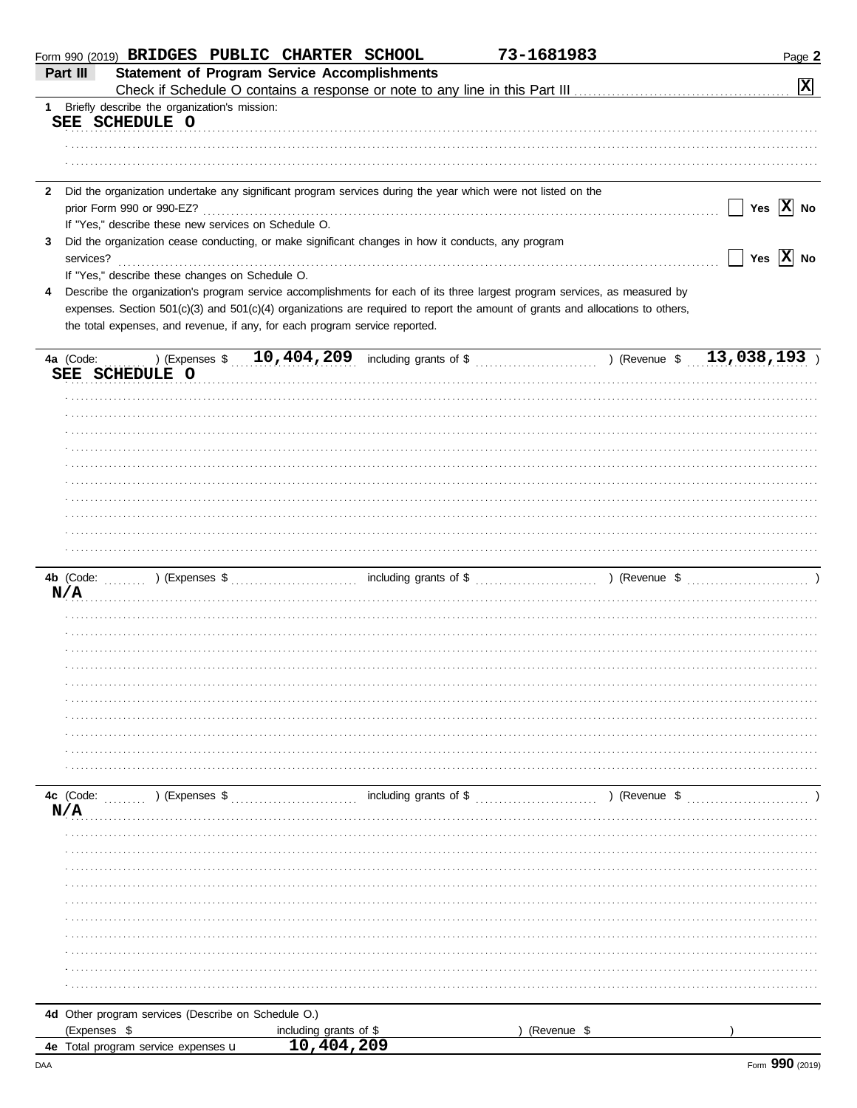|              | 73-1681983<br>Form 990 (2019) BRIDGES PUBLIC CHARTER SCHOOL<br><b>Statement of Program Service Accomplishments</b><br>Part III            | Page 2<br>$\overline{\mathbf{x}}$ |
|--------------|-------------------------------------------------------------------------------------------------------------------------------------------|-----------------------------------|
| 1            | Briefly describe the organization's mission:<br>SEE SCHEDULE O                                                                            |                                   |
|              |                                                                                                                                           |                                   |
|              |                                                                                                                                           |                                   |
|              |                                                                                                                                           |                                   |
| $\mathbf{2}$ | Did the organization undertake any significant program services during the year which were not listed on the<br>prior Form 990 or 990-EZ? | Yes $ \mathbf{X} $ No             |
|              | If "Yes," describe these new services on Schedule O.                                                                                      |                                   |
| 3            | Did the organization cease conducting, or make significant changes in how it conducts, any program<br>services?                           | Yes $\overline{X}$ No             |
|              | If "Yes," describe these changes on Schedule O.                                                                                           |                                   |
| 4            | Describe the organization's program service accomplishments for each of its three largest program services, as measured by                |                                   |
|              | expenses. Section 501(c)(3) and 501(c)(4) organizations are required to report the amount of grants and allocations to others,            |                                   |
|              | the total expenses, and revenue, if any, for each program service reported.                                                               |                                   |
|              | ) (Expenses $$10,404,209$ including grants of \$ ) (Revenue $$13,038,193$ )<br>4a (Code:<br>SEE SCHEDULE O                                |                                   |
|              |                                                                                                                                           |                                   |
|              |                                                                                                                                           |                                   |
|              |                                                                                                                                           |                                   |
|              |                                                                                                                                           |                                   |
|              |                                                                                                                                           |                                   |
|              |                                                                                                                                           |                                   |
|              |                                                                                                                                           |                                   |
|              |                                                                                                                                           |                                   |
|              |                                                                                                                                           |                                   |
|              |                                                                                                                                           |                                   |
|              |                                                                                                                                           |                                   |
|              |                                                                                                                                           |                                   |
|              | N/A                                                                                                                                       |                                   |
|              |                                                                                                                                           |                                   |
|              |                                                                                                                                           |                                   |
|              |                                                                                                                                           |                                   |
|              |                                                                                                                                           |                                   |
|              |                                                                                                                                           |                                   |
|              |                                                                                                                                           |                                   |
|              |                                                                                                                                           |                                   |
|              |                                                                                                                                           |                                   |
|              |                                                                                                                                           |                                   |
|              |                                                                                                                                           |                                   |
|              | including grants of $$$<br>) (Expenses \$<br>) (Revenue \$<br>4c (Code:                                                                   |                                   |
|              | N/A                                                                                                                                       |                                   |
|              |                                                                                                                                           |                                   |
|              |                                                                                                                                           |                                   |
|              |                                                                                                                                           |                                   |
|              |                                                                                                                                           |                                   |
|              |                                                                                                                                           |                                   |
|              |                                                                                                                                           |                                   |
|              |                                                                                                                                           |                                   |
|              |                                                                                                                                           |                                   |
|              |                                                                                                                                           |                                   |
|              |                                                                                                                                           |                                   |
|              |                                                                                                                                           |                                   |
|              | 4d Other program services (Describe on Schedule O.)                                                                                       |                                   |
|              | (Expenses \$<br>(Revenue \$<br>including grants of \$                                                                                     |                                   |
|              | 10, 404, 209<br>4e Total program service expenses u                                                                                       |                                   |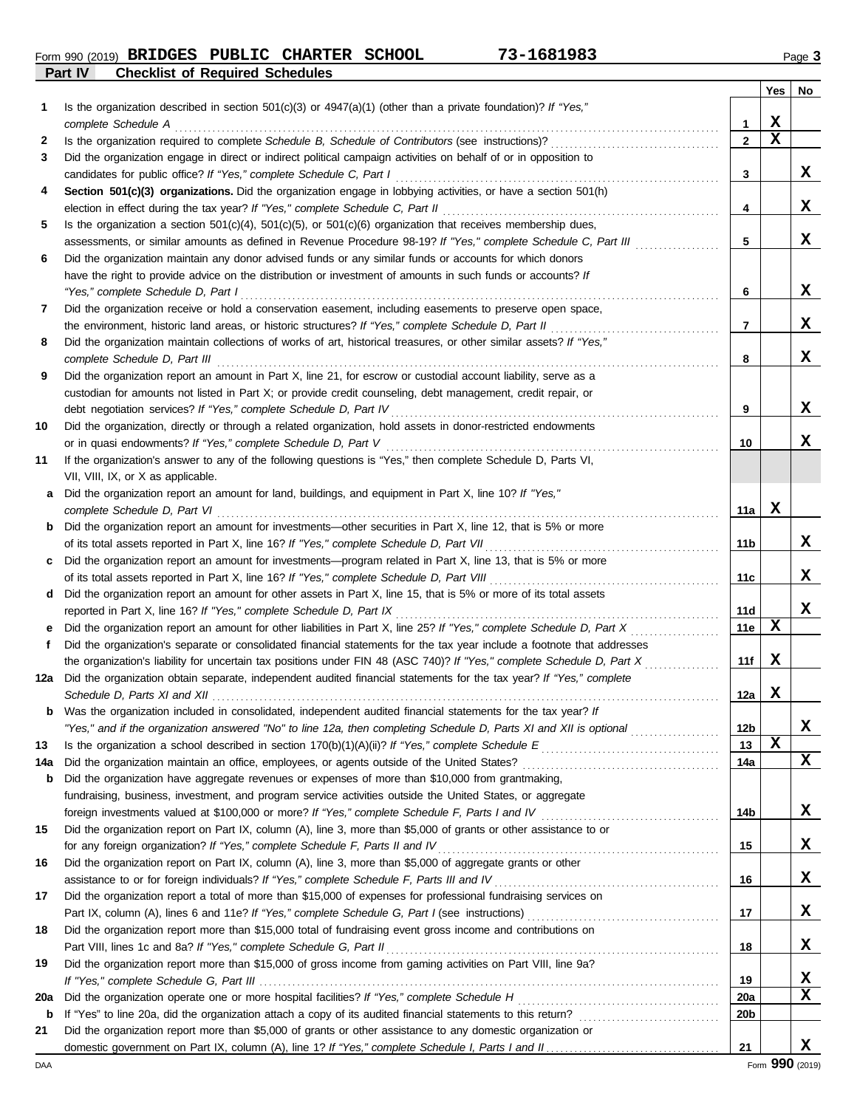**Part IV Checklist of Required Schedules** Form 990 (2019) Page **3 BRIDGES PUBLIC CHARTER SCHOOL 73-1681983**

|     |                                                                                                                                                                                                               |                 | Yes         | No |
|-----|---------------------------------------------------------------------------------------------------------------------------------------------------------------------------------------------------------------|-----------------|-------------|----|
| 1   | Is the organization described in section $501(c)(3)$ or $4947(a)(1)$ (other than a private foundation)? If "Yes,"<br>complete Schedule A                                                                      | 1               | X           |    |
| 2   |                                                                                                                                                                                                               | $\mathbf{2}$    | $\mathbf x$ |    |
| 3   | Did the organization engage in direct or indirect political campaign activities on behalf of or in opposition to                                                                                              |                 |             |    |
|     | candidates for public office? If "Yes," complete Schedule C, Part I                                                                                                                                           | 3               |             | X  |
| 4   | Section 501(c)(3) organizations. Did the organization engage in lobbying activities, or have a section 501(h)                                                                                                 |                 |             |    |
|     | election in effect during the tax year? If "Yes," complete Schedule C, Part II                                                                                                                                | 4               |             | X  |
| 5   | Is the organization a section $501(c)(4)$ , $501(c)(5)$ , or $501(c)(6)$ organization that receives membership dues,                                                                                          |                 |             |    |
|     | assessments, or similar amounts as defined in Revenue Procedure 98-19? If "Yes," complete Schedule C, Part III                                                                                                | 5               |             | X  |
| 6   | Did the organization maintain any donor advised funds or any similar funds or accounts for which donors                                                                                                       |                 |             |    |
|     | have the right to provide advice on the distribution or investment of amounts in such funds or accounts? If                                                                                                   |                 |             |    |
|     | "Yes," complete Schedule D, Part I                                                                                                                                                                            | 6               |             | X  |
| 7   | Did the organization receive or hold a conservation easement, including easements to preserve open space,                                                                                                     |                 |             |    |
|     | the environment, historic land areas, or historic structures? If "Yes," complete Schedule D, Part II                                                                                                          | 7               |             | X  |
| 8   | Did the organization maintain collections of works of art, historical treasures, or other similar assets? If "Yes,"                                                                                           |                 |             |    |
|     | complete Schedule D, Part III                                                                                                                                                                                 | 8               |             | X  |
| 9   | Did the organization report an amount in Part X, line 21, for escrow or custodial account liability, serve as a                                                                                               |                 |             |    |
|     | custodian for amounts not listed in Part X; or provide credit counseling, debt management, credit repair, or                                                                                                  |                 |             |    |
|     | debt negotiation services? If "Yes," complete Schedule D, Part IV                                                                                                                                             | 9               |             | х  |
| 10  | Did the organization, directly or through a related organization, hold assets in donor-restricted endowments                                                                                                  |                 |             | х  |
|     | or in quasi endowments? If "Yes," complete Schedule D, Part V<br>If the organization's answer to any of the following questions is "Yes," then complete Schedule D, Parts VI,                                 | 10              |             |    |
| 11  | VII, VIII, IX, or X as applicable.                                                                                                                                                                            |                 |             |    |
| a   | Did the organization report an amount for land, buildings, and equipment in Part X, line 10? If "Yes,"                                                                                                        |                 |             |    |
|     | complete Schedule D, Part VI                                                                                                                                                                                  | 11a             | x           |    |
| b   | Did the organization report an amount for investments—other securities in Part X, line 12, that is 5% or more                                                                                                 |                 |             |    |
|     | of its total assets reported in Part X, line 16? If "Yes," complete Schedule D, Part VII                                                                                                                      | 11b             |             | X  |
| c   | Did the organization report an amount for investments—program related in Part X, line 13, that is 5% or more                                                                                                  |                 |             |    |
|     | of its total assets reported in Part X, line 16? If "Yes," complete Schedule D, Part VIII [[[[[[[[[[[[[[[[[[[[                                                                                                | 11c             |             | X  |
| d   | Did the organization report an amount for other assets in Part X, line 15, that is 5% or more of its total assets                                                                                             |                 |             |    |
|     | reported in Part X, line 16? If "Yes," complete Schedule D, Part IX                                                                                                                                           | 11d             |             | X  |
| е   |                                                                                                                                                                                                               | 11e             | X           |    |
| f   | Did the organization's separate or consolidated financial statements for the tax year include a footnote that addresses                                                                                       |                 |             |    |
|     | the organization's liability for uncertain tax positions under FIN 48 (ASC 740)? If "Yes," complete Schedule D, Part X [[[[[[[[[[[[[[[[[[[[[[[[[[[]]]]]]]]]                                                   | 11f             | x           |    |
| 12a | Did the organization obtain separate, independent audited financial statements for the tax year? If "Yes," complete                                                                                           |                 |             |    |
|     |                                                                                                                                                                                                               | 12a             | X           |    |
|     | <b>b</b> Was the organization included in consolidated, independent audited financial statements for the tax year? If                                                                                         |                 |             |    |
|     | "Yes," and if the organization answered "No" to line 12a, then completing Schedule D, Parts XI and XII is optional                                                                                            | 12b             |             | X  |
| 13  |                                                                                                                                                                                                               | 13              | X           |    |
| 14a |                                                                                                                                                                                                               | 14a             |             | x  |
| b   | Did the organization have aggregate revenues or expenses of more than \$10,000 from grantmaking,<br>fundraising, business, investment, and program service activities outside the United States, or aggregate |                 |             |    |
|     |                                                                                                                                                                                                               | 14b             |             | X, |
| 15  | Did the organization report on Part IX, column (A), line 3, more than \$5,000 of grants or other assistance to or                                                                                             |                 |             |    |
|     | for any foreign organization? If "Yes," complete Schedule F, Parts II and IV                                                                                                                                  | 15              |             | X, |
| 16  | Did the organization report on Part IX, column (A), line 3, more than \$5,000 of aggregate grants or other                                                                                                    |                 |             |    |
|     |                                                                                                                                                                                                               | 16              |             | X, |
| 17  | Did the organization report a total of more than \$15,000 of expenses for professional fundraising services on                                                                                                |                 |             |    |
|     |                                                                                                                                                                                                               | 17              |             | X, |
| 18  | Did the organization report more than \$15,000 total of fundraising event gross income and contributions on                                                                                                   |                 |             |    |
|     |                                                                                                                                                                                                               | 18              |             | X, |
| 19  | Did the organization report more than \$15,000 of gross income from gaming activities on Part VIII, line 9a?                                                                                                  |                 |             |    |
|     |                                                                                                                                                                                                               | 19              |             | X  |
| 20a |                                                                                                                                                                                                               | 20a             |             | x  |
| b   |                                                                                                                                                                                                               | 20 <sub>b</sub> |             |    |
| 21  | Did the organization report more than \$5,000 of grants or other assistance to any domestic organization or                                                                                                   |                 |             |    |
|     |                                                                                                                                                                                                               | 21              |             | X  |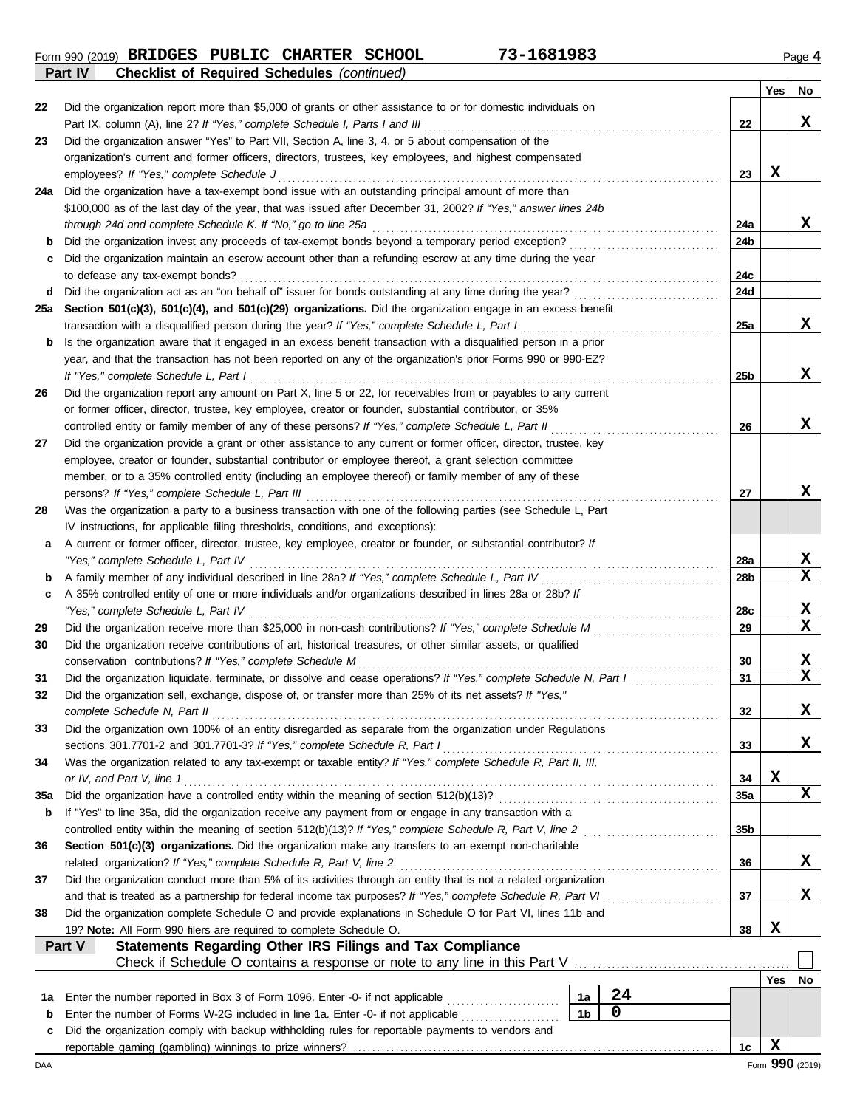Form 990 (2019) Page **4 BRIDGES PUBLIC CHARTER SCHOOL 73-1681983 Part IV Checklist of Required Schedules** *(continued)*

|     |                                                                                                                                                                                  |                |   |    |                 | Yes | No               |  |
|-----|----------------------------------------------------------------------------------------------------------------------------------------------------------------------------------|----------------|---|----|-----------------|-----|------------------|--|
| 22  | Did the organization report more than \$5,000 of grants or other assistance to or for domestic individuals on                                                                    |                |   |    |                 |     |                  |  |
|     |                                                                                                                                                                                  |                |   |    | 22              |     | x                |  |
| 23  | Did the organization answer "Yes" to Part VII, Section A, line 3, 4, or 5 about compensation of the                                                                              |                |   |    |                 |     |                  |  |
|     | organization's current and former officers, directors, trustees, key employees, and highest compensated                                                                          |                |   |    |                 |     |                  |  |
|     | employees? If "Yes," complete Schedule J                                                                                                                                         |                |   |    | 23              | х   |                  |  |
| 24a | Did the organization have a tax-exempt bond issue with an outstanding principal amount of more than                                                                              |                |   |    |                 |     |                  |  |
|     | \$100,000 as of the last day of the year, that was issued after December 31, 2002? If "Yes," answer lines 24b                                                                    |                |   |    |                 |     |                  |  |
|     | through 24d and complete Schedule K. If "No," go to line 25a                                                                                                                     |                |   |    | 24a             |     | x                |  |
| b   | Did the organization invest any proceeds of tax-exempt bonds beyond a temporary period exception?                                                                                |                |   |    | 24b             |     |                  |  |
| c   | Did the organization maintain an escrow account other than a refunding escrow at any time during the year<br>to defease any tax-exempt bonds?                                    |                |   |    | 24c             |     |                  |  |
| d   |                                                                                                                                                                                  |                |   |    | 24d             |     |                  |  |
| 25a | Section 501(c)(3), 501(c)(4), and 501(c)(29) organizations. Did the organization engage in an excess benefit                                                                     |                |   |    |                 |     |                  |  |
|     | transaction with a disqualified person during the year? If "Yes," complete Schedule L, Part I                                                                                    |                |   |    | 25a             |     | X                |  |
| b   | Is the organization aware that it engaged in an excess benefit transaction with a disqualified person in a prior                                                                 |                |   |    |                 |     |                  |  |
|     | year, and that the transaction has not been reported on any of the organization's prior Forms 990 or 990-EZ?                                                                     |                |   |    |                 |     |                  |  |
|     | If "Yes," complete Schedule L, Part I                                                                                                                                            |                |   |    | 25b             |     | x                |  |
| 26  | Did the organization report any amount on Part X, line 5 or 22, for receivables from or payables to any current                                                                  |                |   |    |                 |     |                  |  |
|     | or former officer, director, trustee, key employee, creator or founder, substantial contributor, or 35%                                                                          |                |   |    |                 |     |                  |  |
|     | controlled entity or family member of any of these persons? If "Yes," complete Schedule L, Part II                                                                               |                |   |    | 26              |     | x                |  |
| 27  | Did the organization provide a grant or other assistance to any current or former officer, director, trustee, key                                                                |                |   |    |                 |     |                  |  |
|     | employee, creator or founder, substantial contributor or employee thereof, a grant selection committee                                                                           |                |   |    |                 |     |                  |  |
|     | member, or to a 35% controlled entity (including an employee thereof) or family member of any of these                                                                           |                |   |    |                 |     |                  |  |
|     | persons? If "Yes," complete Schedule L, Part III                                                                                                                                 |                |   |    | 27              |     | x                |  |
| 28  | Was the organization a party to a business transaction with one of the following parties (see Schedule L, Part                                                                   |                |   |    |                 |     |                  |  |
|     | IV instructions, for applicable filing thresholds, conditions, and exceptions):                                                                                                  |                |   |    |                 |     |                  |  |
| a   | A current or former officer, director, trustee, key employee, creator or founder, or substantial contributor? If                                                                 |                |   |    |                 |     |                  |  |
|     | "Yes," complete Schedule L, Part IV                                                                                                                                              |                |   |    | 28a             |     | x<br>$\mathbf x$ |  |
| b   |                                                                                                                                                                                  |                |   |    | 28 <sub>b</sub> |     |                  |  |
| c   | A 35% controlled entity of one or more individuals and/or organizations described in lines 28a or 28b? If<br>"Yes," complete Schedule L, Part IV                                 |                |   |    | 28c             |     | x                |  |
| 29  |                                                                                                                                                                                  |                |   |    | 29              |     | X                |  |
| 30  | Did the organization receive contributions of art, historical treasures, or other similar assets, or qualified                                                                   |                |   |    |                 |     |                  |  |
|     | conservation contributions? If "Yes," complete Schedule M                                                                                                                        |                |   |    | 30              |     | x                |  |
| 31  | Did the organization liquidate, terminate, or dissolve and cease operations? If "Yes," complete Schedule N, Part I                                                               |                |   |    | 31              |     | X                |  |
| 32  | Did the organization sell, exchange, dispose of, or transfer more than 25% of its net assets? If "Yes,"                                                                          |                |   |    |                 |     |                  |  |
|     | complete Schedule N, Part II                                                                                                                                                     |                |   |    | 32              |     | X                |  |
| 33  | Did the organization own 100% of an entity disregarded as separate from the organization under Regulations                                                                       |                |   |    |                 |     |                  |  |
|     | sections 301.7701-2 and 301.7701-3? If "Yes," complete Schedule R, Part I                                                                                                        |                |   |    | 33              |     | x                |  |
| 34  | Was the organization related to any tax-exempt or taxable entity? If "Yes," complete Schedule R, Part II, III,                                                                   |                |   |    |                 |     |                  |  |
|     | or IV, and Part V, line 1                                                                                                                                                        |                |   |    | 34              | х   |                  |  |
| 35a |                                                                                                                                                                                  |                |   |    | 35a             |     | x                |  |
| b   | If "Yes" to line 35a, did the organization receive any payment from or engage in any transaction with a                                                                          |                |   |    |                 |     |                  |  |
|     |                                                                                                                                                                                  |                |   |    | 35 <sub>b</sub> |     |                  |  |
| 36  | Section 501(c)(3) organizations. Did the organization make any transfers to an exempt non-charitable                                                                             |                |   |    |                 |     |                  |  |
|     | related organization? If "Yes," complete Schedule R, Part V, line 2                                                                                                              |                |   |    | 36              |     | X                |  |
| 37  | Did the organization conduct more than 5% of its activities through an entity that is not a related organization                                                                 |                |   |    |                 |     |                  |  |
|     | 37                                                                                                                                                                               |                |   |    |                 |     |                  |  |
| 38  | Did the organization complete Schedule O and provide explanations in Schedule O for Part VI, lines 11b and<br>19? Note: All Form 990 filers are required to complete Schedule O. |                |   |    | 38              | X   |                  |  |
|     | Statements Regarding Other IRS Filings and Tax Compliance<br>Part V                                                                                                              |                |   |    |                 |     |                  |  |
|     | Check if Schedule O contains a response or note to any line in this Part V                                                                                                       |                |   |    |                 |     |                  |  |
|     |                                                                                                                                                                                  |                |   |    |                 | Yes | No.              |  |
| 1а  | Enter the number reported in Box 3 of Form 1096. Enter -0- if not applicable [[[[[[[[[[[[[[[[[[[[[[[[[[[[[[[[                                                                    | 1а             |   | 24 |                 |     |                  |  |
| b   | Enter the number of Forms W-2G included in line 1a. Enter -0- if not applicable                                                                                                  | 1 <sub>b</sub> | 0 |    |                 |     |                  |  |
| c   | Did the organization comply with backup withholding rules for reportable payments to vendors and                                                                                 |                |   |    |                 |     |                  |  |
|     |                                                                                                                                                                                  |                |   |    | 1c              | X   |                  |  |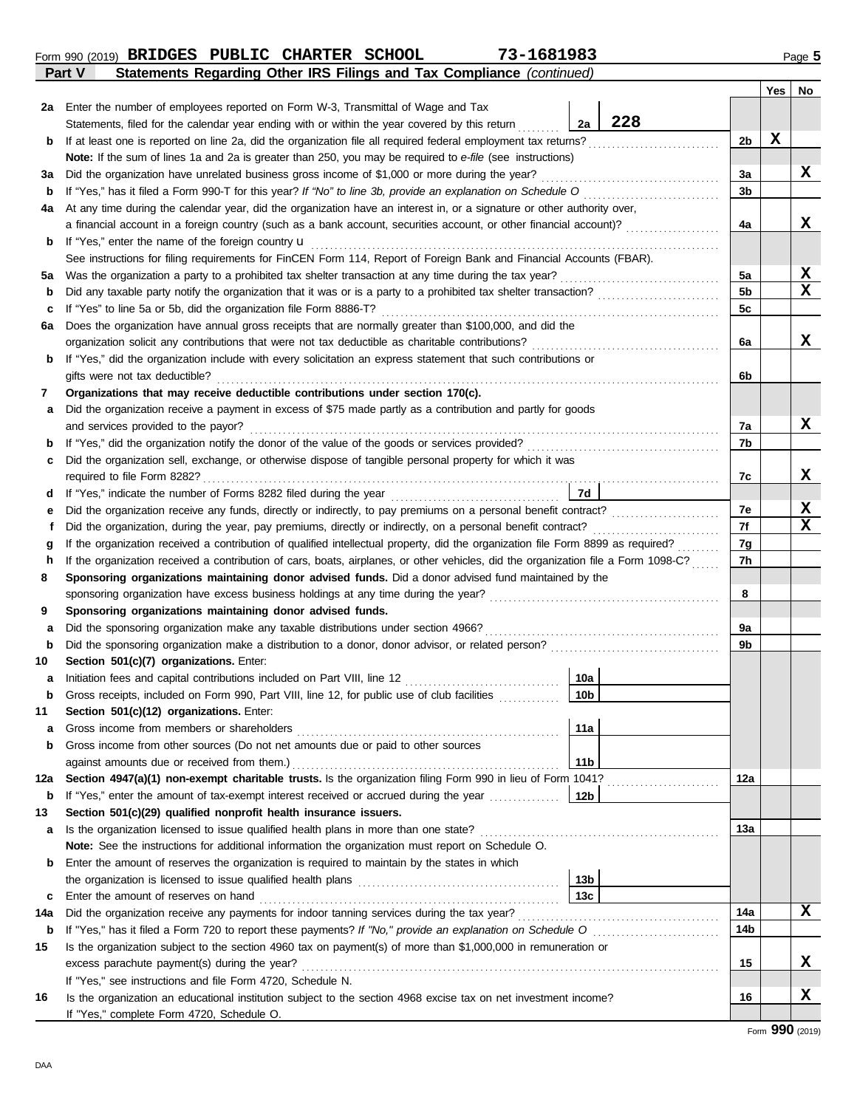|     | 73-1681983<br>Form 990 (2019) BRIDGES PUBLIC CHARTER SCHOOL                                                                          |                                    |     |                |     | Page 5 |  |  |  |  |  |
|-----|--------------------------------------------------------------------------------------------------------------------------------------|------------------------------------|-----|----------------|-----|--------|--|--|--|--|--|
|     | Statements Regarding Other IRS Filings and Tax Compliance (continued)<br><b>Part V</b>                                               |                                    |     |                |     |        |  |  |  |  |  |
|     |                                                                                                                                      |                                    |     |                | Yes | No     |  |  |  |  |  |
|     | 2a Enter the number of employees reported on Form W-3, Transmittal of Wage and Tax                                                   |                                    |     |                |     |        |  |  |  |  |  |
|     | Statements, filed for the calendar year ending with or within the year covered by this return                                        | 2a                                 | 228 |                |     |        |  |  |  |  |  |
| b   |                                                                                                                                      |                                    |     | 2b             | X   |        |  |  |  |  |  |
|     | Note: If the sum of lines 1a and 2a is greater than 250, you may be required to e-file (see instructions)                            |                                    |     |                |     |        |  |  |  |  |  |
| за  | Did the organization have unrelated business gross income of \$1,000 or more during the year?                                        |                                    |     | 3a             |     | X      |  |  |  |  |  |
| b   | If "Yes," has it filed a Form 990-T for this year? If "No" to line 3b, provide an explanation on Schedule O compresessesserred in    |                                    |     | 3 <sub>b</sub> |     |        |  |  |  |  |  |
| 4a  | At any time during the calendar year, did the organization have an interest in, or a signature or other authority over,              |                                    |     |                |     | x      |  |  |  |  |  |
|     | a financial account in a foreign country (such as a bank account, securities account, or other financial account)?                   |                                    |     |                |     |        |  |  |  |  |  |
| b   | If "Yes," enter the name of the foreign country <b>u</b>                                                                             |                                    |     |                |     |        |  |  |  |  |  |
|     | See instructions for filing requirements for FinCEN Form 114, Report of Foreign Bank and Financial Accounts (FBAR).                  |                                    |     |                |     |        |  |  |  |  |  |
| 5а  |                                                                                                                                      |                                    |     | 5a             |     | X      |  |  |  |  |  |
| b   |                                                                                                                                      |                                    |     | 5 <sub>b</sub> |     | X      |  |  |  |  |  |
| c   | If "Yes" to line 5a or 5b, did the organization file Form 8886-T?                                                                    |                                    |     | 5 <sub>c</sub> |     |        |  |  |  |  |  |
| 6а  | Does the organization have annual gross receipts that are normally greater than \$100,000, and did the                               |                                    |     |                |     |        |  |  |  |  |  |
|     |                                                                                                                                      |                                    |     | 6a             |     | x      |  |  |  |  |  |
| b   | If "Yes," did the organization include with every solicitation an express statement that such contributions or                       |                                    |     |                |     |        |  |  |  |  |  |
|     | gifts were not tax deductible?                                                                                                       |                                    |     | 6b             |     |        |  |  |  |  |  |
| 7   | Organizations that may receive deductible contributions under section 170(c).                                                        |                                    |     |                |     |        |  |  |  |  |  |
| а   | Did the organization receive a payment in excess of \$75 made partly as a contribution and partly for goods                          |                                    |     |                |     | x      |  |  |  |  |  |
|     | and services provided to the payor?                                                                                                  |                                    |     | 7a<br>7b       |     |        |  |  |  |  |  |
|     |                                                                                                                                      |                                    |     |                |     |        |  |  |  |  |  |
| c   | Did the organization sell, exchange, or otherwise dispose of tangible personal property for which it was                             |                                    |     |                |     |        |  |  |  |  |  |
| d   |                                                                                                                                      | 7d                                 |     | 7c             |     | х      |  |  |  |  |  |
| е   |                                                                                                                                      |                                    |     | 7e             |     | X      |  |  |  |  |  |
| f   |                                                                                                                                      |                                    |     | 7f             |     | X      |  |  |  |  |  |
| g   | If the organization received a contribution of qualified intellectual property, did the organization file Form 8899 as required?<br> |                                    |     | 7g             |     |        |  |  |  |  |  |
| h   | If the organization received a contribution of cars, boats, airplanes, or other vehicles, did the organization file a Form 1098-C?   |                                    |     | 7h             |     |        |  |  |  |  |  |
| 8   | Sponsoring organizations maintaining donor advised funds. Did a donor advised fund maintained by the                                 |                                    |     |                |     |        |  |  |  |  |  |
|     |                                                                                                                                      |                                    |     | 8              |     |        |  |  |  |  |  |
| 9   | Sponsoring organizations maintaining donor advised funds.                                                                            |                                    |     |                |     |        |  |  |  |  |  |
| а   |                                                                                                                                      |                                    |     | 9a             |     |        |  |  |  |  |  |
| b   |                                                                                                                                      |                                    |     | 9b             |     |        |  |  |  |  |  |
| 10  | Section 501(c)(7) organizations. Enter:                                                                                              |                                    |     |                |     |        |  |  |  |  |  |
| a   | Initiation fees and capital contributions included on Part VIII, line 12                                                             | $\frac{1}{2}$ $\frac{1}{2}$<br>10a |     |                |     |        |  |  |  |  |  |
| b   | Gross receipts, included on Form 990, Part VIII, line 12, for public use of club facilities                                          | 10 <sub>b</sub>                    |     |                |     |        |  |  |  |  |  |
| 11  | Section 501(c)(12) organizations. Enter:                                                                                             |                                    |     |                |     |        |  |  |  |  |  |
| а   | Gross income from members or shareholders                                                                                            | 11a                                |     |                |     |        |  |  |  |  |  |
| b   | Gross income from other sources (Do not net amounts due or paid to other sources                                                     |                                    |     |                |     |        |  |  |  |  |  |
|     | against amounts due or received from them.)                                                                                          | 11b                                |     |                |     |        |  |  |  |  |  |
| 12a | Section 4947(a)(1) non-exempt charitable trusts. Is the organization filing Form 990 in lieu of Form 1041?                           |                                    |     | 12a            |     |        |  |  |  |  |  |
| b   | If "Yes," enter the amount of tax-exempt interest received or accrued during the year                                                | 12b                                |     |                |     |        |  |  |  |  |  |
| 13  | Section 501(c)(29) qualified nonprofit health insurance issuers.                                                                     |                                    |     |                |     |        |  |  |  |  |  |
| a   | Is the organization licensed to issue qualified health plans in more than one state?                                                 |                                    |     | 13а            |     |        |  |  |  |  |  |
|     | Note: See the instructions for additional information the organization must report on Schedule O.                                    |                                    |     |                |     |        |  |  |  |  |  |
| b   | Enter the amount of reserves the organization is required to maintain by the states in which                                         |                                    |     |                |     |        |  |  |  |  |  |
|     |                                                                                                                                      | 13 <sub>b</sub>                    |     |                |     |        |  |  |  |  |  |
| c   | Enter the amount of reserves on hand                                                                                                 | 13 <sub>c</sub>                    |     |                |     |        |  |  |  |  |  |
| 14a | Did the organization receive any payments for indoor tanning services during the tax year?                                           |                                    |     | 14a            |     | x      |  |  |  |  |  |
| b   |                                                                                                                                      |                                    |     | 14b            |     |        |  |  |  |  |  |
| 15  | Is the organization subject to the section 4960 tax on payment(s) of more than \$1,000,000 in remuneration or                        |                                    |     |                |     |        |  |  |  |  |  |

Form **990** (2019)

**X**

**X**

**15**

**16**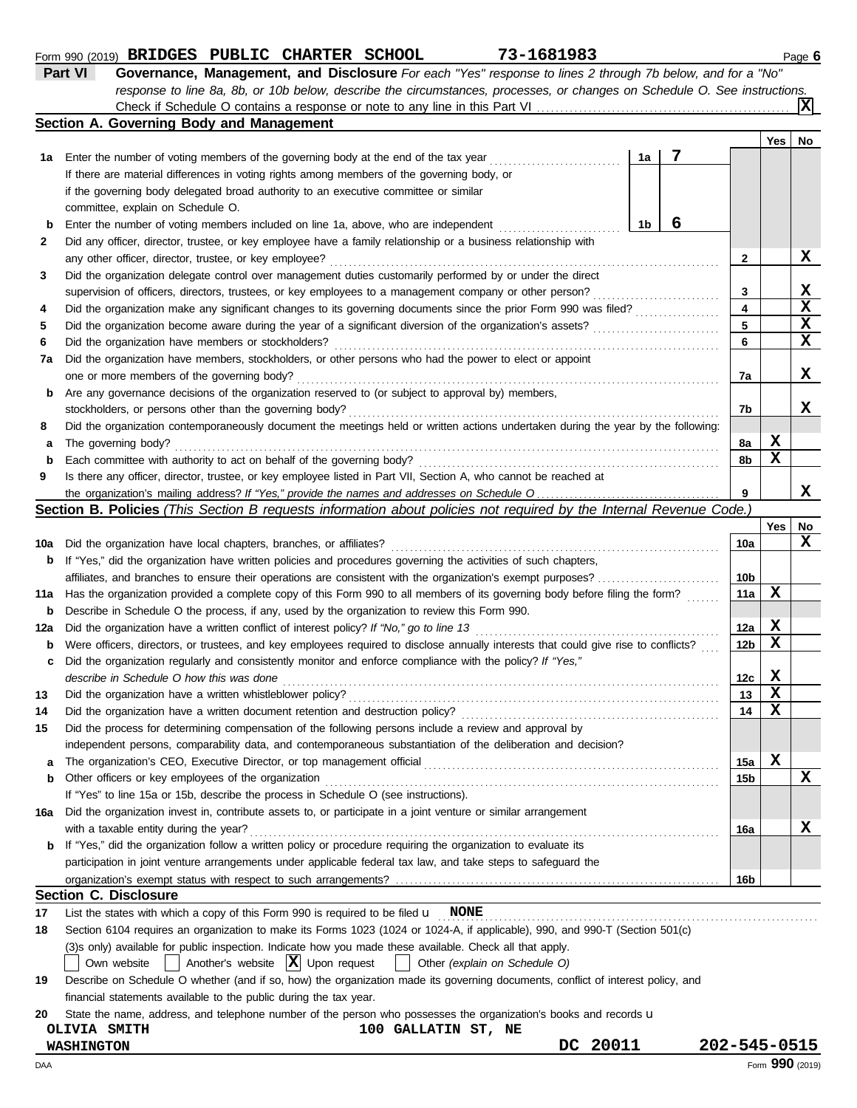|     | 73-1681983<br>Form 990 (2019) BRIDGES PUBLIC CHARTER SCHOOL                                                                         |    |   |                         |             | Page $6$    |
|-----|-------------------------------------------------------------------------------------------------------------------------------------|----|---|-------------------------|-------------|-------------|
|     | Governance, Management, and Disclosure For each "Yes" response to lines 2 through 7b below, and for a "No"<br><b>Part VI</b>        |    |   |                         |             |             |
|     | response to line 8a, 8b, or 10b below, describe the circumstances, processes, or changes on Schedule O. See instructions.           |    |   |                         |             |             |
|     |                                                                                                                                     |    |   |                         |             | ΙxΙ         |
|     | Section A. Governing Body and Management                                                                                            |    |   |                         |             |             |
|     |                                                                                                                                     |    |   |                         | Yes         | No          |
| 1а  | Enter the number of voting members of the governing body at the end of the tax year                                                 | 1a | 7 |                         |             |             |
|     | If there are material differences in voting rights among members of the governing body, or                                          |    |   |                         |             |             |
|     | if the governing body delegated broad authority to an executive committee or similar                                                |    |   |                         |             |             |
|     | committee, explain on Schedule O.                                                                                                   |    |   |                         |             |             |
| b   | Enter the number of voting members included on line 1a, above, who are independent                                                  | 1b | 6 |                         |             |             |
| 2   | Did any officer, director, trustee, or key employee have a family relationship or a business relationship with                      |    |   |                         |             |             |
|     | any other officer, director, trustee, or key employee?                                                                              |    |   | $\mathbf{2}$            |             | X           |
| 3   | Did the organization delegate control over management duties customarily performed by or under the direct                           |    |   |                         |             |             |
|     | supervision of officers, directors, trustees, or key employees to a management company or other person?                             |    |   | 3                       |             | X           |
| 4   | Did the organization make any significant changes to its governing documents since the prior Form 990 was filed?                    |    |   | $\overline{\mathbf{4}}$ |             | $\mathbf x$ |
| 5   | Did the organization become aware during the year of a significant diversion of the organization's assets?                          |    |   | 5                       |             | $\mathbf x$ |
| 6   | Did the organization have members or stockholders?                                                                                  |    |   | 6                       |             | $\mathbf x$ |
| 7a  | Did the organization have members, stockholders, or other persons who had the power to elect or appoint                             |    |   |                         |             |             |
|     | one or more members of the governing body?                                                                                          |    |   | 7a                      |             | X           |
| b   | Are any governance decisions of the organization reserved to (or subject to approval by) members,                                   |    |   |                         |             |             |
|     | stockholders, or persons other than the governing body?                                                                             |    |   | 7b                      |             | X           |
| 8   | Did the organization contemporaneously document the meetings held or written actions undertaken during the year by the following:   |    |   |                         |             |             |
| a   | The governing body?                                                                                                                 |    |   | 8а                      | X           |             |
| b   | Each committee with authority to act on behalf of the governing body?                                                               |    |   | 8b                      | х           |             |
| 9   | Is there any officer, director, trustee, or key employee listed in Part VII, Section A, who cannot be reached at                    |    |   |                         |             |             |
|     |                                                                                                                                     |    |   | 9                       |             | X.          |
|     | Section B. Policies (This Section B requests information about policies not required by the Internal Revenue Code.)                 |    |   |                         |             |             |
|     |                                                                                                                                     |    |   |                         | Yes         | No          |
| 10a | Did the organization have local chapters, branches, or affiliates?                                                                  |    |   | 10a                     |             | x           |
| b   | If "Yes," did the organization have written policies and procedures governing the activities of such chapters,                      |    |   |                         |             |             |
|     | affiliates, and branches to ensure their operations are consistent with the organization's exempt purposes?                         |    |   | 10 <sub>b</sub>         |             |             |
| 11a | Has the organization provided a complete copy of this Form 990 to all members of its governing body before filing the form?         |    |   | 11a                     | X           |             |
| b   | Describe in Schedule O the process, if any, used by the organization to review this Form 990.                                       |    |   |                         |             |             |
| 12a | Did the organization have a written conflict of interest policy? If "No," go to line 13                                             |    |   | 12a                     | X           |             |
| b   | Were officers, directors, or trustees, and key employees required to disclose annually interests that could give rise to conflicts? |    |   | 12 <sub>b</sub>         | X           |             |
| c   | Did the organization regularly and consistently monitor and enforce compliance with the policy? If "Yes,"                           |    |   |                         |             |             |
|     | describe in Schedule O how this was done                                                                                            |    |   | 12c                     | X           |             |
| 13  | Did the organization have a written whistleblower policy?                                                                           |    |   | 13                      | $\mathbf x$ |             |
| 14  | Did the organization have a written document retention and destruction policy?                                                      |    |   | 14                      | $\mathbf x$ |             |

| 17 | List the states with which a copy of this Form 990 is required to be filed $\mathbf u$ NONE |  |
|----|---------------------------------------------------------------------------------------------|--|
|    |                                                                                             |  |

organization's exempt status with respect to such arrangements?

If "Yes" to line 15a or 15b, describe the process in Schedule O (see instructions).

**b** If "Yes," did the organization follow a written policy or procedure requiring the organization to evaluate its

Did the organization invest in, contribute assets to, or participate in a joint venture or similar arrangement

participation in joint venture arrangements under applicable federal tax law, and take steps to safeguard the

Did the process for determining compensation of the following persons include a review and approval by independent persons, comparability data, and contemporaneous substantiation of the deliberation and decision?

| 17 <sup>2</sup> | List the states with which a copy of this Form 990 is required to be filed $\mathbf{u}$ NONE                                    |  |          |              |  |  |  |  |  |  |  |  |
|-----------------|---------------------------------------------------------------------------------------------------------------------------------|--|----------|--------------|--|--|--|--|--|--|--|--|
| 18              | Section 6104 requires an organization to make its Forms 1023 (1024 or 1024-A, if applicable), 990, and 990-T (Section 501(c)    |  |          |              |  |  |  |  |  |  |  |  |
|                 | (3) sonly) available for public inspection. Indicate how you made these available. Check all that apply.                        |  |          |              |  |  |  |  |  |  |  |  |
|                 | Own website $\Box$ Another's website $\Box$ Upon request $\Box$ Other (explain on Schedule O)                                   |  |          |              |  |  |  |  |  |  |  |  |
| 19              | Describe on Schedule O whether (and if so, how) the organization made its governing documents, conflict of interest policy, and |  |          |              |  |  |  |  |  |  |  |  |
|                 | financial statements available to the public during the tax year.                                                               |  |          |              |  |  |  |  |  |  |  |  |
| 20              | State the name, address, and telephone number of the person who possesses the organization's books and records <b>u</b>         |  |          |              |  |  |  |  |  |  |  |  |
|                 | 100 GALLATIN ST, NE<br>OLIVIA SMITH                                                                                             |  |          |              |  |  |  |  |  |  |  |  |
|                 | <b>WASHINGTON</b>                                                                                                               |  | DC 20011 | 202-545-0515 |  |  |  |  |  |  |  |  |

**a** The organization's CEO, Executive Director, or top management official . . . . . . . . . . . . . . . . . . . . . . . . . . . . . . . . . . . . . . . . . . . . . . . . . . . . . . . . . . . . . . .

Other officers or key employees of the organization . . . . . . . . . . . . . . . . . . . . . . . . . . . . . . . . . . . . . . . . . . . . . . . . . . . . . . . . . . . . . . . . . . . . . . . . . . . . . . . . . . . .

with a taxable entity during the year? . . . . . . . . . . . . . . . . . . . . . . . . . . . . . . . . . . . . . . . . . . . . . . . . . . . . . . . . . . . . . . . . . . . . . . . . . . . . . . . . . . . . . . . . . . . . . . . . . . . .

**Section C. Disclosure**

**15a 15b** **X**

**X**

**X**

**16a**

**16b**

**15**

**b**

**16a**

DAA Form **990** (2019)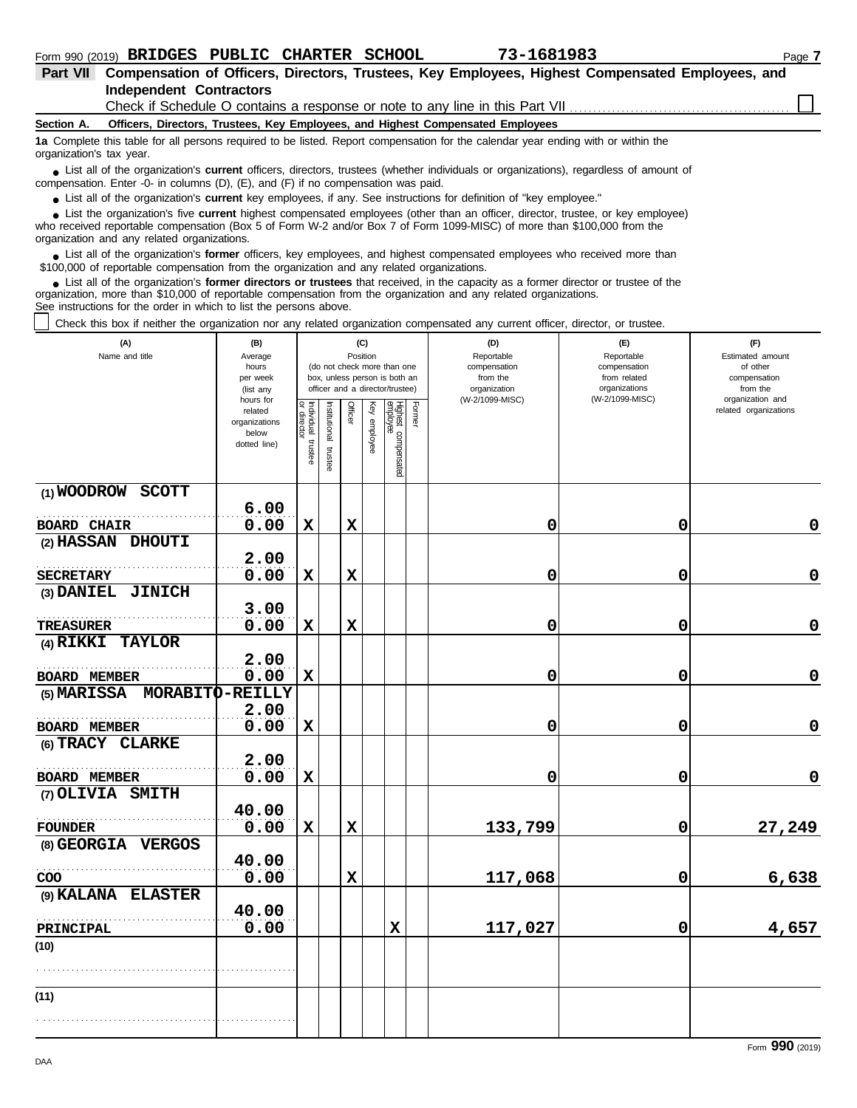| Part VII Compensation of Officers, Directors, Trustees, Key Employees, Highest Compensated Employees, and |  |  |
|-----------------------------------------------------------------------------------------------------------|--|--|
| Independent Contractors                                                                                   |  |  |
|                                                                                                           |  |  |

### Check if Schedule O contains a response or note to any line in this Part VII

#### **Section A. Officers, Directors, Trustees, Key Employees, and Highest Compensated Employees**

**1a** Complete this table for all persons required to be listed. Report compensation for the calendar year ending with or within the organization's tax year.

■ List all of the organization's **current** officers, directors, trustees (whether individuals or organizations), regardless of amount of the companies of amount of compensation. Enter -0- in columns (D), (E), and (F) if no compensation was paid.

● List all of the organization's **current** key employees, if any. See instructions for definition of "key employee."

■ List the organization's five **current** highest compensated employees (other than an officer, director, trustee, or key employee)<br> **•** Preceived reportable compensation (Box 5 of Form W.2 and/or Box 7 of Form 1000 MISC)

who received reportable compensation (Box 5 of Form W-2 and/or Box 7 of Form 1099-MISC) of more than \$100,000 from the organization and any related organizations.

■ List all of the organization's **former** officers, key employees, and highest compensated employees who received more than<br> **•** 00,000 of reportable compensation from the ergonization and any related ergonizations \$100,000 of reportable compensation from the organization and any related organizations.

■ List all of the organization's **former directors or trustees** that received, in the capacity as a former director or trustee of the<br>paization, more than \$10,000 of reportable compensation from the organization and any r organization, more than \$10,000 of reportable compensation from the organization and any related organizations. See instructions for the order in which to list the persons above.

Check this box if neither the organization nor any related organization compensated any current officer, director, or trustee.

| (A)<br>Name and title                 | (B)<br>Average<br>hours<br>per week<br>(list any<br>hours for |                                   | (C)<br>Position<br>(do not check more than one<br>box, unless person is both an<br>officer and a director/trustee) |             |              |                                 |        | (D)<br>Reportable<br>compensation<br>from the<br>organization<br>(W-2/1099-MISC) | (E)<br>Reportable<br>compensation<br>from related<br>organizations<br>(W-2/1099-MISC) | (F)<br>Estimated amount<br>of other<br>compensation<br>from the<br>organization and |
|---------------------------------------|---------------------------------------------------------------|-----------------------------------|--------------------------------------------------------------------------------------------------------------------|-------------|--------------|---------------------------------|--------|----------------------------------------------------------------------------------|---------------------------------------------------------------------------------------|-------------------------------------------------------------------------------------|
|                                       | related<br>organizations<br>below<br>dotted line)             | Individual trustee<br>or director | Institutional trustee                                                                                              | Officer     | Key employee | Highest compensated<br>employee | Former |                                                                                  |                                                                                       | related organizations                                                               |
| (1) WOODROW SCOTT                     |                                                               |                                   |                                                                                                                    |             |              |                                 |        |                                                                                  |                                                                                       |                                                                                     |
| <b>BOARD CHAIR</b>                    | 6.00<br>0.00                                                  | $\mathbf x$                       |                                                                                                                    | $\mathbf x$ |              |                                 |        | 0                                                                                | 0                                                                                     | $\mathbf 0$                                                                         |
| (2) HASSAN DHOUTI                     |                                                               |                                   |                                                                                                                    |             |              |                                 |        |                                                                                  |                                                                                       |                                                                                     |
|                                       | 2.00                                                          |                                   |                                                                                                                    |             |              |                                 |        |                                                                                  |                                                                                       | $\mathbf 0$                                                                         |
| <b>SECRETARY</b><br>(3) DANIEL JINICH | 0.00                                                          | $\mathbf x$                       |                                                                                                                    | $\mathbf x$ |              |                                 |        | 0                                                                                | 0                                                                                     |                                                                                     |
| <b>TREASURER</b>                      | 3.00<br>0.00                                                  | $\mathbf x$                       |                                                                                                                    | $\mathbf x$ |              |                                 |        | 0                                                                                | 0                                                                                     | $\mathbf 0$                                                                         |
| <b>TAYLOR</b><br>(4) RIKKI            |                                                               |                                   |                                                                                                                    |             |              |                                 |        |                                                                                  |                                                                                       |                                                                                     |
|                                       | 2.00                                                          |                                   |                                                                                                                    |             |              |                                 |        |                                                                                  |                                                                                       |                                                                                     |
| <b>BOARD MEMBER</b>                   | 0.00                                                          | $\mathbf x$                       |                                                                                                                    |             |              |                                 |        | 0                                                                                | 0                                                                                     | $\mathbf 0$                                                                         |
| (5) MARISSA                           | MORABITO-REILLY                                               |                                   |                                                                                                                    |             |              |                                 |        |                                                                                  |                                                                                       |                                                                                     |
| <b>BOARD MEMBER</b>                   | 2.00<br>0.00                                                  | $\mathbf x$                       |                                                                                                                    |             |              |                                 |        | 0                                                                                | 0                                                                                     | $\mathbf 0$                                                                         |
| (6) TRACY CLARKE                      |                                                               |                                   |                                                                                                                    |             |              |                                 |        |                                                                                  |                                                                                       |                                                                                     |
|                                       | 2.00                                                          |                                   |                                                                                                                    |             |              |                                 |        |                                                                                  |                                                                                       |                                                                                     |
| <b>BOARD MEMBER</b>                   | 0.00                                                          | $\mathbf x$                       |                                                                                                                    |             |              |                                 |        | 0                                                                                | 0                                                                                     | $\mathbf 0$                                                                         |
| (7) OLIVIA SMITH                      |                                                               |                                   |                                                                                                                    |             |              |                                 |        |                                                                                  |                                                                                       |                                                                                     |
| <b>FOUNDER</b>                        | 40.00<br>0.00                                                 | $\mathbf x$                       |                                                                                                                    | $\mathbf x$ |              |                                 |        | 133,799                                                                          | 0                                                                                     | 27,249                                                                              |
| (8) GEORGIA VERGOS                    |                                                               |                                   |                                                                                                                    |             |              |                                 |        |                                                                                  |                                                                                       |                                                                                     |
|                                       | 40.00                                                         |                                   |                                                                                                                    |             |              |                                 |        |                                                                                  |                                                                                       |                                                                                     |
| COO                                   | 0.00                                                          |                                   |                                                                                                                    | $\mathbf x$ |              |                                 |        | 117,068                                                                          | 0                                                                                     | 6,638                                                                               |
| (9) KALANA ELASTER                    |                                                               |                                   |                                                                                                                    |             |              |                                 |        |                                                                                  |                                                                                       |                                                                                     |
|                                       | 40.00                                                         |                                   |                                                                                                                    |             |              |                                 |        |                                                                                  |                                                                                       |                                                                                     |
| <b>PRINCIPAL</b>                      | 0.00                                                          |                                   |                                                                                                                    |             |              | $\mathbf x$                     |        | 117,027                                                                          | 0                                                                                     | 4,657                                                                               |
| (10)                                  |                                                               |                                   |                                                                                                                    |             |              |                                 |        |                                                                                  |                                                                                       |                                                                                     |
|                                       |                                                               |                                   |                                                                                                                    |             |              |                                 |        |                                                                                  |                                                                                       |                                                                                     |
| (11)                                  |                                                               |                                   |                                                                                                                    |             |              |                                 |        |                                                                                  |                                                                                       |                                                                                     |
|                                       |                                                               |                                   |                                                                                                                    |             |              |                                 |        |                                                                                  |                                                                                       |                                                                                     |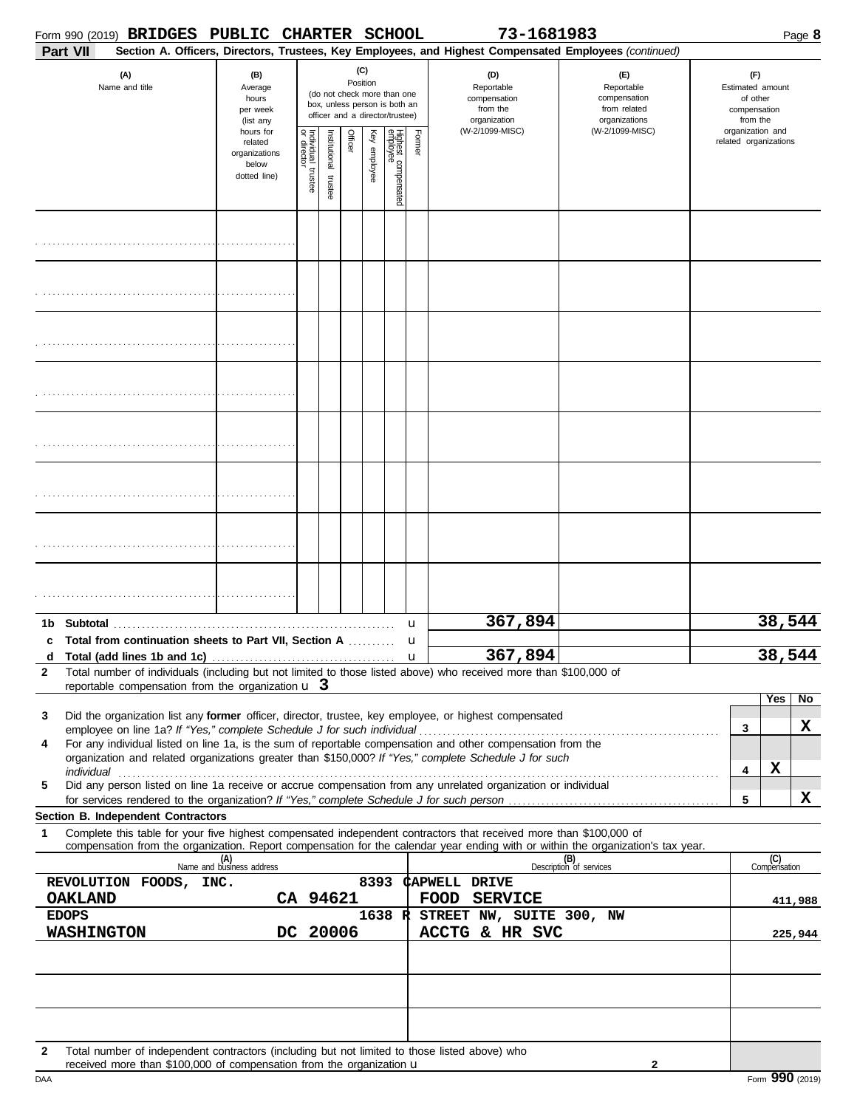|              |                | Form 990 (2019) BRIDGES PUBLIC CHARTER SCHOOL |                                                                             |          |                         |                      |         |                 |                                                                                                 |        |                                                                                                                                                                                                                                                                                                                                       | 73-1681983                                                                                                                                                         | Page 8                                                |
|--------------|----------------|-----------------------------------------------|-----------------------------------------------------------------------------|----------|-------------------------|----------------------|---------|-----------------|-------------------------------------------------------------------------------------------------|--------|---------------------------------------------------------------------------------------------------------------------------------------------------------------------------------------------------------------------------------------------------------------------------------------------------------------------------------------|--------------------------------------------------------------------------------------------------------------------------------------------------------------------|-------------------------------------------------------|
|              | Part VII       |                                               |                                                                             |          |                         |                      |         |                 |                                                                                                 |        |                                                                                                                                                                                                                                                                                                                                       | Section A. Officers, Directors, Trustees, Key Employees, and Highest Compensated Employees (continued)                                                             |                                                       |
|              |                | (A)<br>Name and title                         | (B)<br>Average<br>hours<br>per week                                         |          |                         |                      |         | (C)<br>Position | (do not check more than one<br>box, unless person is both an<br>officer and a director/trustee) |        | (D)<br>Reportable<br>compensation<br>from the                                                                                                                                                                                                                                                                                         | (E)<br>Reportable<br>compensation<br>from related                                                                                                                  | (F)<br>Estimated amount<br>of other<br>compensation   |
|              |                |                                               | (list any<br>hours for<br>related<br>organizations<br>below<br>dotted line) |          | Individual 1<br>trustee | nstitutional trustee | Officer | Key employee    | Highest compensated<br>employee                                                                 | Former | organization<br>(W-2/1099-MISC)                                                                                                                                                                                                                                                                                                       | organizations<br>(W-2/1099-MISC)                                                                                                                                   | from the<br>organization and<br>related organizations |
|              |                |                                               |                                                                             |          |                         |                      |         |                 |                                                                                                 |        |                                                                                                                                                                                                                                                                                                                                       |                                                                                                                                                                    |                                                       |
|              |                |                                               |                                                                             |          |                         |                      |         |                 |                                                                                                 |        |                                                                                                                                                                                                                                                                                                                                       |                                                                                                                                                                    |                                                       |
|              |                |                                               |                                                                             |          |                         |                      |         |                 |                                                                                                 |        |                                                                                                                                                                                                                                                                                                                                       |                                                                                                                                                                    |                                                       |
|              |                |                                               |                                                                             |          |                         |                      |         |                 |                                                                                                 |        |                                                                                                                                                                                                                                                                                                                                       |                                                                                                                                                                    |                                                       |
|              |                |                                               |                                                                             |          |                         |                      |         |                 |                                                                                                 |        |                                                                                                                                                                                                                                                                                                                                       |                                                                                                                                                                    |                                                       |
|              |                |                                               |                                                                             |          |                         |                      |         |                 |                                                                                                 |        |                                                                                                                                                                                                                                                                                                                                       |                                                                                                                                                                    |                                                       |
|              |                |                                               |                                                                             |          |                         |                      |         |                 |                                                                                                 |        |                                                                                                                                                                                                                                                                                                                                       |                                                                                                                                                                    |                                                       |
|              |                |                                               |                                                                             |          |                         |                      |         |                 |                                                                                                 |        | 367,894                                                                                                                                                                                                                                                                                                                               |                                                                                                                                                                    | 38,544                                                |
| c            |                |                                               | Total from continuation sheets to Part VII, Section A                       |          |                         |                      |         |                 |                                                                                                 | u<br>u |                                                                                                                                                                                                                                                                                                                                       |                                                                                                                                                                    |                                                       |
|              |                |                                               |                                                                             |          |                         |                      |         |                 |                                                                                                 |        | 367,894                                                                                                                                                                                                                                                                                                                               |                                                                                                                                                                    | 38,544                                                |
| $\mathbf{2}$ |                |                                               | reportable compensation from the organization $\mathbf{u}$ 3                |          |                         |                      |         |                 |                                                                                                 |        | Total number of individuals (including but not limited to those listed above) who received more than \$100,000 of                                                                                                                                                                                                                     |                                                                                                                                                                    |                                                       |
| 3            |                |                                               |                                                                             |          |                         |                      |         |                 |                                                                                                 |        | Did the organization list any former officer, director, trustee, key employee, or highest compensated                                                                                                                                                                                                                                 |                                                                                                                                                                    | Yes<br>No<br>X<br>3                                   |
| 4<br>5       |                |                                               |                                                                             |          |                         |                      |         |                 |                                                                                                 |        | For any individual listed on line 1a, is the sum of reportable compensation and other compensation from the<br>organization and related organizations greater than \$150,000? If "Yes," complete Schedule J for such<br>Did any person listed on line 1a receive or accrue compensation from any unrelated organization or individual |                                                                                                                                                                    | X<br>4                                                |
|              |                |                                               |                                                                             |          |                         |                      |         |                 |                                                                                                 |        |                                                                                                                                                                                                                                                                                                                                       |                                                                                                                                                                    | X<br>5                                                |
| 1            |                | Section B. Independent Contractors            |                                                                             |          |                         |                      |         |                 |                                                                                                 |        | Complete this table for your five highest compensated independent contractors that received more than \$100,000 of                                                                                                                                                                                                                    |                                                                                                                                                                    |                                                       |
|              |                |                                               | (A)<br>Name and business address                                            |          |                         |                      |         |                 |                                                                                                 |        |                                                                                                                                                                                                                                                                                                                                       | compensation from the organization. Report compensation for the calendar year ending with or within the organization's tax year.<br>(B)<br>Description of services | (C)<br>Compensation                                   |
|              |                | REVOLUTION FOODS, INC.                        |                                                                             |          |                         |                      |         | 8393            |                                                                                                 |        | <b>CAPWELL DRIVE</b>                                                                                                                                                                                                                                                                                                                  |                                                                                                                                                                    |                                                       |
|              | <b>OAKLAND</b> |                                               |                                                                             | CA 94621 |                         |                      |         |                 |                                                                                                 |        | FOOD SERVICE                                                                                                                                                                                                                                                                                                                          |                                                                                                                                                                    | 411,988                                               |
|              | <b>EDOPS</b>   | <b>WASHINGTON</b>                             |                                                                             | DC 20006 |                         |                      |         |                 |                                                                                                 |        | 1638 R STREET NW, SUITE 300, NW<br>ACCTG & HR SVC                                                                                                                                                                                                                                                                                     |                                                                                                                                                                    | 225,944                                               |
|              |                |                                               |                                                                             |          |                         |                      |         |                 |                                                                                                 |        |                                                                                                                                                                                                                                                                                                                                       |                                                                                                                                                                    |                                                       |
| $\mathbf{2}$ |                |                                               |                                                                             |          |                         |                      |         |                 |                                                                                                 |        | Total number of independent contractors (including but not limited to those listed above) who                                                                                                                                                                                                                                         |                                                                                                                                                                    |                                                       |
| DAA          |                |                                               | received more than \$100,000 of compensation from the organization u        |          |                         |                      |         |                 |                                                                                                 |        |                                                                                                                                                                                                                                                                                                                                       | 2                                                                                                                                                                  | Form 990 (2019)                                       |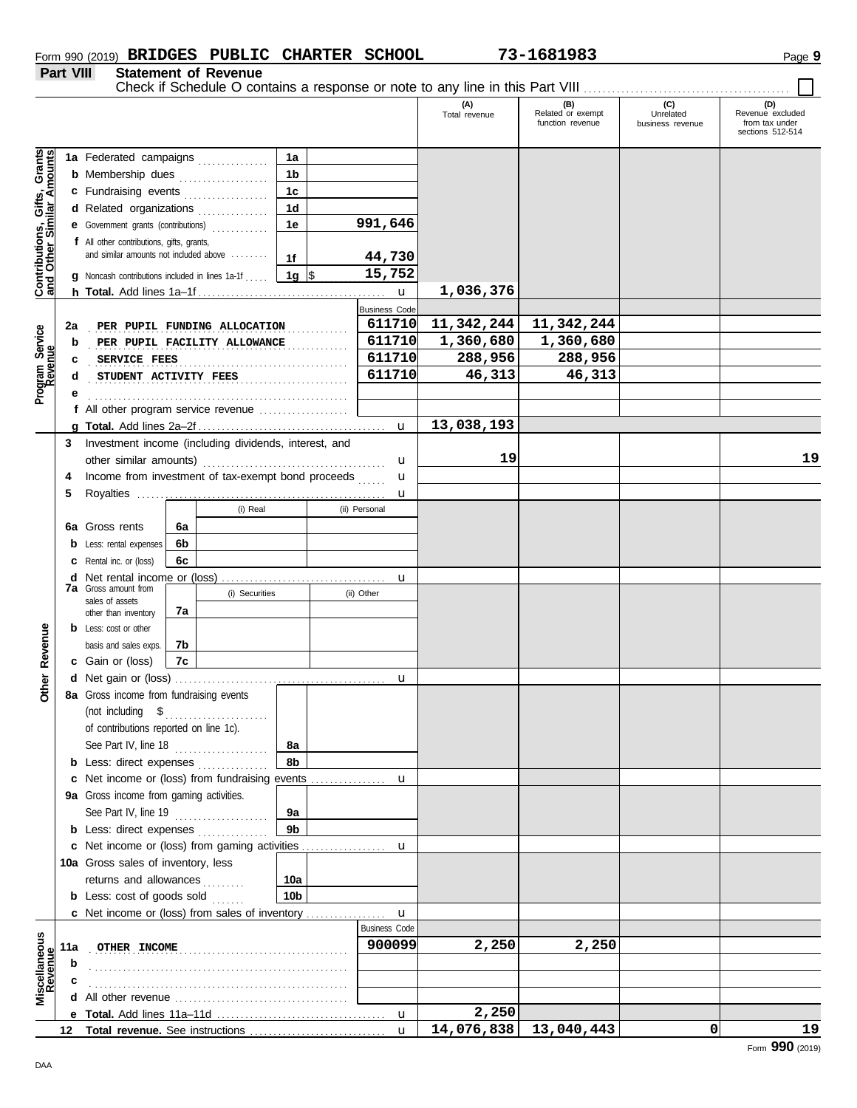### Form 990 (2019) Page **9 BRIDGES PUBLIC CHARTER SCHOOL 73-1681983**

## **Part VIII Statement of Revenue**

Check if Schedule O contains a response or note to any line in this Part VIII . . . . . . . . . . . . . . . . . . . . . . . . . . . . . . . . . . . . . . . . . . . .

|                                                                  |     |                                                                                                                    |          |                              |                |        |                      | (A)<br>Total revenue | (B)<br>Related or exempt<br>function revenue | (C)<br>Unrelated<br>business revenue | (D)<br>Revenue excluded<br>from tax under |
|------------------------------------------------------------------|-----|--------------------------------------------------------------------------------------------------------------------|----------|------------------------------|----------------|--------|----------------------|----------------------|----------------------------------------------|--------------------------------------|-------------------------------------------|
|                                                                  |     |                                                                                                                    |          |                              |                |        |                      |                      |                                              |                                      | sections 512-514                          |
| <b>Contributions, Gifts, Grants</b><br>and Other Similar Amounts |     | 1a Federated campaigns                                                                                             |          |                              | 1a             |        |                      |                      |                                              |                                      |                                           |
|                                                                  |     | <b>b</b> Membership dues                                                                                           |          |                              | 1 <sub>b</sub> |        |                      |                      |                                              |                                      |                                           |
|                                                                  |     | c Fundraising events                                                                                               |          |                              | 1 <sub>c</sub> |        |                      |                      |                                              |                                      |                                           |
|                                                                  |     | d Related organizations                                                                                            |          |                              | 1d             |        |                      |                      |                                              |                                      |                                           |
|                                                                  |     | e Government grants (contributions)                                                                                |          |                              | 1е             |        | 991,646              |                      |                                              |                                      |                                           |
|                                                                  |     | f All other contributions, gifts, grants,<br>and similar amounts not included above                                |          |                              | 1f             |        | 44,730               |                      |                                              |                                      |                                           |
|                                                                  |     | <b>q</b> Noncash contributions included in lines 1a-1f                                                             |          |                              | 1g $\sqrt{5}$  |        | 15,752               |                      |                                              |                                      |                                           |
|                                                                  |     |                                                                                                                    |          |                              |                |        | $\mathbf u$          | 1,036,376            |                                              |                                      |                                           |
|                                                                  |     |                                                                                                                    |          |                              |                |        | <b>Business Code</b> |                      |                                              |                                      |                                           |
|                                                                  | 2a  |                                                                                                                    |          | PER PUPIL FUNDING ALLOCATION |                |        | 611710               | 11,342,244           | 11,342,244                                   |                                      |                                           |
| Program Service<br>Revenue                                       | b   | PER PUPIL FACILITY ALLOWANCE                                                                                       |          |                              |                | 611710 | 1,360,680            | 1,360,680            |                                              |                                      |                                           |
|                                                                  | c   | SERVICE FEES                                                                                                       |          |                              |                |        | 611710               | 288,956              | 288,956                                      |                                      |                                           |
|                                                                  | d   | STUDENT ACTIVITY FEES                                                                                              |          |                              |                |        | 611710               | 46,313               | 46,313                                       |                                      |                                           |
|                                                                  |     |                                                                                                                    |          |                              |                |        |                      |                      |                                              |                                      |                                           |
|                                                                  |     | f All other program service revenue <i>contained</i> and the series of All other program service revenue of $\sim$ |          |                              |                |        |                      |                      |                                              |                                      |                                           |
|                                                                  |     |                                                                                                                    |          |                              |                |        | u                    | 13,038,193           |                                              |                                      |                                           |
|                                                                  | 3   | Investment income (including dividends, interest, and                                                              |          |                              |                |        |                      |                      |                                              |                                      |                                           |
|                                                                  |     |                                                                                                                    |          |                              |                |        | u                    | 19                   |                                              |                                      | 19                                        |
|                                                                  | 4   | Income from investment of tax-exempt bond proceeds                                                                 |          |                              |                |        | u                    |                      |                                              |                                      |                                           |
|                                                                  | 5   |                                                                                                                    |          |                              |                |        | u                    |                      |                                              |                                      |                                           |
|                                                                  |     |                                                                                                                    |          | (i) Real                     |                |        | (ii) Personal        |                      |                                              |                                      |                                           |
|                                                                  |     | <b>6a</b> Gross rents<br>Less: rental expenses                                                                     | 6а<br>6b |                              |                |        |                      |                      |                                              |                                      |                                           |
|                                                                  | b   | Rental inc. or (loss)                                                                                              | 6с       |                              |                |        |                      |                      |                                              |                                      |                                           |
|                                                                  | d   | Net rental income or (loss)                                                                                        |          |                              |                |        | u                    |                      |                                              |                                      |                                           |
|                                                                  |     | <b>7a</b> Gross amount from                                                                                        |          | (i) Securities               |                |        | (ii) Other           |                      |                                              |                                      |                                           |
|                                                                  |     | sales of assets<br>other than inventory                                                                            | 7а       |                              |                |        |                      |                      |                                              |                                      |                                           |
|                                                                  |     | <b>b</b> Less: cost or other                                                                                       |          |                              |                |        |                      |                      |                                              |                                      |                                           |
|                                                                  |     | basis and sales exps.                                                                                              | 7b       |                              |                |        |                      |                      |                                              |                                      |                                           |
| Revenue                                                          |     | c Gain or (loss)                                                                                                   | 7c       |                              |                |        |                      |                      |                                              |                                      |                                           |
| <b>Other</b>                                                     |     |                                                                                                                    |          |                              |                |        | u                    |                      |                                              |                                      |                                           |
|                                                                  |     | 8a Gross income from fundraising events                                                                            |          |                              |                |        |                      |                      |                                              |                                      |                                           |
|                                                                  |     | (not including \$                                                                                                  |          |                              |                |        |                      |                      |                                              |                                      |                                           |
|                                                                  |     | of contributions reported on line 1c).                                                                             |          |                              |                |        |                      |                      |                                              |                                      |                                           |
|                                                                  |     | See Part IV, line 18 $\ldots$                                                                                      |          |                              | 8а             |        |                      |                      |                                              |                                      |                                           |
|                                                                  |     | <b>b</b> Less: direct expenses                                                                                     |          |                              | 8b             |        |                      |                      |                                              |                                      |                                           |
|                                                                  | с   | Net income or (loss) from fundraising events<br>9a Gross income from gaming activities.                            |          |                              |                |        | u                    |                      |                                              |                                      |                                           |
|                                                                  |     | See Part IV, line 19                                                                                               |          |                              | 9а             |        |                      |                      |                                              |                                      |                                           |
|                                                                  |     | <b>b</b> Less: direct expenses <i>minimum</i>                                                                      |          |                              | 9 <sub>b</sub> |        |                      |                      |                                              |                                      |                                           |
|                                                                  |     | c Net income or (loss) from gaming activities                                                                      |          |                              |                |        | u                    |                      |                                              |                                      |                                           |
|                                                                  |     | 10a Gross sales of inventory, less                                                                                 |          |                              |                |        |                      |                      |                                              |                                      |                                           |
|                                                                  |     | returns and allowances                                                                                             |          |                              | 10a            |        |                      |                      |                                              |                                      |                                           |
|                                                                  |     | <b>b</b> Less: cost of goods sold                                                                                  |          |                              | 10b            |        |                      |                      |                                              |                                      |                                           |
|                                                                  |     | c Net income or (loss) from sales of inventory                                                                     |          |                              |                |        | u                    |                      |                                              |                                      |                                           |
|                                                                  |     |                                                                                                                    |          |                              |                |        | <b>Business Code</b> |                      |                                              |                                      |                                           |
| Miscellaneous<br>Revenue                                         | 11a | OTHER INCOME                                                                                                       |          |                              |                |        | 900099               | 2,250                | 2,250                                        |                                      |                                           |
|                                                                  | b   |                                                                                                                    |          |                              |                |        |                      |                      |                                              |                                      |                                           |
|                                                                  |     |                                                                                                                    |          |                              |                |        |                      |                      |                                              |                                      |                                           |
|                                                                  |     |                                                                                                                    |          |                              |                |        |                      |                      |                                              |                                      |                                           |
|                                                                  |     |                                                                                                                    |          |                              |                |        | $\mathbf u$          | 2,250                |                                              |                                      | 19                                        |
|                                                                  |     |                                                                                                                    |          |                              |                |        | $\mathbf{u}$         | 14,076,838           | 13,040,443                                   | 0                                    |                                           |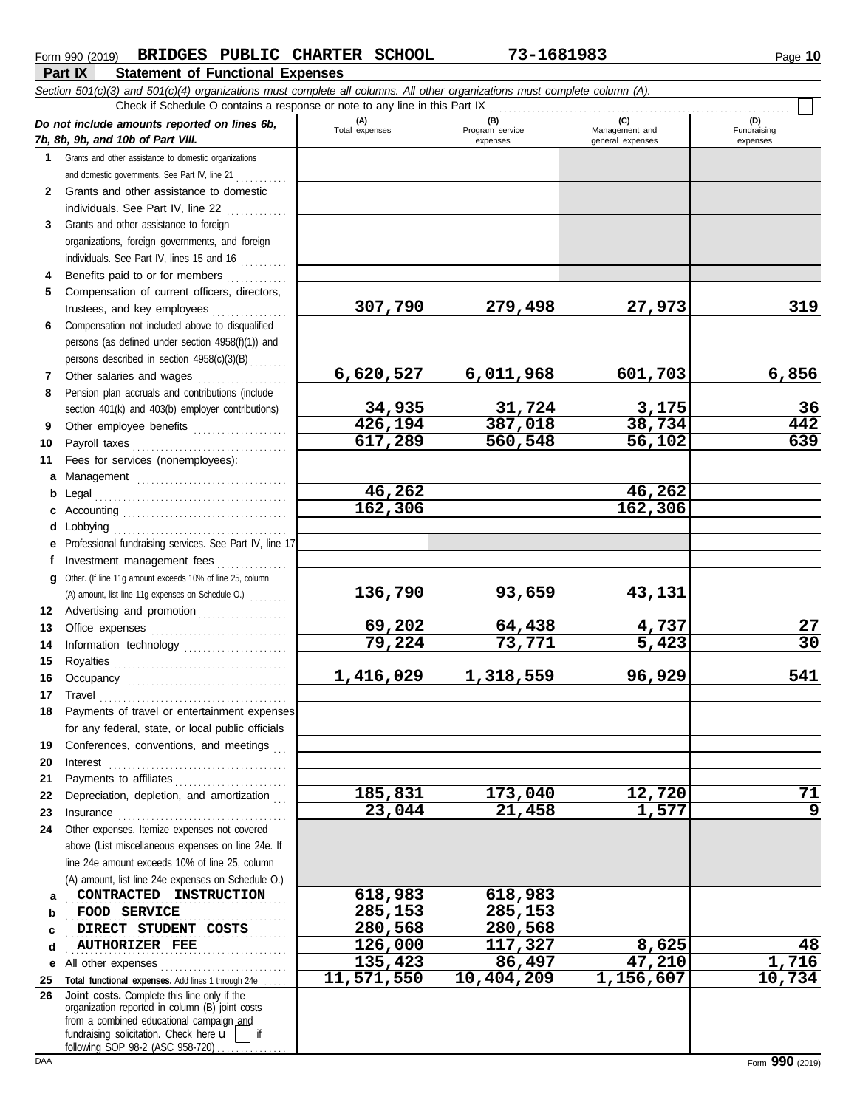| Form 990 (2019)<br>Part IX                                                                                                                              | BRIDGES PUBLIC CHARTER SCHOOL<br><b>Statement of Functional Expenses</b>                                                   | 73-1681983                         |                                           | Page 10                        |
|---------------------------------------------------------------------------------------------------------------------------------------------------------|----------------------------------------------------------------------------------------------------------------------------|------------------------------------|-------------------------------------------|--------------------------------|
|                                                                                                                                                         | Section 501(c)(3) and 501(c)(4) organizations must complete all columns. All other organizations must complete column (A). |                                    |                                           |                                |
|                                                                                                                                                         | Check if Schedule O contains a response or note to any line in this Part IX                                                |                                    |                                           |                                |
| Do not include amounts reported on lines 6b,<br>7b, 8b, 9b, and 10b of Part VIII.                                                                       | (A)<br>Total expenses                                                                                                      | (B)<br>Program service<br>expenses | (C)<br>Management and<br>general expenses | (D)<br>Fundraising<br>expenses |
| 1 Grants and other assistance to domestic organizations<br>and domestic governments. See Part IV, line 21                                               |                                                                                                                            |                                    |                                           |                                |
| Grants and other assistance to domestic<br>$\mathbf{2}$<br>individuals. See Part IV, line 22                                                            |                                                                                                                            |                                    |                                           |                                |
| Grants and other assistance to foreign<br>3<br>organizations, foreign governments, and foreign<br>individuals. See Part IV, lines 15 and 16             |                                                                                                                            |                                    |                                           |                                |
| Benefits paid to or for members<br>4                                                                                                                    |                                                                                                                            |                                    |                                           |                                |
| Compensation of current officers, directors,<br>5<br>trustees, and key employees                                                                        | 307,790                                                                                                                    | 279,498                            | 27,973                                    | 319                            |
| Compensation not included above to disqualified<br>6<br>persons (as defined under section 4958(f)(1)) and<br>persons described in section 4958(c)(3)(B) |                                                                                                                            |                                    |                                           |                                |
| Other salaries and wages<br>7                                                                                                                           | 6,620,527                                                                                                                  | 6,011,968                          | 601,703                                   | 6,856                          |
| Pension plan accruals and contributions (include<br>8                                                                                                   |                                                                                                                            |                                    |                                           |                                |
| section 401(k) and 403(b) employer contributions)                                                                                                       | 34,935                                                                                                                     | 31,724                             | 3,175                                     | 36                             |
| Other employee benefits<br>9                                                                                                                            | 426,194                                                                                                                    | 387,018                            | 38,734                                    | 442                            |
| 10                                                                                                                                                      | 617,289                                                                                                                    | 560,548                            | 56,102                                    | 639                            |
| Fees for services (nonemployees):<br>11                                                                                                                 |                                                                                                                            |                                    |                                           |                                |
|                                                                                                                                                         |                                                                                                                            |                                    |                                           |                                |
|                                                                                                                                                         | 46,262                                                                                                                     |                                    | 46,262                                    |                                |
|                                                                                                                                                         | 162,306                                                                                                                    |                                    | 162,306                                   |                                |
| d Lobbying                                                                                                                                              |                                                                                                                            |                                    |                                           |                                |
| e Professional fundraising services. See Part IV, line 17                                                                                               |                                                                                                                            |                                    |                                           |                                |
| Investment management fees<br>f                                                                                                                         |                                                                                                                            |                                    |                                           |                                |
| Other. (If line 11g amount exceeds 10% of line 25, column<br>a                                                                                          |                                                                                                                            |                                    |                                           |                                |
|                                                                                                                                                         | 136,790                                                                                                                    | 93,659                             | 43,131                                    |                                |
| 12 Advertising and promotion [1] [1] Advertising and promotion                                                                                          |                                                                                                                            |                                    |                                           |                                |
| 13                                                                                                                                                      | 69,202                                                                                                                     | 64,438                             | 4,737                                     | 27                             |
| 14<br>Information technology                                                                                                                            | 79,224                                                                                                                     | 73,771                             | 5,423                                     | 30                             |

**a** CONTRACTED INSTRUCTION **618,983** 618,983

. . . . . . . . . . . . . . . . . . . . . . . . . . . . . . . . . . . . . . . . . . . . . . . **FOOD SERVICE 285,153 285,153 DIRECT STUDENT COSTS 280,568** 280,568

. . . . . . . . . . . . . . . . . . . . . . . . . . . . . . . . . . . . . . . . . . . . . . . **AUTHORIZER FEE 126,000 117,327 8,625 48**

**23,044 21,458 1,577 9**

**1,416,029 1,318,559 96,929 541**

**185,831 173,040 12,720 71**

**135,423 86,497 47,210 1,716**

**11,571,550 10,404,209 1,156,607 10,734**

**14** Information technology . . . . . . . . . . . . . . . . . . . . . .

Royalties . . . . . . . . . . . . . . . . . . . . . . . . . . . . . . . . . . . . . Occupancy . . . . . . . . . . . . . . . . . . . . . . . . . . . . . . . . . . Travel . . . . . . . . . . . . . . . . . . . . . . . . . . . . . . . . . . . . . . . . Payments of travel or entertainment expenses for any federal, state, or local public officials Conferences, conventions, and meetings Interest . . . . . . . . . . . . . . . . . . . . . . . . . . . . . . . . . . . . . . Payments to affiliates . . . . . . . . . . . . . . . . . . . . . . . .

**22** Depreciation, depletion, and amortization . . .

Insurance . . . . . . . . . . . . . . . . . . . . . . . . . . . . . . . . . . . .

above (List miscellaneous expenses on line 24e. If line 24e amount exceeds 10% of line 25, column (A) amount, list line 24e expenses on Schedule O.)

**e** All other expenses . . . . . . . . . . . . . . . . . . . . . . . . . . . **25 Total functional expenses.** Add lines 1 through 24e . . . . .

fundraising solicitation. Check here  $\mathbf{u}$  | if organization reported in column (B) joint costs from a combined educational campaign and

**Joint costs.** Complete this line only if the

following SOP 98-2 (ASC 958-720)

**24** Other expenses. Itemize expenses not covered

**26**

**19 20 21**

**23**

**b c d**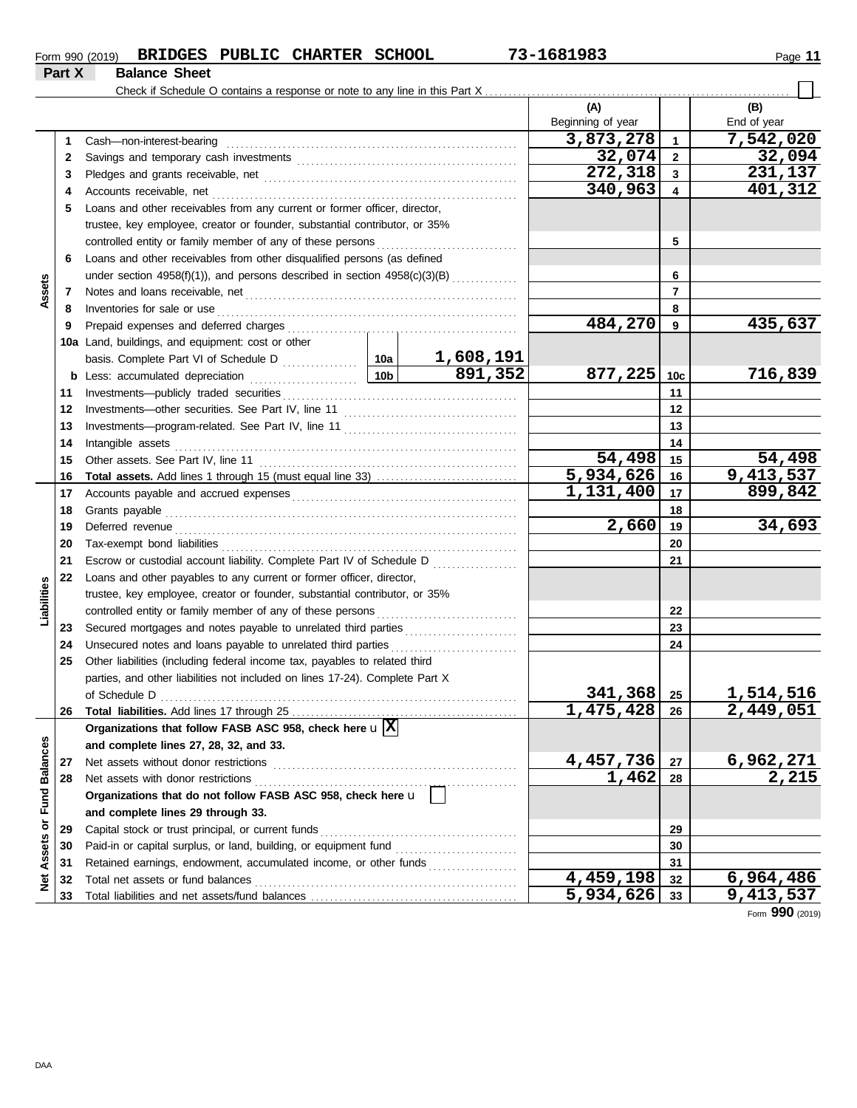| Form 990 (2019) | <b>BRIDGES</b>       | PUBLIC | <b>CHARTER</b> | <b>SCHOOL</b> | 73-1681983 | Page |
|-----------------|----------------------|--------|----------------|---------------|------------|------|
| Part X          | <b>Balance Sheet</b> |        |                |               |            |      |

|                 |    |                                                                                                                                                                                                                                |  |           | (A)               |                | (B)         |
|-----------------|----|--------------------------------------------------------------------------------------------------------------------------------------------------------------------------------------------------------------------------------|--|-----------|-------------------|----------------|-------------|
|                 |    |                                                                                                                                                                                                                                |  |           | Beginning of year |                | End of year |
|                 | 1  | Cash-non-interest-bearing                                                                                                                                                                                                      |  |           | 3,873,278         | $\mathbf{1}$   | 7,542,020   |
|                 | 2  |                                                                                                                                                                                                                                |  |           | 32,074            | $\overline{2}$ | 32,094      |
|                 | 3  |                                                                                                                                                                                                                                |  |           | 272,318           | $\mathbf{3}$   | 231,137     |
|                 | 4  | Accounts receivable, net                                                                                                                                                                                                       |  |           | 340,963           | 4              | 401,312     |
|                 | 5  | Loans and other receivables from any current or former officer, director,                                                                                                                                                      |  |           |                   |                |             |
|                 |    | trustee, key employee, creator or founder, substantial contributor, or 35%                                                                                                                                                     |  |           |                   |                |             |
|                 |    | controlled entity or family member of any of these persons                                                                                                                                                                     |  |           |                   | 5              |             |
|                 | 6  | Loans and other receivables from other disqualified persons (as defined                                                                                                                                                        |  |           |                   |                |             |
|                 |    | under section 4958(f)(1)), and persons described in section 4958(c)(3)(B)                                                                                                                                                      |  |           |                   | 6              |             |
| Assets          | 7  |                                                                                                                                                                                                                                |  |           |                   | 7              |             |
|                 | 8  | Inventories for sale or use                                                                                                                                                                                                    |  |           |                   | 8              |             |
|                 | 9  |                                                                                                                                                                                                                                |  |           | 484,270           | 9              | 435,637     |
|                 |    | 10a Land, buildings, and equipment: cost or other                                                                                                                                                                              |  |           |                   |                |             |
|                 |    |                                                                                                                                                                                                                                |  | 1,608,191 |                   |                |             |
|                 |    |                                                                                                                                                                                                                                |  | 891,352   | 877,225           | 10c            | 716,839     |
|                 | 11 |                                                                                                                                                                                                                                |  |           |                   |                |             |
|                 | 12 |                                                                                                                                                                                                                                |  |           | 11<br>12          |                |             |
|                 | 13 |                                                                                                                                                                                                                                |  |           | 13                |                |             |
|                 | 14 | Intangible assets with a state of the contract of the state of the state of the state of the state of the state of the state of the state of the state of the state of the state of the state of the state of the state of the |  |           | 14                |                |             |
|                 | 15 |                                                                                                                                                                                                                                |  | 54,498    | 15                | 54,498         |             |
|                 | 16 |                                                                                                                                                                                                                                |  |           | 5,934,626         | 16             | 9,413,537   |
|                 | 17 |                                                                                                                                                                                                                                |  |           | 1,131,400         | 17             | 899,842     |
|                 | 18 | Grants payable                                                                                                                                                                                                                 |  |           |                   | 18             |             |
|                 | 19 |                                                                                                                                                                                                                                |  |           | 2,660             | 19             | 34,693      |
|                 | 20 |                                                                                                                                                                                                                                |  |           |                   | 20             |             |
|                 | 21 | Escrow or custodial account liability. Complete Part IV of Schedule D                                                                                                                                                          |  |           |                   | 21             |             |
|                 | 22 | Loans and other payables to any current or former officer, director,                                                                                                                                                           |  |           |                   |                |             |
| Liabilities     |    | trustee, key employee, creator or founder, substantial contributor, or 35%                                                                                                                                                     |  |           |                   |                |             |
|                 |    |                                                                                                                                                                                                                                |  |           |                   | 22             |             |
|                 | 23 | Secured mortgages and notes payable to unrelated third parties [111] Secured mortgages and notes payable to unrelated third parties                                                                                            |  |           |                   | 23             |             |
|                 | 24 | Unsecured notes and loans payable to unrelated third parties                                                                                                                                                                   |  |           |                   | 24             |             |
|                 | 25 | Other liabilities (including federal income tax, payables to related third                                                                                                                                                     |  |           |                   |                |             |
|                 |    | parties, and other liabilities not included on lines 17-24). Complete Part X                                                                                                                                                   |  |           |                   |                |             |
|                 |    |                                                                                                                                                                                                                                |  |           | $341,368$ 25      |                | 1,514,516   |
|                 | 26 |                                                                                                                                                                                                                                |  |           | 1,475,428         | 26             | 2,449,051   |
|                 |    | Organizations that follow FASB ASC 958, check here $\mathbf{u} \times$                                                                                                                                                         |  |           |                   |                |             |
|                 |    | and complete lines 27, 28, 32, and 33.                                                                                                                                                                                         |  |           |                   |                |             |
|                 | 27 | Net assets without donor restrictions                                                                                                                                                                                          |  |           | 4,457,736         | 27             | 6,962,271   |
| <b>Balances</b> | 28 | Net assets with donor restrictions                                                                                                                                                                                             |  |           | 1,462             | 28             | 2,215       |
|                 |    | Organizations that do not follow FASB ASC 958, check here u                                                                                                                                                                    |  |           |                   |                |             |
| or Fund         |    | and complete lines 29 through 33.                                                                                                                                                                                              |  |           |                   |                |             |
|                 | 29 | Capital stock or trust principal, or current funds                                                                                                                                                                             |  |           |                   | 29             |             |
| Assets          | 30 | Paid-in or capital surplus, or land, building, or equipment fund                                                                                                                                                               |  |           |                   | 30             |             |
|                 | 31 | Retained earnings, endowment, accumulated income, or other funds                                                                                                                                                               |  |           |                   | 31             |             |
| ğ               | 32 | Total net assets or fund balances                                                                                                                                                                                              |  |           | 4,459,198         | 32             | 6,964,486   |
|                 | 33 |                                                                                                                                                                                                                                |  |           | 5,934,626         | 33             | 9,413,537   |

Form **990** (2019)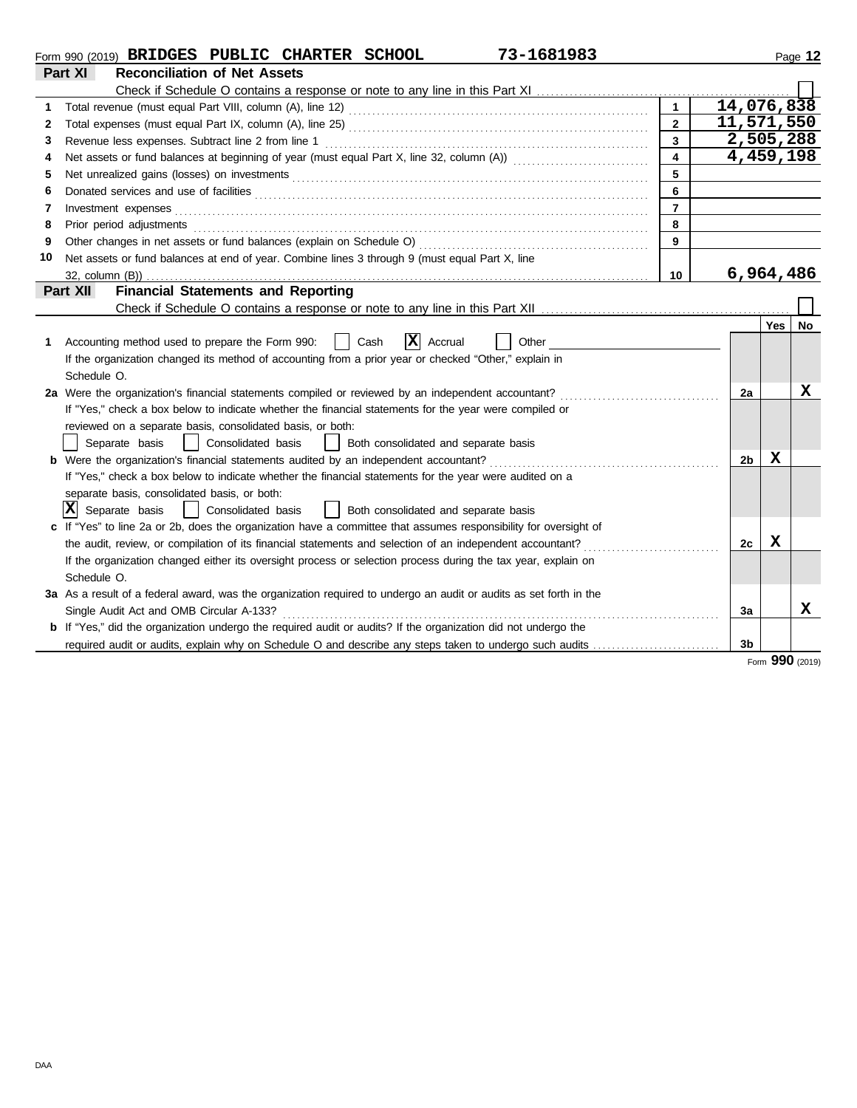|    |                                                                                                                                | 1                       | 14,076,838     |     |           |
|----|--------------------------------------------------------------------------------------------------------------------------------|-------------------------|----------------|-----|-----------|
| 2  |                                                                                                                                | $\overline{2}$          | 11,571,550     |     |           |
| З  | Revenue less expenses. Subtract line 2 from line 1                                                                             | $\overline{\mathbf{3}}$ | 2,505,288      |     |           |
|    |                                                                                                                                | $\overline{4}$          | 4,459,198      |     |           |
| 5  |                                                                                                                                | 5                       |                |     |           |
| 6  | Donated services and use of facilities <b>constructs</b> and the service of facilities <b>constructs</b> and use of facilities | 6                       |                |     |           |
| 7  | Investment expenses                                                                                                            | $\overline{7}$          |                |     |           |
| 8  | Prior period adjustments                                                                                                       | 8                       |                |     |           |
| 9  |                                                                                                                                | 9                       |                |     |           |
| 10 | Net assets or fund balances at end of year. Combine lines 3 through 9 (must equal Part X, line                                 |                         |                |     |           |
|    |                                                                                                                                | 10                      | 6,964,486      |     |           |
|    | <b>Financial Statements and Reporting</b><br>Part XII                                                                          |                         |                |     |           |
|    |                                                                                                                                |                         |                |     |           |
|    |                                                                                                                                |                         |                | Yes | <b>No</b> |
| 1. | $ \mathbf{X} $ Accrual<br>Accounting method used to prepare the Form 990:<br>  Cash<br>Other                                   |                         |                |     |           |
|    | If the organization changed its method of accounting from a prior year or checked "Other," explain in                          |                         |                |     |           |
|    | Schedule O.                                                                                                                    |                         |                |     |           |
|    | 2a Were the organization's financial statements compiled or reviewed by an independent accountant?                             |                         | 2a             |     | x         |
|    | If "Yes," check a box below to indicate whether the financial statements for the year were compiled or                         |                         |                |     |           |
|    | reviewed on a separate basis, consolidated basis, or both:                                                                     |                         |                |     |           |
|    | Separate basis<br>  Consolidated basis<br>  Both consolidated and separate basis                                               |                         |                |     |           |
|    | <b>b</b> Were the organization's financial statements audited by an independent accountant?                                    |                         | 2 <sub>b</sub> | X   |           |
|    | If "Yes," check a box below to indicate whether the financial statements for the year were audited on a                        |                         |                |     |           |
|    | separate basis, consolidated basis, or both:                                                                                   |                         |                |     |           |
|    | $ \mathbf{X} $ Separate basis<br>  Both consolidated and separate basis<br>Consolidated basis                                  |                         |                |     |           |
|    | c If "Yes" to line 2a or 2b, does the organization have a committee that assumes responsibility for oversight of               |                         |                |     |           |
|    | the audit, review, or compilation of its financial statements and selection of an independent accountant?                      |                         | 2c             | x   |           |
|    | If the organization changed either its oversight process or selection process during the tax year, explain on                  |                         |                |     |           |
|    | Schedule O.                                                                                                                    |                         |                |     |           |
|    | 3a As a result of a federal award, was the organization required to undergo an audit or audits as set forth in the             |                         |                |     |           |
|    | Single Audit Act and OMB Circular A-133?                                                                                       |                         | За             |     | x         |
|    | b If "Yes," did the organization undergo the required audit or audits? If the organization did not undergo the                 |                         |                |     |           |
|    | required audit or audits, explain why on Schedule O and describe any steps taken to undergo such audits                        |                         | 3b             |     |           |

Check if Schedule O contains a response or note to any line in this Part XI ....................

required audit or audits, explain why on Schedule O and describe any steps taken to undergo such audits .

#### Form 990 (2019) Page **12 BRIDGES PUBLIC CHARTER SCHOOL 73-1681983 Part XI Reconciliation of Net Assets**

| 73-1681983 |  |  |
|------------|--|--|
|            |  |  |

**14,076,838**

Form **990** (2019)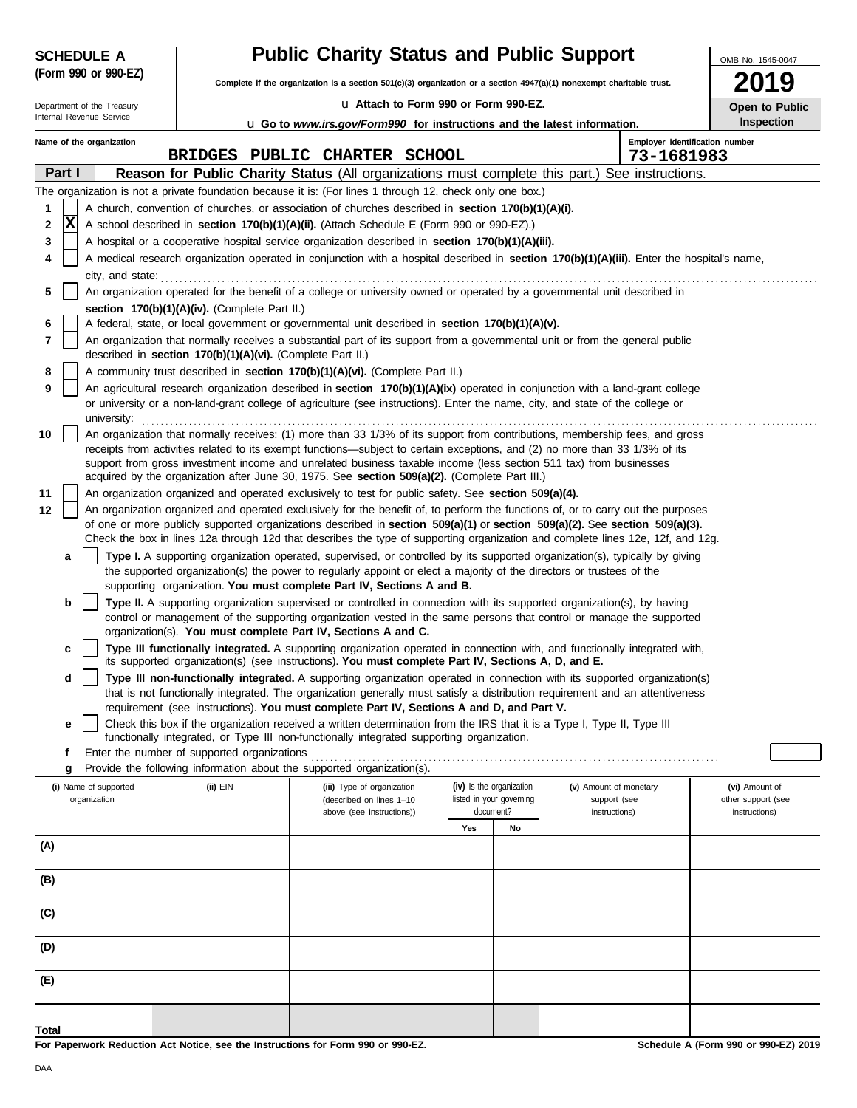| <b>SCHEDULE A</b>                     | <b>Public Charity Status and Public Support</b>                                                      | OMB No. 1545-0047                                                                                                                                                                                                                                                                                                                                                 |                                                      |                                              |                                      |  |  |  |  |  |
|---------------------------------------|------------------------------------------------------------------------------------------------------|-------------------------------------------------------------------------------------------------------------------------------------------------------------------------------------------------------------------------------------------------------------------------------------------------------------------------------------------------------------------|------------------------------------------------------|----------------------------------------------|--------------------------------------|--|--|--|--|--|
| (Form 990 or 990-EZ)                  |                                                                                                      | Complete if the organization is a section 501(c)(3) organization or a section 4947(a)(1) nonexempt charitable trust.                                                                                                                                                                                                                                              |                                                      |                                              | 19                                   |  |  |  |  |  |
| Department of the Treasury            |                                                                                                      | La Attach to Form 990 or Form 990-EZ.                                                                                                                                                                                                                                                                                                                             |                                                      |                                              | Open to Public                       |  |  |  |  |  |
| Internal Revenue Service              |                                                                                                      | <b>u</b> Go to www.irs.gov/Form990 for instructions and the latest information.                                                                                                                                                                                                                                                                                   |                                                      |                                              | Inspection                           |  |  |  |  |  |
| Name of the organization              |                                                                                                      | BRIDGES PUBLIC CHARTER SCHOOL                                                                                                                                                                                                                                                                                                                                     |                                                      | Employer identification number<br>73-1681983 |                                      |  |  |  |  |  |
| Part I                                |                                                                                                      | Reason for Public Charity Status (All organizations must complete this part.) See instructions.                                                                                                                                                                                                                                                                   |                                                      |                                              |                                      |  |  |  |  |  |
|                                       |                                                                                                      | The organization is not a private foundation because it is: (For lines 1 through 12, check only one box.)                                                                                                                                                                                                                                                         |                                                      |                                              |                                      |  |  |  |  |  |
|                                       |                                                                                                      | A church, convention of churches, or association of churches described in <b>section 170(b)(1)(A)(i).</b>                                                                                                                                                                                                                                                         |                                                      |                                              |                                      |  |  |  |  |  |
| Ιx<br>2                               |                                                                                                      | A school described in section 170(b)(1)(A)(ii). (Attach Schedule E (Form 990 or 990-EZ).)                                                                                                                                                                                                                                                                         |                                                      |                                              |                                      |  |  |  |  |  |
| 3                                     |                                                                                                      | A hospital or a cooperative hospital service organization described in section 170(b)(1)(A)(iii).                                                                                                                                                                                                                                                                 |                                                      |                                              |                                      |  |  |  |  |  |
| 4                                     |                                                                                                      | A medical research organization operated in conjunction with a hospital described in section 170(b)(1)(A)(iii). Enter the hospital's name,                                                                                                                                                                                                                        |                                                      |                                              |                                      |  |  |  |  |  |
| 5                                     |                                                                                                      | city, and state: <b>contract the state of the state of the state of the state of the state of the state of the state of the state of the state of the state of the state of the state of the state of the state of the state of </b><br>An organization operated for the benefit of a college or university owned or operated by a governmental unit described in |                                                      |                                              |                                      |  |  |  |  |  |
|                                       | section 170(b)(1)(A)(iv). (Complete Part II.)                                                        |                                                                                                                                                                                                                                                                                                                                                                   |                                                      |                                              |                                      |  |  |  |  |  |
| 6                                     |                                                                                                      | A federal, state, or local government or governmental unit described in section 170(b)(1)(A)(v).                                                                                                                                                                                                                                                                  |                                                      |                                              |                                      |  |  |  |  |  |
| 7                                     |                                                                                                      | An organization that normally receives a substantial part of its support from a governmental unit or from the general public                                                                                                                                                                                                                                      |                                                      |                                              |                                      |  |  |  |  |  |
| 8                                     | described in section 170(b)(1)(A)(vi). (Complete Part II.)                                           | A community trust described in section 170(b)(1)(A)(vi). (Complete Part II.)                                                                                                                                                                                                                                                                                      |                                                      |                                              |                                      |  |  |  |  |  |
| 9                                     |                                                                                                      | An agricultural research organization described in section 170(b)(1)(A)(ix) operated in conjunction with a land-grant college                                                                                                                                                                                                                                     |                                                      |                                              |                                      |  |  |  |  |  |
| university:                           |                                                                                                      | or university or a non-land-grant college of agriculture (see instructions). Enter the name, city, and state of the college or                                                                                                                                                                                                                                    |                                                      |                                              |                                      |  |  |  |  |  |
| 10                                    |                                                                                                      | An organization that normally receives: (1) more than 33 1/3% of its support from contributions, membership fees, and gross                                                                                                                                                                                                                                       |                                                      |                                              |                                      |  |  |  |  |  |
|                                       |                                                                                                      | receipts from activities related to its exempt functions—subject to certain exceptions, and (2) no more than 33 1/3% of its<br>support from gross investment income and unrelated business taxable income (less section 511 tax) from businesses                                                                                                                  |                                                      |                                              |                                      |  |  |  |  |  |
|                                       |                                                                                                      | acquired by the organization after June 30, 1975. See section 509(a)(2). (Complete Part III.)                                                                                                                                                                                                                                                                     |                                                      |                                              |                                      |  |  |  |  |  |
| 11                                    | An organization organized and operated exclusively to test for public safety. See section 509(a)(4). |                                                                                                                                                                                                                                                                                                                                                                   |                                                      |                                              |                                      |  |  |  |  |  |
| 12                                    |                                                                                                      | An organization organized and operated exclusively for the benefit of, to perform the functions of, or to carry out the purposes                                                                                                                                                                                                                                  |                                                      |                                              |                                      |  |  |  |  |  |
|                                       |                                                                                                      | of one or more publicly supported organizations described in section 509(a)(1) or section 509(a)(2). See section 509(a)(3).<br>Check the box in lines 12a through 12d that describes the type of supporting organization and complete lines 12e, 12f, and 12g.                                                                                                    |                                                      |                                              |                                      |  |  |  |  |  |
| a                                     |                                                                                                      | Type I. A supporting organization operated, supervised, or controlled by its supported organization(s), typically by giving                                                                                                                                                                                                                                       |                                                      |                                              |                                      |  |  |  |  |  |
|                                       |                                                                                                      | the supported organization(s) the power to regularly appoint or elect a majority of the directors or trustees of the                                                                                                                                                                                                                                              |                                                      |                                              |                                      |  |  |  |  |  |
| b                                     |                                                                                                      | supporting organization. You must complete Part IV, Sections A and B.<br>Type II. A supporting organization supervised or controlled in connection with its supported organization(s), by having                                                                                                                                                                  |                                                      |                                              |                                      |  |  |  |  |  |
|                                       |                                                                                                      | control or management of the supporting organization vested in the same persons that control or manage the supported                                                                                                                                                                                                                                              |                                                      |                                              |                                      |  |  |  |  |  |
|                                       |                                                                                                      | organization(s). You must complete Part IV, Sections A and C.                                                                                                                                                                                                                                                                                                     |                                                      |                                              |                                      |  |  |  |  |  |
| c                                     |                                                                                                      | Type III functionally integrated. A supporting organization operated in connection with, and functionally integrated with,<br>its supported organization(s) (see instructions). You must complete Part IV, Sections A, D, and E.                                                                                                                                  |                                                      |                                              |                                      |  |  |  |  |  |
| d                                     |                                                                                                      | Type III non-functionally integrated. A supporting organization operated in connection with its supported organization(s)                                                                                                                                                                                                                                         |                                                      |                                              |                                      |  |  |  |  |  |
|                                       |                                                                                                      | that is not functionally integrated. The organization generally must satisfy a distribution requirement and an attentiveness                                                                                                                                                                                                                                      |                                                      |                                              |                                      |  |  |  |  |  |
| е                                     |                                                                                                      | requirement (see instructions). You must complete Part IV, Sections A and D, and Part V.<br>Check this box if the organization received a written determination from the IRS that it is a Type I, Type II, Type III                                                                                                                                               |                                                      |                                              |                                      |  |  |  |  |  |
|                                       |                                                                                                      | functionally integrated, or Type III non-functionally integrated supporting organization.                                                                                                                                                                                                                                                                         |                                                      |                                              |                                      |  |  |  |  |  |
| f                                     | Enter the number of supported organizations                                                          |                                                                                                                                                                                                                                                                                                                                                                   |                                                      |                                              |                                      |  |  |  |  |  |
| g                                     |                                                                                                      | Provide the following information about the supported organization(s).                                                                                                                                                                                                                                                                                            |                                                      |                                              |                                      |  |  |  |  |  |
| (i) Name of supported<br>organization | $(ii)$ $EIN$                                                                                         | (iii) Type of organization<br>(described on lines 1-10                                                                                                                                                                                                                                                                                                            | (iv) Is the organization<br>listed in your governing | (v) Amount of monetary<br>support (see       | (vi) Amount of<br>other support (see |  |  |  |  |  |
|                                       |                                                                                                      | above (see instructions))                                                                                                                                                                                                                                                                                                                                         | document?                                            | instructions)                                | instructions)                        |  |  |  |  |  |
|                                       |                                                                                                      |                                                                                                                                                                                                                                                                                                                                                                   | Yes<br>No                                            |                                              |                                      |  |  |  |  |  |
| (A)                                   |                                                                                                      |                                                                                                                                                                                                                                                                                                                                                                   |                                                      |                                              |                                      |  |  |  |  |  |
| (B)                                   |                                                                                                      |                                                                                                                                                                                                                                                                                                                                                                   |                                                      |                                              |                                      |  |  |  |  |  |
|                                       |                                                                                                      |                                                                                                                                                                                                                                                                                                                                                                   |                                                      |                                              |                                      |  |  |  |  |  |
| (C)                                   |                                                                                                      |                                                                                                                                                                                                                                                                                                                                                                   |                                                      |                                              |                                      |  |  |  |  |  |
| (D)                                   |                                                                                                      |                                                                                                                                                                                                                                                                                                                                                                   |                                                      |                                              |                                      |  |  |  |  |  |
| (E)                                   |                                                                                                      |                                                                                                                                                                                                                                                                                                                                                                   |                                                      |                                              |                                      |  |  |  |  |  |
| Total                                 |                                                                                                      |                                                                                                                                                                                                                                                                                                                                                                   |                                                      |                                              |                                      |  |  |  |  |  |
|                                       |                                                                                                      | For Departments Reduction, Act Notice, can the Instructions for Ferm 000 or 000 FZ                                                                                                                                                                                                                                                                                |                                                      |                                              | Schodule A (Form 000 or 000 EZ) 2010 |  |  |  |  |  |

**For Paperwork Reduction Act Notice, see the Instructions for Form 990 or 990-EZ.**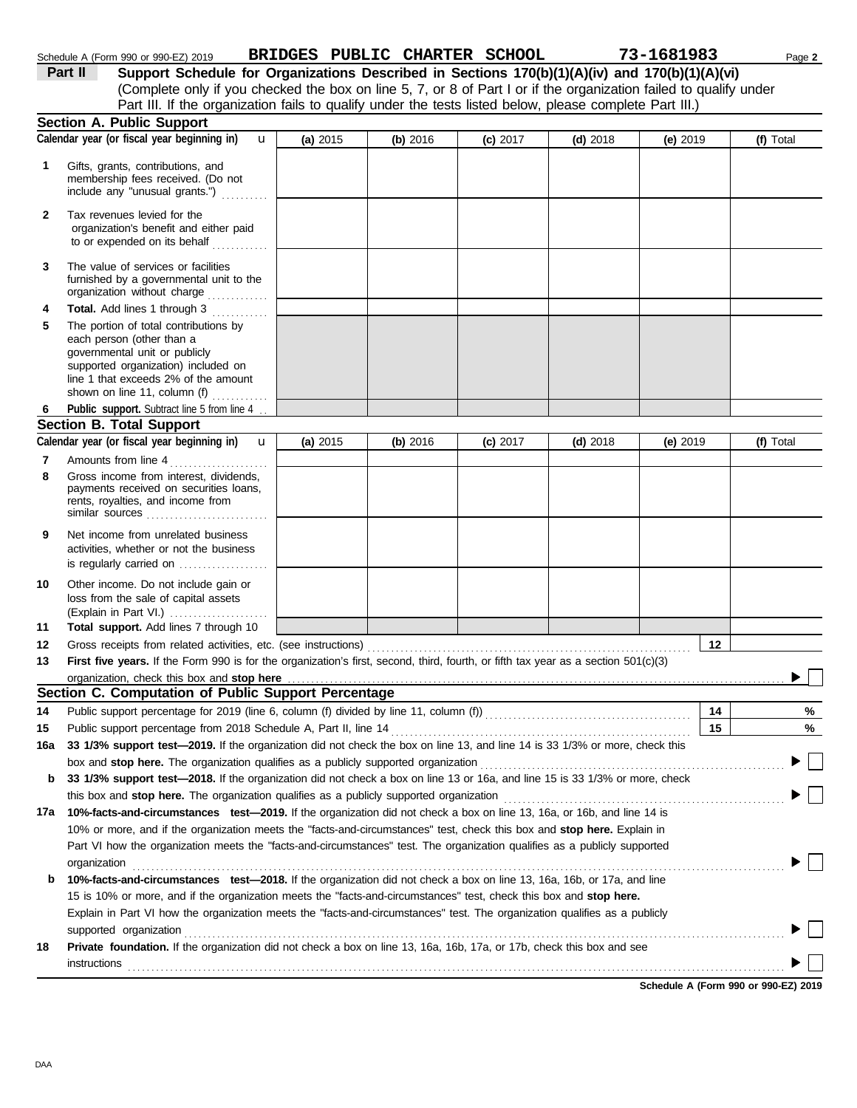|              | Part II<br>Support Schedule for Organizations Described in Sections 170(b)(1)(A)(iv) and 170(b)(1)(A)(vi)                                                                                                                   |          |          |            |            |            |           |
|--------------|-----------------------------------------------------------------------------------------------------------------------------------------------------------------------------------------------------------------------------|----------|----------|------------|------------|------------|-----------|
|              | (Complete only if you checked the box on line 5, 7, or 8 of Part I or if the organization failed to qualify under                                                                                                           |          |          |            |            |            |           |
|              | Part III. If the organization fails to qualify under the tests listed below, please complete Part III.)                                                                                                                     |          |          |            |            |            |           |
|              | <b>Section A. Public Support</b>                                                                                                                                                                                            |          |          |            |            |            |           |
|              | Calendar year (or fiscal year beginning in)<br>$\mathbf{u}$                                                                                                                                                                 | (a) 2015 | (b) 2016 | $(c)$ 2017 | $(d)$ 2018 | (e) $2019$ | (f) Total |
| 1            | Gifts, grants, contributions, and<br>membership fees received. (Do not<br>include any "unusual grants.")                                                                                                                    |          |          |            |            |            |           |
| $\mathbf{2}$ | Tax revenues levied for the<br>organization's benefit and either paid<br>to or expended on its behalf<br>.                                                                                                                  |          |          |            |            |            |           |
| 3            | The value of services or facilities<br>furnished by a governmental unit to the<br>organization without charge                                                                                                               |          |          |            |            |            |           |
| 4            | Total. Add lines 1 through 3<br>.                                                                                                                                                                                           |          |          |            |            |            |           |
| 5            | The portion of total contributions by<br>each person (other than a<br>governmental unit or publicly<br>supported organization) included on<br>line 1 that exceeds 2% of the amount<br>shown on line 11, column (f) $\ldots$ |          |          |            |            |            |           |
| 6            | Public support. Subtract line 5 from line 4                                                                                                                                                                                 |          |          |            |            |            |           |
|              | <b>Section B. Total Support</b>                                                                                                                                                                                             |          |          |            |            |            |           |
|              | Calendar year (or fiscal year beginning in)<br>$\mathbf{u}$                                                                                                                                                                 | (a) 2015 | (b) 2016 | $(c)$ 2017 | $(d)$ 2018 | (e) 2019   | (f) Total |
| 7            | Amounts from line 4                                                                                                                                                                                                         |          |          |            |            |            |           |
| 8            | Gross income from interest, dividends,<br>payments received on securities loans,<br>rents, royalties, and income from<br>similar sources                                                                                    |          |          |            |            |            |           |
| 9            | Net income from unrelated business<br>activities, whether or not the business<br>is regularly carried on                                                                                                                    |          |          |            |            |            |           |
| 10           | Other income. Do not include gain or<br>loss from the sale of capital assets<br>(Explain in Part VI.)                                                                                                                       |          |          |            |            |            |           |
| 11           | Total support. Add lines 7 through 10                                                                                                                                                                                       |          |          |            |            |            |           |
| 12           |                                                                                                                                                                                                                             |          |          |            |            | 12         |           |
| 13           | First five years. If the Form 990 is for the organization's first, second, third, fourth, or fifth tax year as a section 501(c)(3)                                                                                          |          |          |            |            |            |           |
|              | organization, check this box and stop here<br>Section C. Computation of Public Support Percentage<br>Section C. Computation of Public Support Percentage                                                                    |          |          |            |            |            |           |
|              |                                                                                                                                                                                                                             |          |          |            |            |            |           |
| 14           | Public support percentage for 2019 (line 6, column (f) divided by line 11, column (f)) [[[[[[[[[[[[[[[[[[[[[[                                                                                                               |          |          |            |            | 14         | %         |
| 15           | Public support percentage from 2018 Schedule A, Part II, line 14                                                                                                                                                            |          |          |            |            | 15         | %         |
| 16a          | 33 1/3% support test-2019. If the organization did not check the box on line 13, and line 14 is 33 1/3% or more, check this                                                                                                 |          |          |            |            |            |           |
|              | box and stop here. The organization qualifies as a publicly supported organization                                                                                                                                          |          |          |            |            |            |           |
| b            | 33 1/3% support test-2018. If the organization did not check a box on line 13 or 16a, and line 15 is 33 1/3% or more, check                                                                                                 |          |          |            |            |            |           |
|              | this box and stop here. The organization qualifies as a publicly supported organization                                                                                                                                     |          |          |            |            |            |           |
| 17a          | 10%-facts-and-circumstances test-2019. If the organization did not check a box on line 13, 16a, or 16b, and line 14 is                                                                                                      |          |          |            |            |            |           |
|              | 10% or more, and if the organization meets the "facts-and-circumstances" test, check this box and stop here. Explain in                                                                                                     |          |          |            |            |            |           |
|              | Part VI how the organization meets the "facts-and-circumstances" test. The organization qualifies as a publicly supported                                                                                                   |          |          |            |            |            |           |
| b            | organization<br>10%-facts-and-circumstances test-2018. If the organization did not check a box on line 13, 16a, 16b, or 17a, and line                                                                                       |          |          |            |            |            |           |
|              | 15 is 10% or more, and if the organization meets the "facts-and-circumstances" test, check this box and stop here.                                                                                                          |          |          |            |            |            |           |
|              | Explain in Part VI how the organization meets the "facts-and-circumstances" test. The organization qualifies as a publicly                                                                                                  |          |          |            |            |            |           |
|              | supported organization                                                                                                                                                                                                      |          |          |            |            |            |           |
| 18           | Private foundation. If the organization did not check a box on line 13, 16a, 16b, 17a, or 17b, check this box and see<br>instructions                                                                                       |          |          |            |            |            |           |

Schedule A (Form 990 or 990-EZ) 2019 **BRIDGES PUBLIC CHARTER SCHOOL** 73-1681983 Page 2

**Schedule A (Form 990 or 990-EZ) 2019**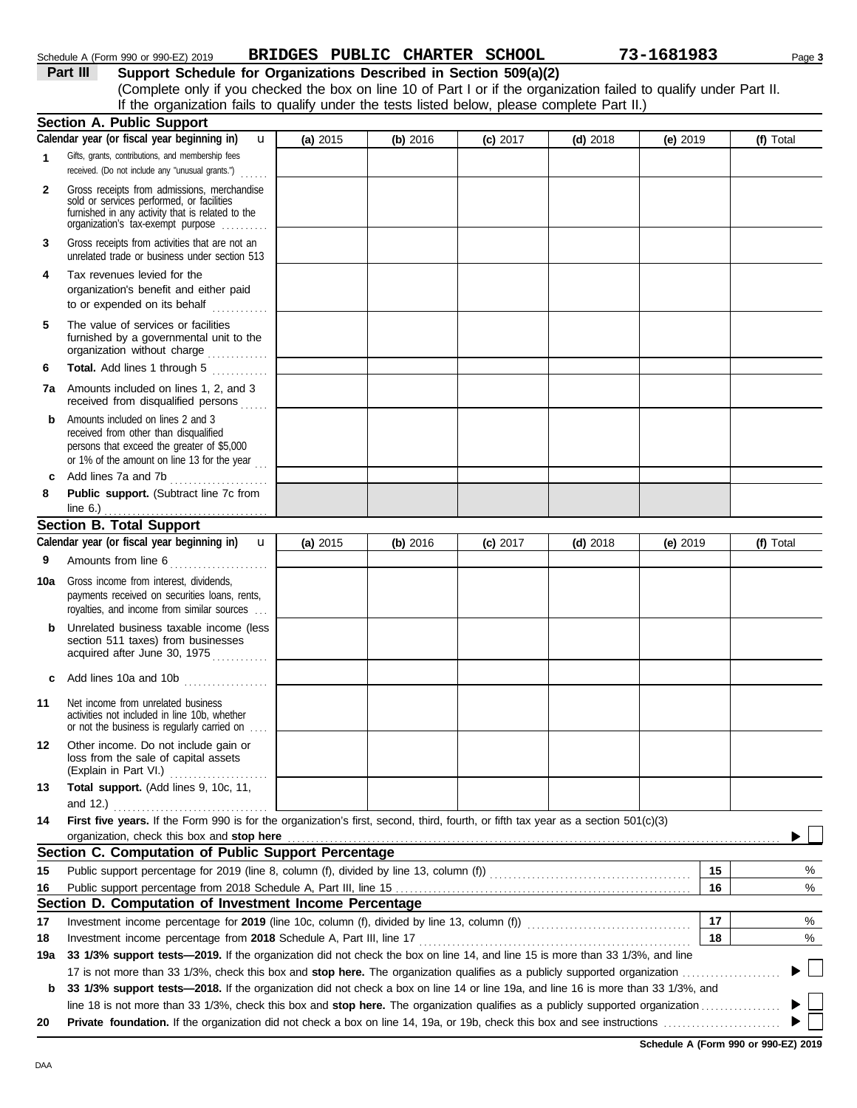|     | Calendar year (or fiscal year beginning in)<br>u                                                                                                                                  | (a) 2015 | (b) 2016   | $(c)$ 2017 | $(d)$ 2018 | (e) 2019 | (f) Total |
|-----|-----------------------------------------------------------------------------------------------------------------------------------------------------------------------------------|----------|------------|------------|------------|----------|-----------|
| 1   | Gifts, grants, contributions, and membership fees<br>received. (Do not include any "unusual grants.")<br>.                                                                        |          |            |            |            |          |           |
| 2   | Gross receipts from admissions, merchandise<br>sold or services performed, or facilities<br>furnished in any activity that is related to the<br>organization's tax-exempt purpose |          |            |            |            |          |           |
| 3   | Gross receipts from activities that are not an<br>unrelated trade or business under section 513                                                                                   |          |            |            |            |          |           |
| 4   | Tax revenues levied for the                                                                                                                                                       |          |            |            |            |          |           |
|     | organization's benefit and either paid<br>to or expended on its behalf<br>. <b>.</b> .                                                                                            |          |            |            |            |          |           |
| 5   | The value of services or facilities<br>furnished by a governmental unit to the<br>organization without charge                                                                     |          |            |            |            |          |           |
| 6   | Total. Add lines 1 through 5                                                                                                                                                      |          |            |            |            |          |           |
| 7a  | Amounts included on lines 1, 2, and 3<br>received from disqualified persons                                                                                                       |          |            |            |            |          |           |
| b   | Amounts included on lines 2 and 3<br>received from other than disqualified<br>persons that exceed the greater of \$5,000<br>or 1% of the amount on line 13 for the year $\ldots$  |          |            |            |            |          |           |
| c   | Add lines 7a and 7b                                                                                                                                                               |          |            |            |            |          |           |
| 8   | Public support. (Subtract line 7c from<br>line $6.$ )                                                                                                                             |          |            |            |            |          |           |
|     | <b>Section B. Total Support</b>                                                                                                                                                   |          |            |            |            |          |           |
|     | Calendar year (or fiscal year beginning in)<br>$\mathbf{u}$                                                                                                                       | (a) 2015 | (b) $2016$ | $(c)$ 2017 | $(d)$ 2018 | (e) 2019 | (f) Total |
| 9   | Amounts from line 6                                                                                                                                                               |          |            |            |            |          |           |
| 10a | Gross income from interest, dividends,<br>payments received on securities loans, rents,<br>royalties, and income from similar sources                                             |          |            |            |            |          |           |
| b   | Unrelated business taxable income (less<br>section 511 taxes) from businesses<br>acquired after June 30, 1975                                                                     |          |            |            |            |          |           |
| c   | Add lines 10a and 10b                                                                                                                                                             |          |            |            |            |          |           |
| 11  | Net income from unrelated business<br>activities not included in line 10b, whether<br>or not the business is regularly carried on                                                 |          |            |            |            |          |           |
| 12  | Other income. Do not include gain or<br>loss from the sale of capital assets<br>(Explain in Part VI.)                                                                             |          |            |            |            |          |           |
| 13  | Total support. (Add lines 9, 10c, 11,<br>and $12.$ )                                                                                                                              |          |            |            |            |          |           |
| 14  | First five years. If the Form 990 is for the organization's first, second, third, fourth, or fifth tax year as a section 501(c)(3)                                                |          |            |            |            |          |           |
|     | organization, check this box and stop here                                                                                                                                        |          |            |            |            |          |           |
|     | Section C. Computation of Public Support Percentage                                                                                                                               |          |            |            |            |          |           |
| 15  |                                                                                                                                                                                   |          |            |            |            | 15       | %         |
| 16  |                                                                                                                                                                                   |          |            |            |            | 16       | %         |
|     | Section D. Computation of Investment Income Percentage                                                                                                                            |          |            |            |            |          |           |
| 17  | Investment income percentage for 2019 (line 10c, column (f), divided by line 13, column (f)) [[[[[[[[[[[[[[[[                                                                     |          |            |            |            | 17       | %         |
| 18  | Investment income percentage from 2018 Schedule A, Part III, line 17 [ <i>[[11] Contention communication</i> contents in                                                          |          |            |            |            | 18       | %         |
| 19a | 33 1/3% support tests-2019. If the organization did not check the box on line 14, and line 15 is more than 33 1/3%, and line                                                      |          |            |            |            |          |           |
|     |                                                                                                                                                                                   |          |            |            |            |          |           |
| b   | 33 1/3% support tests-2018. If the organization did not check a box on line 14 or line 19a, and line 16 is more than 33 1/3%, and                                                 |          |            |            |            |          |           |
|     |                                                                                                                                                                                   |          |            |            |            |          |           |
| 20  |                                                                                                                                                                                   |          |            |            |            |          |           |

#### **Part III Support Schedule for Organizations Described in Section 509(a)(2)** Schedule A (Form 990 or 990-EZ) 2019 **BRIDGES PUBLIC CHARTER SCHOOL** 73-1681983 Page 3

If the organization fails to qualify under the tests listed below, please complete Part II.)

**Section A. Public Support**

(Complete only if you checked the box on line 10 of Part I or if the organization failed to qualify under Part II.

**Schedule A (Form 990 or 990-EZ) 2019**

DAA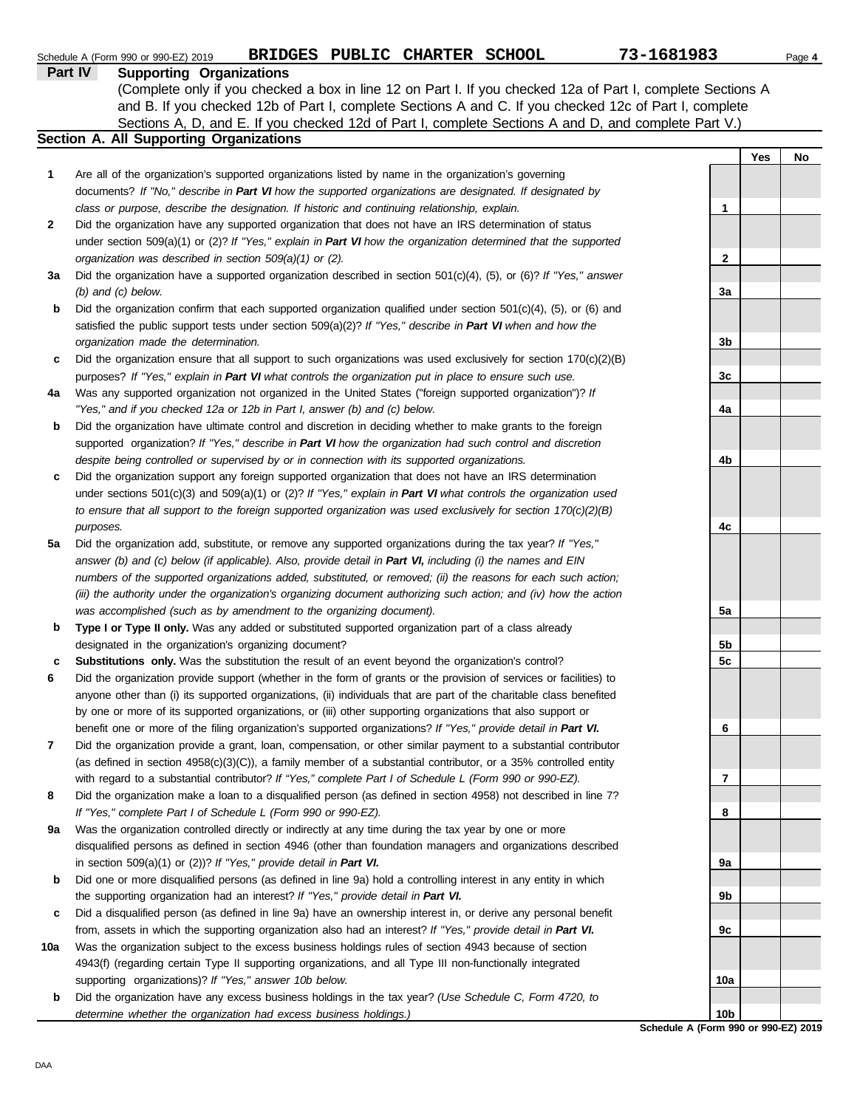|     | 73-1681983<br>BRIDGES PUBLIC CHARTER SCHOOL<br>Schedule A (Form 990 or 990-EZ) 2019                                      |                 |     | Page 4 |
|-----|--------------------------------------------------------------------------------------------------------------------------|-----------------|-----|--------|
|     | Part IV<br><b>Supporting Organizations</b>                                                                               |                 |     |        |
|     | (Complete only if you checked a box in line 12 on Part I. If you checked 12a of Part I, complete Sections A              |                 |     |        |
|     | and B. If you checked 12b of Part I, complete Sections A and C. If you checked 12c of Part I, complete                   |                 |     |        |
|     | Sections A, D, and E. If you checked 12d of Part I, complete Sections A and D, and complete Part V.)                     |                 |     |        |
|     | Section A. All Supporting Organizations                                                                                  |                 |     |        |
|     |                                                                                                                          |                 | Yes | No     |
| 1   | Are all of the organization's supported organizations listed by name in the organization's governing                     |                 |     |        |
|     | documents? If "No," describe in Part VI how the supported organizations are designated. If designated by                 |                 |     |        |
|     | class or purpose, describe the designation. If historic and continuing relationship, explain.                            | 1               |     |        |
| 2   | Did the organization have any supported organization that does not have an IRS determination of status                   |                 |     |        |
|     | under section 509(a)(1) or (2)? If "Yes," explain in Part VI how the organization determined that the supported          |                 |     |        |
|     | organization was described in section 509(a)(1) or (2).                                                                  | $\mathbf{2}$    |     |        |
| За  | Did the organization have a supported organization described in section $501(c)(4)$ , (5), or (6)? If "Yes," answer      |                 |     |        |
|     | $(b)$ and $(c)$ below.                                                                                                   | 3a              |     |        |
| b   | Did the organization confirm that each supported organization qualified under section $501(c)(4)$ , $(5)$ , or $(6)$ and |                 |     |        |
|     | satisfied the public support tests under section 509(a)(2)? If "Yes," describe in Part VI when and how the               |                 |     |        |
|     | organization made the determination.                                                                                     | 3 <sub>b</sub>  |     |        |
| c   | Did the organization ensure that all support to such organizations was used exclusively for section $170(c)(2)(B)$       |                 |     |        |
|     | purposes? If "Yes," explain in Part VI what controls the organization put in place to ensure such use.                   | 3c              |     |        |
| 4a  | Was any supported organization not organized in the United States ("foreign supported organization")? If                 |                 |     |        |
|     | "Yes," and if you checked 12a or 12b in Part I, answer (b) and (c) below.                                                | 4a              |     |        |
| b   | Did the organization have ultimate control and discretion in deciding whether to make grants to the foreign              |                 |     |        |
|     | supported organization? If "Yes," describe in Part VI how the organization had such control and discretion               |                 |     |        |
|     | despite being controlled or supervised by or in connection with its supported organizations.                             | 4b              |     |        |
| c   | Did the organization support any foreign supported organization that does not have an IRS determination                  |                 |     |        |
|     | under sections $501(c)(3)$ and $509(a)(1)$ or (2)? If "Yes," explain in Part VI what controls the organization used      |                 |     |        |
|     | to ensure that all support to the foreign supported organization was used exclusively for section $170(c)(2)(B)$         |                 |     |        |
|     | purposes.                                                                                                                | 4с              |     |        |
| 5a  | Did the organization add, substitute, or remove any supported organizations during the tax year? If "Yes,"               |                 |     |        |
|     | answer (b) and (c) below (if applicable). Also, provide detail in Part VI, including (i) the names and EIN               |                 |     |        |
|     | numbers of the supported organizations added, substituted, or removed; (ii) the reasons for each such action;            |                 |     |        |
|     | (iii) the authority under the organization's organizing document authorizing such action; and (iv) how the action        |                 |     |        |
|     | was accomplished (such as by amendment to the organizing document).                                                      | 5а              |     |        |
| b   | Type I or Type II only. Was any added or substituted supported organization part of a class already                      |                 |     |        |
|     | designated in the organization's organizing document?                                                                    | 5b              |     |        |
| c   | Substitutions only. Was the substitution the result of an event beyond the organization's control?                       | 5c              |     |        |
|     | Did the organization provide support (whether in the form of grants or the provision of services or facilities) to       |                 |     |        |
|     | anyone other than (i) its supported organizations, (ii) individuals that are part of the charitable class benefited      |                 |     |        |
|     | by one or more of its supported organizations, or (iii) other supporting organizations that also support or              |                 |     |        |
|     | benefit one or more of the filing organization's supported organizations? If "Yes," provide detail in Part VI.           | 6               |     |        |
| 7   | Did the organization provide a grant, loan, compensation, or other similar payment to a substantial contributor          |                 |     |        |
|     | (as defined in section $4958(c)(3)(C)$ ), a family member of a substantial contributor, or a 35% controlled entity       |                 |     |        |
|     | with regard to a substantial contributor? If "Yes," complete Part I of Schedule L (Form 990 or 990-EZ).                  | 7               |     |        |
| 8   | Did the organization make a loan to a disqualified person (as defined in section 4958) not described in line 7?          |                 |     |        |
|     | If "Yes," complete Part I of Schedule L (Form 990 or 990-EZ).                                                            | 8               |     |        |
| 9a  | Was the organization controlled directly or indirectly at any time during the tax year by one or more                    |                 |     |        |
|     | disqualified persons as defined in section 4946 (other than foundation managers and organizations described              |                 |     |        |
|     | in section $509(a)(1)$ or (2))? If "Yes," provide detail in Part VI.                                                     | 9а              |     |        |
| b   | Did one or more disqualified persons (as defined in line 9a) hold a controlling interest in any entity in which          |                 |     |        |
|     | the supporting organization had an interest? If "Yes," provide detail in Part VI.                                        | 9b              |     |        |
| c   | Did a disqualified person (as defined in line 9a) have an ownership interest in, or derive any personal benefit          |                 |     |        |
|     | from, assets in which the supporting organization also had an interest? If "Yes," provide detail in Part VI.             | 9с              |     |        |
| 10a | Was the organization subject to the excess business holdings rules of section 4943 because of section                    |                 |     |        |
|     | 4943(f) (regarding certain Type II supporting organizations, and all Type III non-functionally integrated                |                 |     |        |
|     | supporting organizations)? If "Yes," answer 10b below.                                                                   | 10a             |     |        |
| b   | Did the organization have any excess business holdings in the tax year? (Use Schedule C, Form 4720, to                   |                 |     |        |
|     | determine whether the organization had excess business holdings.)                                                        | 10 <sub>b</sub> |     |        |

**Schedule A (Form 990 or 990-EZ) 2019**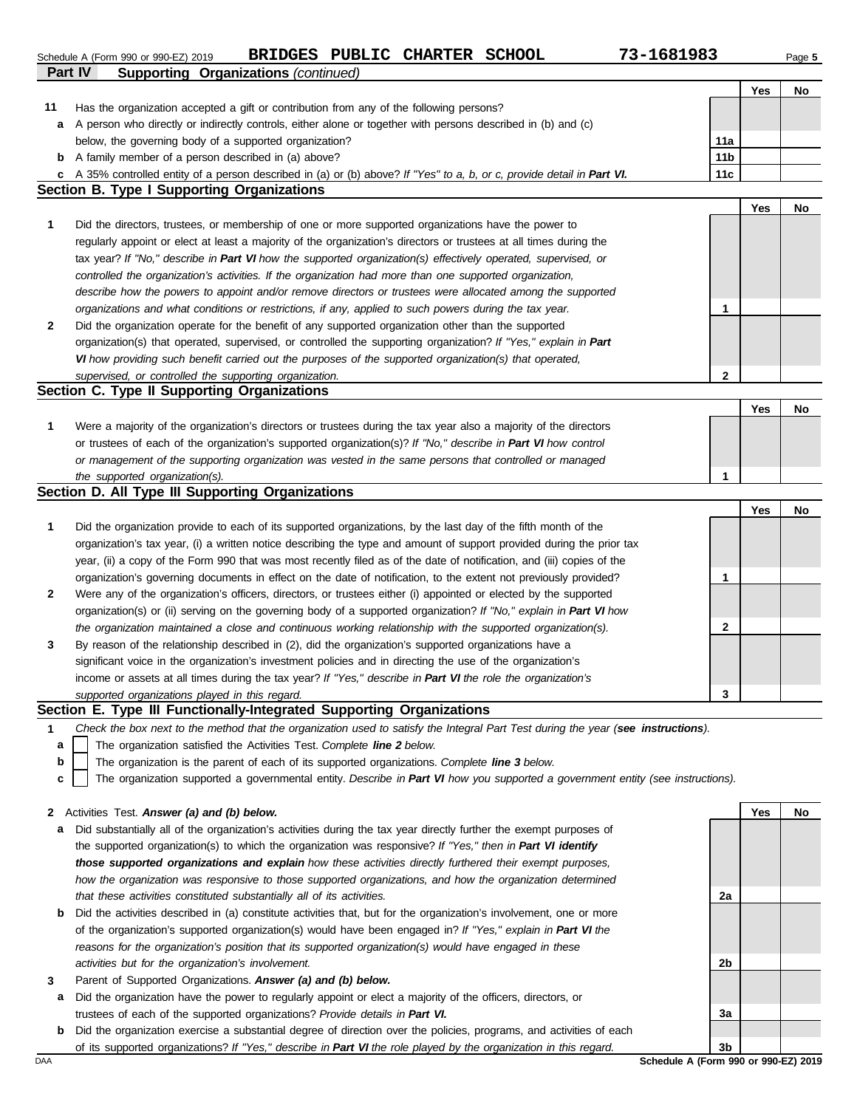**Part IV Supporting Organizations** *(continued)* Schedule A (Form 990 or 990-EZ) 2019 **BRIDGES PUBLIC CHARTER SCHOOL** 73-1681983 Page 5

**Yes No**

| 11  | Has the organization accepted a gift or contribution from any of the following persons?                                           |                                      |     |    |
|-----|-----------------------------------------------------------------------------------------------------------------------------------|--------------------------------------|-----|----|
| а   | A person who directly or indirectly controls, either alone or together with persons described in (b) and (c)                      |                                      |     |    |
|     | below, the governing body of a supported organization?                                                                            | 11a                                  |     |    |
|     | <b>b</b> A family member of a person described in (a) above?                                                                      | 11 <sub>b</sub>                      |     |    |
| c   | A 35% controlled entity of a person described in (a) or (b) above? If "Yes" to a, b, or c, provide detail in Part VI.             | 11c                                  |     |    |
|     | <b>Section B. Type I Supporting Organizations</b>                                                                                 |                                      |     |    |
|     |                                                                                                                                   |                                      | Yes | No |
| 1   | Did the directors, trustees, or membership of one or more supported organizations have the power to                               |                                      |     |    |
|     | regularly appoint or elect at least a majority of the organization's directors or trustees at all times during the                |                                      |     |    |
|     | tax year? If "No," describe in Part VI how the supported organization(s) effectively operated, supervised, or                     |                                      |     |    |
|     | controlled the organization's activities. If the organization had more than one supported organization,                           |                                      |     |    |
|     | describe how the powers to appoint and/or remove directors or trustees were allocated among the supported                         |                                      |     |    |
|     |                                                                                                                                   |                                      |     |    |
|     | organizations and what conditions or restrictions, if any, applied to such powers during the tax year.                            | 1                                    |     |    |
| 2   | Did the organization operate for the benefit of any supported organization other than the supported                               |                                      |     |    |
|     | organization(s) that operated, supervised, or controlled the supporting organization? If "Yes," explain in Part                   |                                      |     |    |
|     | VI how providing such benefit carried out the purposes of the supported organization(s) that operated,                            |                                      |     |    |
|     | supervised, or controlled the supporting organization.                                                                            | $\mathbf{2}$                         |     |    |
|     | Section C. Type II Supporting Organizations                                                                                       |                                      |     |    |
|     |                                                                                                                                   |                                      | Yes | No |
| 1   | Were a majority of the organization's directors or trustees during the tax year also a majority of the directors                  |                                      |     |    |
|     | or trustees of each of the organization's supported organization(s)? If "No," describe in Part VI how control                     |                                      |     |    |
|     | or management of the supporting organization was vested in the same persons that controlled or managed                            |                                      |     |    |
|     | the supported organization(s).                                                                                                    | 1                                    |     |    |
|     | Section D. All Type III Supporting Organizations                                                                                  |                                      |     |    |
|     |                                                                                                                                   |                                      | Yes | No |
| 1   | Did the organization provide to each of its supported organizations, by the last day of the fifth month of the                    |                                      |     |    |
|     | organization's tax year, (i) a written notice describing the type and amount of support provided during the prior tax             |                                      |     |    |
|     | year, (ii) a copy of the Form 990 that was most recently filed as of the date of notification, and (iii) copies of the            |                                      |     |    |
|     | organization's governing documents in effect on the date of notification, to the extent not previously provided?                  |                                      |     |    |
| 2   |                                                                                                                                   | 1                                    |     |    |
|     | Were any of the organization's officers, directors, or trustees either (i) appointed or elected by the supported                  |                                      |     |    |
|     | organization(s) or (ii) serving on the governing body of a supported organization? If "No," explain in Part VI how                |                                      |     |    |
|     | the organization maintained a close and continuous working relationship with the supported organization(s).                       | 2                                    |     |    |
| 3   | By reason of the relationship described in (2), did the organization's supported organizations have a                             |                                      |     |    |
|     | significant voice in the organization's investment policies and in directing the use of the organization's                        |                                      |     |    |
|     | income or assets at all times during the tax year? If "Yes," describe in Part VI the role the organization's                      |                                      |     |    |
|     | supported organizations played in this regard.                                                                                    | 3                                    |     |    |
|     | Section E. Type III Functionally-Integrated Supporting Organizations                                                              |                                      |     |    |
|     | Check the box next to the method that the organization used to satisfy the Integral Part Test during the year (see instructions). |                                      |     |    |
| а   | The organization satisfied the Activities Test. Complete line 2 below.                                                            |                                      |     |    |
| b   | The organization is the parent of each of its supported organizations. Complete line 3 below.                                     |                                      |     |    |
| с   | The organization supported a governmental entity. Describe in Part VI how you supported a government entity (see instructions).   |                                      |     |    |
|     |                                                                                                                                   |                                      |     |    |
| 2   | Activities Test. Answer (a) and (b) below.                                                                                        |                                      | Yes | No |
| а   | Did substantially all of the organization's activities during the tax year directly further the exempt purposes of                |                                      |     |    |
|     | the supported organization(s) to which the organization was responsive? If "Yes," then in Part VI identify                        |                                      |     |    |
|     | those supported organizations and explain how these activities directly furthered their exempt purposes,                          |                                      |     |    |
|     | how the organization was responsive to those supported organizations, and how the organization determined                         |                                      |     |    |
|     | that these activities constituted substantially all of its activities.                                                            | 2a                                   |     |    |
| b   | Did the activities described in (a) constitute activities that, but for the organization's involvement, one or more               |                                      |     |    |
|     | of the organization's supported organization(s) would have been engaged in? If "Yes," explain in Part VI the                      |                                      |     |    |
|     |                                                                                                                                   |                                      |     |    |
|     | reasons for the organization's position that its supported organization(s) would have engaged in these                            |                                      |     |    |
|     | activities but for the organization's involvement.                                                                                | 2b                                   |     |    |
| 3   | Parent of Supported Organizations. Answer (a) and (b) below.                                                                      |                                      |     |    |
| а   | Did the organization have the power to regularly appoint or elect a majority of the officers, directors, or                       |                                      |     |    |
|     | trustees of each of the supported organizations? Provide details in Part VI.                                                      | За                                   |     |    |
| b   | Did the organization exercise a substantial degree of direction over the policies, programs, and activities of each               |                                      |     |    |
|     | of its supported organizations? If "Yes," describe in Part VI the role played by the organization in this regard.                 | 3b                                   |     |    |
| DAA |                                                                                                                                   | Schedule A (Form 990 or 990-EZ) 2019 |     |    |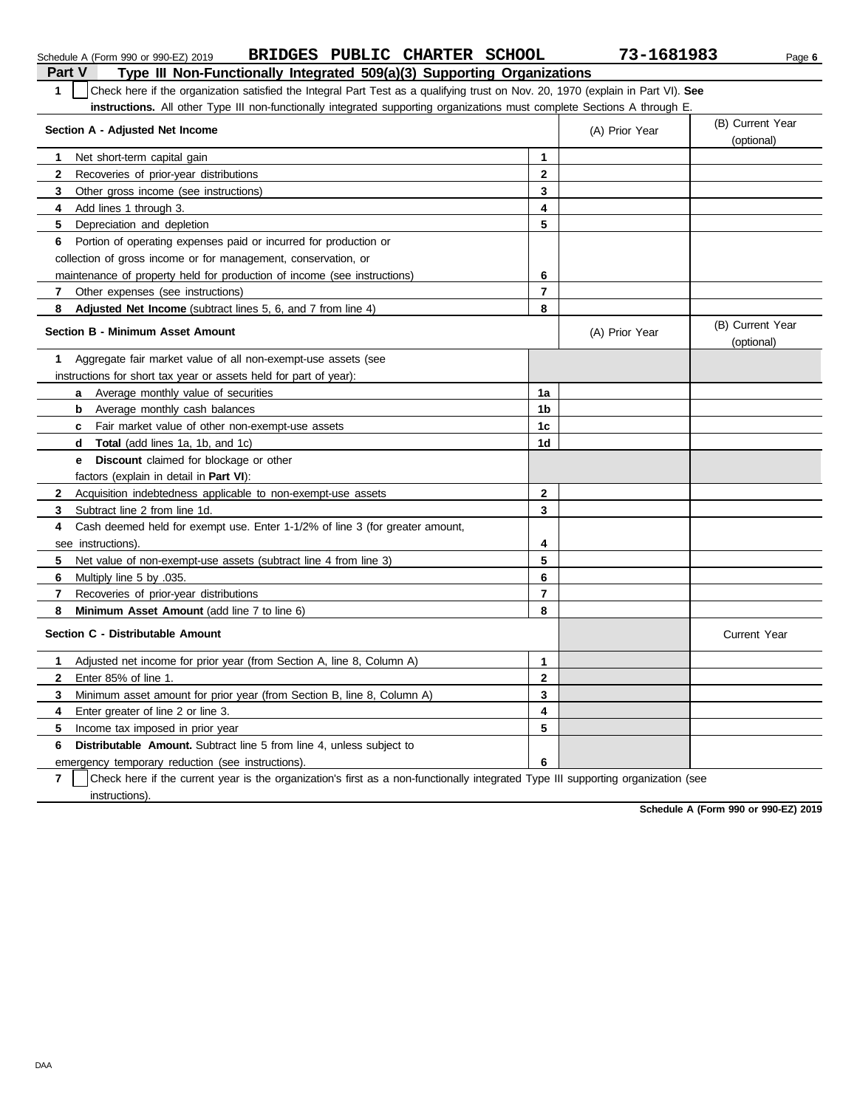|               | BRIDGES PUBLIC CHARTER SCHOOL<br>Schedule A (Form 990 or 990-EZ) 2019                                                            |                | 73-1681983     | Page 6                         |
|---------------|----------------------------------------------------------------------------------------------------------------------------------|----------------|----------------|--------------------------------|
| <b>Part V</b> | Type III Non-Functionally Integrated 509(a)(3) Supporting Organizations                                                          |                |                |                                |
| $\mathbf{1}$  | Check here if the organization satisfied the Integral Part Test as a qualifying trust on Nov. 20, 1970 (explain in Part VI). See |                |                |                                |
|               | instructions. All other Type III non-functionally integrated supporting organizations must complete Sections A through E.        |                |                |                                |
|               | Section A - Adjusted Net Income                                                                                                  |                | (A) Prior Year | (B) Current Year               |
|               |                                                                                                                                  |                |                | (optional)                     |
| 1             | Net short-term capital gain                                                                                                      | $\mathbf{1}$   |                |                                |
| $\mathbf{2}$  | Recoveries of prior-year distributions                                                                                           | $\mathbf 2$    |                |                                |
| 3             | Other gross income (see instructions)                                                                                            | 3              |                |                                |
| 4             | Add lines 1 through 3.                                                                                                           | 4              |                |                                |
| 5             | Depreciation and depletion                                                                                                       | 5              |                |                                |
| 6             | Portion of operating expenses paid or incurred for production or                                                                 |                |                |                                |
|               | collection of gross income or for management, conservation, or                                                                   |                |                |                                |
|               | maintenance of property held for production of income (see instructions)                                                         | 6              |                |                                |
| 7             | Other expenses (see instructions)                                                                                                | $\overline{7}$ |                |                                |
| 8             | Adjusted Net Income (subtract lines 5, 6, and 7 from line 4)                                                                     | 8              |                |                                |
|               | <b>Section B - Minimum Asset Amount</b>                                                                                          |                | (A) Prior Year | (B) Current Year<br>(optional) |
| 1             | Aggregate fair market value of all non-exempt-use assets (see                                                                    |                |                |                                |
|               | instructions for short tax year or assets held for part of year):                                                                |                |                |                                |
|               | Average monthly value of securities<br>a                                                                                         | 1a             |                |                                |
|               | <b>b</b> Average monthly cash balances                                                                                           | 1 <sub>b</sub> |                |                                |
|               | <b>c</b> Fair market value of other non-exempt-use assets                                                                        | 1 <sub>c</sub> |                |                                |
|               | <b>Total</b> (add lines 1a, 1b, and 1c)<br>d                                                                                     | 1 <sub>d</sub> |                |                                |
|               | Discount claimed for blockage or other<br>e                                                                                      |                |                |                                |
|               | factors (explain in detail in <b>Part VI)</b> :                                                                                  |                |                |                                |
| $\mathbf{2}$  | Acquisition indebtedness applicable to non-exempt-use assets                                                                     | $\mathbf{2}$   |                |                                |
| 3             | Subtract line 2 from line 1d.                                                                                                    | 3              |                |                                |
| 4             | Cash deemed held for exempt use. Enter 1-1/2% of line 3 (for greater amount,                                                     |                |                |                                |
|               | see instructions)                                                                                                                | 4              |                |                                |
| 5.            | Net value of non-exempt-use assets (subtract line 4 from line 3)                                                                 | 5              |                |                                |
| 6             | Multiply line 5 by .035.                                                                                                         | 6              |                |                                |
| 7             | Recoveries of prior-year distributions                                                                                           | $\overline{7}$ |                |                                |
| 8             | <b>Minimum Asset Amount</b> (add line 7 to line 6)                                                                               | 8              |                |                                |
|               | Section C - Distributable Amount                                                                                                 |                |                | <b>Current Year</b>            |
| 1             | Adjusted net income for prior year (from Section A, line 8, Column A)                                                            | $\mathbf{1}$   |                |                                |
| $\mathbf{2}$  | Enter 85% of line 1.                                                                                                             | $\mathbf{2}$   |                |                                |
| 3             | Minimum asset amount for prior year (from Section B, line 8, Column A)                                                           | 3              |                |                                |
| 4             | Enter greater of line 2 or line 3.                                                                                               | 4              |                |                                |
| 5             | Income tax imposed in prior year                                                                                                 | 5              |                |                                |
| 6             | <b>Distributable Amount.</b> Subtract line 5 from line 4, unless subject to                                                      |                |                |                                |
|               | emergency temporary reduction (see instructions).                                                                                | 6              |                |                                |
|               |                                                                                                                                  |                |                |                                |

**7** | Check here if the current year is the organization's first as a non-functionally integrated Type III supporting organization (see instructions).

**Schedule A (Form 990 or 990-EZ) 2019**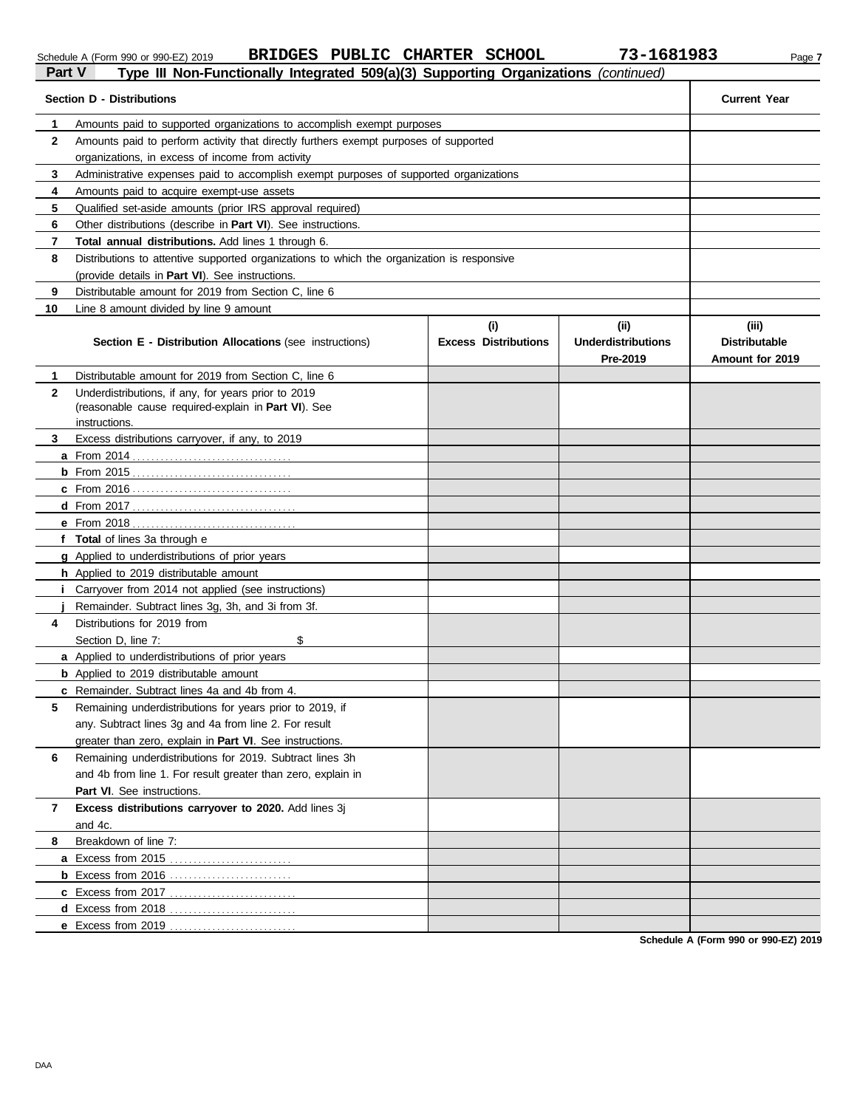Schedule A (Form 990 or 990-EZ) 2019 **BRIDGES PUBLIC CHARTER SCHOOL** 73-1681983 Page 7 **Part V Type III Non-Functionally Integrated 509(a)(3) Supporting Organizations** *(continued)* 

| <b>rail v</b> | rype in Non-Functionally integrated 509(a)(5) Supporting Organizations ( <i>Continued</i> )                          |                             |                                       |                                         |  |  |  |  |
|---------------|----------------------------------------------------------------------------------------------------------------------|-----------------------------|---------------------------------------|-----------------------------------------|--|--|--|--|
|               | <b>Section D - Distributions</b>                                                                                     |                             |                                       | <b>Current Year</b>                     |  |  |  |  |
| 1             | Amounts paid to supported organizations to accomplish exempt purposes                                                |                             |                                       |                                         |  |  |  |  |
| $\mathbf{2}$  | Amounts paid to perform activity that directly furthers exempt purposes of supported                                 |                             |                                       |                                         |  |  |  |  |
|               | organizations, in excess of income from activity                                                                     |                             |                                       |                                         |  |  |  |  |
| 3             | Administrative expenses paid to accomplish exempt purposes of supported organizations                                |                             |                                       |                                         |  |  |  |  |
| 4             | Amounts paid to acquire exempt-use assets                                                                            |                             |                                       |                                         |  |  |  |  |
| 5             | Qualified set-aside amounts (prior IRS approval required)                                                            |                             |                                       |                                         |  |  |  |  |
| 6             | Other distributions (describe in <b>Part VI</b> ). See instructions.                                                 |                             |                                       |                                         |  |  |  |  |
| 7             | Total annual distributions. Add lines 1 through 6.                                                                   |                             |                                       |                                         |  |  |  |  |
| 8             | Distributions to attentive supported organizations to which the organization is responsive                           |                             |                                       |                                         |  |  |  |  |
|               | (provide details in Part VI). See instructions.                                                                      |                             |                                       |                                         |  |  |  |  |
| 9             | Distributable amount for 2019 from Section C, line 6                                                                 |                             |                                       |                                         |  |  |  |  |
| 10            | Line 8 amount divided by line 9 amount                                                                               |                             |                                       |                                         |  |  |  |  |
|               |                                                                                                                      | (i)                         | (iii)                                 | (iii)                                   |  |  |  |  |
|               | <b>Section E - Distribution Allocations (see instructions)</b>                                                       | <b>Excess Distributions</b> | <b>Underdistributions</b><br>Pre-2019 | <b>Distributable</b><br>Amount for 2019 |  |  |  |  |
| 1.            | Distributable amount for 2019 from Section C, line 6                                                                 |                             |                                       |                                         |  |  |  |  |
| $\mathbf{2}$  | Underdistributions, if any, for years prior to 2019                                                                  |                             |                                       |                                         |  |  |  |  |
|               | (reasonable cause required-explain in Part VI). See                                                                  |                             |                                       |                                         |  |  |  |  |
|               | instructions.                                                                                                        |                             |                                       |                                         |  |  |  |  |
| 3             | Excess distributions carryover, if any, to 2019                                                                      |                             |                                       |                                         |  |  |  |  |
|               | <b>a</b> From 2014                                                                                                   |                             |                                       |                                         |  |  |  |  |
|               |                                                                                                                      |                             |                                       |                                         |  |  |  |  |
|               |                                                                                                                      |                             |                                       |                                         |  |  |  |  |
|               |                                                                                                                      |                             |                                       |                                         |  |  |  |  |
|               | e From 2018                                                                                                          |                             |                                       |                                         |  |  |  |  |
|               | f Total of lines 3a through e                                                                                        |                             |                                       |                                         |  |  |  |  |
|               | g Applied to underdistributions of prior years                                                                       |                             |                                       |                                         |  |  |  |  |
|               | h Applied to 2019 distributable amount                                                                               |                             |                                       |                                         |  |  |  |  |
| Ť.            | Carryover from 2014 not applied (see instructions)                                                                   |                             |                                       |                                         |  |  |  |  |
|               | Remainder. Subtract lines 3g, 3h, and 3i from 3f.                                                                    |                             |                                       |                                         |  |  |  |  |
| 4             | Distributions for 2019 from                                                                                          |                             |                                       |                                         |  |  |  |  |
|               | \$<br>Section D, line 7:                                                                                             |                             |                                       |                                         |  |  |  |  |
|               | a Applied to underdistributions of prior years                                                                       |                             |                                       |                                         |  |  |  |  |
|               | <b>b</b> Applied to 2019 distributable amount<br>c Remainder. Subtract lines 4a and 4b from 4.                       |                             |                                       |                                         |  |  |  |  |
|               |                                                                                                                      |                             |                                       |                                         |  |  |  |  |
| 5             | Remaining underdistributions for years prior to 2019, if                                                             |                             |                                       |                                         |  |  |  |  |
|               | any. Subtract lines 3g and 4a from line 2. For result                                                                |                             |                                       |                                         |  |  |  |  |
| 6             | greater than zero, explain in Part VI. See instructions.<br>Remaining underdistributions for 2019. Subtract lines 3h |                             |                                       |                                         |  |  |  |  |
|               | and 4b from line 1. For result greater than zero, explain in                                                         |                             |                                       |                                         |  |  |  |  |
|               | Part VI. See instructions.                                                                                           |                             |                                       |                                         |  |  |  |  |
| 7             | Excess distributions carryover to 2020. Add lines 3j                                                                 |                             |                                       |                                         |  |  |  |  |
|               | and 4c.                                                                                                              |                             |                                       |                                         |  |  |  |  |
| 8             | Breakdown of line 7:                                                                                                 |                             |                                       |                                         |  |  |  |  |
|               | a Excess from 2015                                                                                                   |                             |                                       |                                         |  |  |  |  |
|               | <b>b</b> Excess from 2016                                                                                            |                             |                                       |                                         |  |  |  |  |
|               | c Excess from 2017                                                                                                   |                             |                                       |                                         |  |  |  |  |
|               | d Excess from 2018                                                                                                   |                             |                                       |                                         |  |  |  |  |
|               | e Excess from 2019                                                                                                   |                             |                                       |                                         |  |  |  |  |

**Schedule A (Form 990 or 990-EZ) 2019**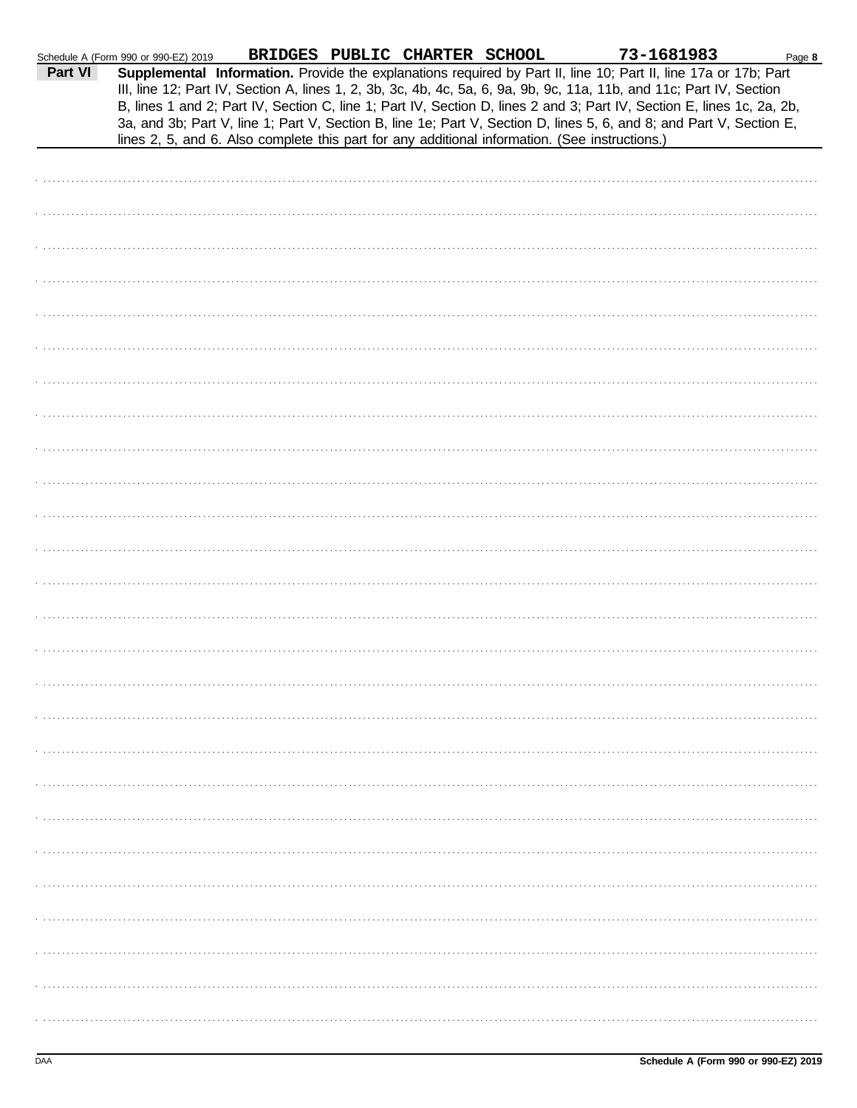|         | Schedule A (Form 990 or 990-EZ) 2019                                                           |  | BRIDGES PUBLIC CHARTER SCHOOL | 73-1681983                                                                                                                                                                                                                                                                                                                                                                                                                                                                                | Page 8 |
|---------|------------------------------------------------------------------------------------------------|--|-------------------------------|-------------------------------------------------------------------------------------------------------------------------------------------------------------------------------------------------------------------------------------------------------------------------------------------------------------------------------------------------------------------------------------------------------------------------------------------------------------------------------------------|--------|
| Part VI | lines 2, 5, and 6. Also complete this part for any additional information. (See instructions.) |  |                               | Supplemental Information. Provide the explanations required by Part II, line 10; Part II, line 17a or 17b; Part<br>III, line 12; Part IV, Section A, lines 1, 2, 3b, 3c, 4b, 4c, 5a, 6, 9a, 9b, 9c, 11a, 11b, and 11c; Part IV, Section<br>B, lines 1 and 2; Part IV, Section C, line 1; Part IV, Section D, lines 2 and 3; Part IV, Section E, lines 1c, 2a, 2b,<br>3a, and 3b; Part V, line 1; Part V, Section B, line 1e; Part V, Section D, lines 5, 6, and 8; and Part V, Section E, |        |
|         |                                                                                                |  |                               |                                                                                                                                                                                                                                                                                                                                                                                                                                                                                           |        |
|         |                                                                                                |  |                               |                                                                                                                                                                                                                                                                                                                                                                                                                                                                                           |        |
|         |                                                                                                |  |                               |                                                                                                                                                                                                                                                                                                                                                                                                                                                                                           |        |
|         |                                                                                                |  |                               |                                                                                                                                                                                                                                                                                                                                                                                                                                                                                           |        |
|         |                                                                                                |  |                               |                                                                                                                                                                                                                                                                                                                                                                                                                                                                                           |        |
|         |                                                                                                |  |                               |                                                                                                                                                                                                                                                                                                                                                                                                                                                                                           |        |
|         |                                                                                                |  |                               |                                                                                                                                                                                                                                                                                                                                                                                                                                                                                           |        |
|         |                                                                                                |  |                               |                                                                                                                                                                                                                                                                                                                                                                                                                                                                                           |        |
|         |                                                                                                |  |                               |                                                                                                                                                                                                                                                                                                                                                                                                                                                                                           |        |
|         |                                                                                                |  |                               |                                                                                                                                                                                                                                                                                                                                                                                                                                                                                           |        |
|         |                                                                                                |  |                               |                                                                                                                                                                                                                                                                                                                                                                                                                                                                                           |        |
|         |                                                                                                |  |                               |                                                                                                                                                                                                                                                                                                                                                                                                                                                                                           |        |
|         |                                                                                                |  |                               |                                                                                                                                                                                                                                                                                                                                                                                                                                                                                           |        |
|         |                                                                                                |  |                               |                                                                                                                                                                                                                                                                                                                                                                                                                                                                                           |        |
|         |                                                                                                |  |                               |                                                                                                                                                                                                                                                                                                                                                                                                                                                                                           |        |
|         |                                                                                                |  |                               |                                                                                                                                                                                                                                                                                                                                                                                                                                                                                           |        |
|         |                                                                                                |  |                               |                                                                                                                                                                                                                                                                                                                                                                                                                                                                                           |        |
|         |                                                                                                |  |                               |                                                                                                                                                                                                                                                                                                                                                                                                                                                                                           |        |
|         |                                                                                                |  |                               |                                                                                                                                                                                                                                                                                                                                                                                                                                                                                           |        |
|         |                                                                                                |  |                               |                                                                                                                                                                                                                                                                                                                                                                                                                                                                                           |        |
|         |                                                                                                |  |                               |                                                                                                                                                                                                                                                                                                                                                                                                                                                                                           |        |
|         |                                                                                                |  |                               |                                                                                                                                                                                                                                                                                                                                                                                                                                                                                           |        |
|         |                                                                                                |  |                               |                                                                                                                                                                                                                                                                                                                                                                                                                                                                                           |        |
|         |                                                                                                |  |                               |                                                                                                                                                                                                                                                                                                                                                                                                                                                                                           |        |
|         |                                                                                                |  |                               |                                                                                                                                                                                                                                                                                                                                                                                                                                                                                           |        |
|         |                                                                                                |  |                               |                                                                                                                                                                                                                                                                                                                                                                                                                                                                                           |        |
|         |                                                                                                |  |                               |                                                                                                                                                                                                                                                                                                                                                                                                                                                                                           |        |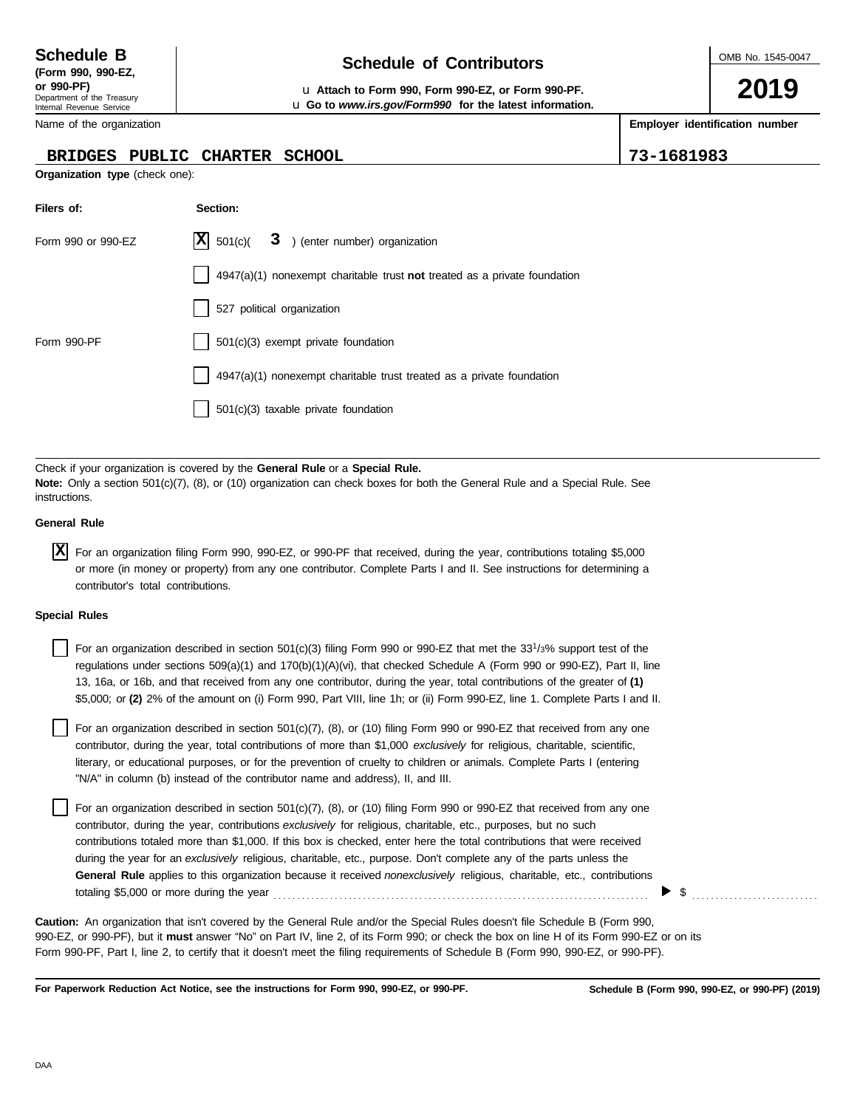#### **Schedule of Contributors Schedule B (Form 990, 990-EZ,**

Department of the Treasury Internal Revenue Service

Name of the organization

## **BRIDGES PUBLIC CHARTER SCHOOL 73-1681983**

**Organization type** (check one):

# **Filers of: Section:** Form 990 or 990-EZ  $|\mathbf{X}|$  501(c)( 3) (enter number) organization 4947(a)(1) nonexempt charitable trust **not** treated as a private foundation 527 political organization Form 990-PF 1501(c)(3) exempt private foundation 4947(a)(1) nonexempt charitable trust treated as a private foundation 501(c)(3) taxable private foundation Check if your organization is covered by the **General Rule** or a **Special Rule. Note:** Only a section 501(c)(7), (8), or (10) organization can check boxes for both the General Rule and a Special Rule. See instructions.  $|\mathbf{X}|$  501(c)(

#### **General Rule**

For an organization filing Form 990, 990-EZ, or 990-PF that received, during the year, contributions totaling \$5,000 **X**or more (in money or property) from any one contributor. Complete Parts I and II. See instructions for determining a contributor's total contributions.

#### **Special Rules**

| For an organization described in section 501(c)(3) filing Form 990 or 990-EZ that met the 33 <sup>1</sup> /3% support test of the |
|-----------------------------------------------------------------------------------------------------------------------------------|
| regulations under sections 509(a)(1) and 170(b)(1)(A)(vi), that checked Schedule A (Form 990 or 990-EZ), Part II, line            |
| 13, 16a, or 16b, and that received from any one contributor, during the year, total contributions of the greater of (1)           |
| \$5,000; or (2) 2% of the amount on (i) Form 990, Part VIII, line 1h; or (ii) Form 990-EZ, line 1. Complete Parts I and II.       |

literary, or educational purposes, or for the prevention of cruelty to children or animals. Complete Parts I (entering For an organization described in section 501(c)(7), (8), or (10) filing Form 990 or 990-EZ that received from any one contributor, during the year, total contributions of more than \$1,000 *exclusively* for religious, charitable, scientific, "N/A" in column (b) instead of the contributor name and address), II, and III.

For an organization described in section 501(c)(7), (8), or (10) filing Form 990 or 990-EZ that received from any one contributor, during the year, contributions *exclusively* for religious, charitable, etc., purposes, but no such contributions totaled more than \$1,000. If this box is checked, enter here the total contributions that were received during the year for an *exclusively* religious, charitable, etc., purpose. Don't complete any of the parts unless the **General Rule** applies to this organization because it received *nonexclusively* religious, charitable, etc., contributions totaling \$5,000 or more during the year . . . . . . . . . . . . . . . . . . . . . . . . . . . . . . . . . . . . . . . . . . . . . . . . . . . . . . . . . . . . . . . . . . . . . . . . . . . . . . . .

990-EZ, or 990-PF), but it **must** answer "No" on Part IV, line 2, of its Form 990; or check the box on line H of its Form 990-EZ or on its Form 990-PF, Part I, line 2, to certify that it doesn't meet the filing requirements of Schedule B (Form 990, 990-EZ, or 990-PF). **Caution:** An organization that isn't covered by the General Rule and/or the Special Rules doesn't file Schedule B (Form 990,

**For Paperwork Reduction Act Notice, see the instructions for Form 990, 990-EZ, or 990-PF.**

 $\blacktriangleright$  \$



**2019**

**or 990-PF)** u **Attach to Form 990, Form 990-EZ, or Form 990-PF.** u **Go to** *www.irs.gov/Form990* **for the latest information.**

**Employer identification number**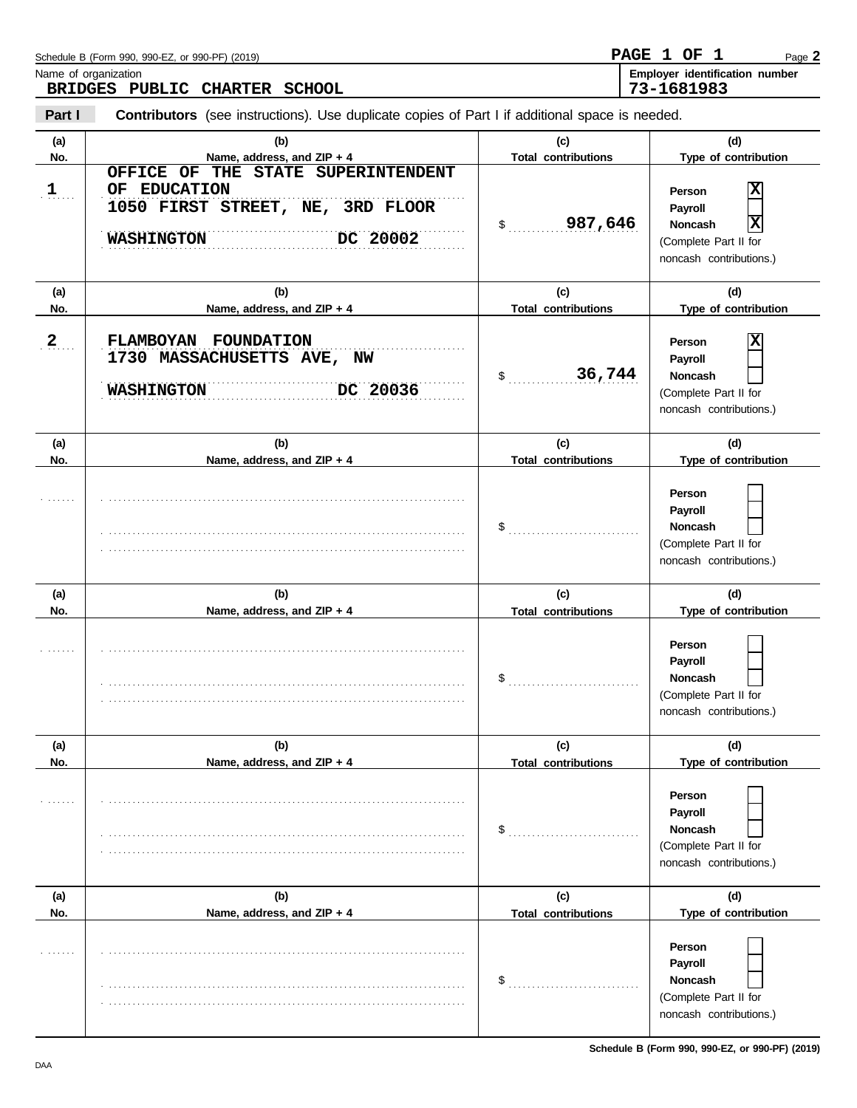|            | Name of organization<br>BRIDGES PUBLIC CHARTER SCHOOL                                                                   |                                   | Employer identification number<br>73-1681983                                                                                           |
|------------|-------------------------------------------------------------------------------------------------------------------------|-----------------------------------|----------------------------------------------------------------------------------------------------------------------------------------|
| Part I     | Contributors (see instructions). Use duplicate copies of Part I if additional space is needed.                          |                                   |                                                                                                                                        |
| (a)<br>No. | (b)<br>Name, address, and ZIP + 4                                                                                       | (c)<br><b>Total contributions</b> | (d)<br>Type of contribution                                                                                                            |
| 1          | OFFICE OF THE STATE SUPERINTENDENT<br>OF EDUCATION<br>1050 FIRST STREET, NE, 3RD FLOOR<br>DC 20002<br><b>WASHINGTON</b> | 987,646<br>\$                     | $\overline{\mathbf{x}}$<br>Person<br>Payroll<br>$\overline{\mathbf{x}}$<br>Noncash<br>(Complete Part II for<br>noncash contributions.) |
| (a)<br>No. | (b)<br>Name, address, and ZIP + 4                                                                                       | (c)<br><b>Total contributions</b> | (d)<br>Type of contribution                                                                                                            |
| 2          | FLAMBOYAN FOUNDATION<br>1730 MASSACHUSETTS AVE, NW<br>DC 20036<br><b>WASHINGTON</b>                                     | 36,744<br>$\frac{1}{2}$           | X<br>Person<br>Payroll<br>Noncash<br>(Complete Part II for<br>noncash contributions.)                                                  |
| (a)<br>No. | (b)<br>Name, address, and ZIP + 4                                                                                       | (c)<br><b>Total contributions</b> | (d)<br>Type of contribution                                                                                                            |
|            |                                                                                                                         |                                   | Person<br>Payroll<br>Noncash<br>(Complete Part II for<br>noncash contributions.)                                                       |
| (a)<br>No. | (b)<br>Name, address, and ZIP + 4                                                                                       | (c)<br><b>Total contributions</b> | (d)<br>Type of contribution                                                                                                            |
|            |                                                                                                                         | $\frac{1}{2}$                     | Person<br>Payroll<br><b>Noncash</b><br>(Complete Part II for<br>noncash contributions.)                                                |
| (a)        | (b)                                                                                                                     | (c)                               | (d)                                                                                                                                    |
| No.        | Name, address, and ZIP + 4                                                                                              | <b>Total contributions</b><br>\$  | Type of contribution<br>Person<br>Payroll<br>Noncash<br>(Complete Part II for<br>noncash contributions.)                               |
| (a)<br>No. | (b)<br>Name, address, and ZIP + 4                                                                                       | (c)<br><b>Total contributions</b> | (d)<br>Type of contribution                                                                                                            |
|            |                                                                                                                         | \$                                | Person<br>Payroll<br><b>Noncash</b><br>(Complete Part II for<br>noncash contributions.)                                                |

Page **2**

**PAGE 1 OF 1**

Schedule B (Form 990, 990-EZ, or 990-PF) (2019)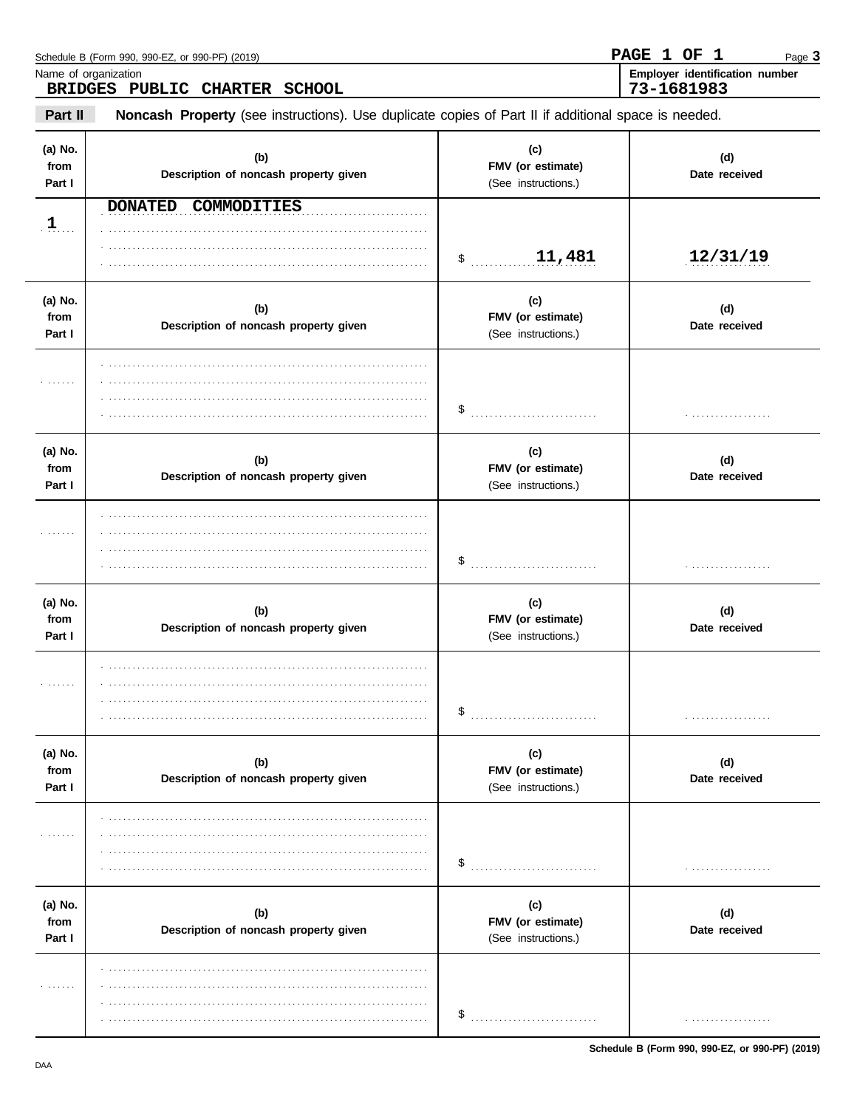| Name of organization                      | Schedule B (Form 990, 990-EZ, or 990-PF) (2019)                                                                                                       |                                                 | PAGE 1 OF<br>$\mathbf 1$<br>Page 3<br>Employer identification number |
|-------------------------------------------|-------------------------------------------------------------------------------------------------------------------------------------------------------|-------------------------------------------------|----------------------------------------------------------------------|
| Part II                                   | <b>BRIDGES PUBLIC CHARTER</b><br><b>SCHOOL</b><br>Noncash Property (see instructions). Use duplicate copies of Part II if additional space is needed. |                                                 | 73-1681983                                                           |
| (a) No.<br>from<br>Part I                 | (b)<br>Description of noncash property given                                                                                                          | (c)<br>FMV (or estimate)<br>(See instructions.) | (d)<br>Date received                                                 |
| 1                                         | <b>DONATED</b><br>COMMODITIES                                                                                                                         | 11,481<br>$\frac{1}{2}$                         | 12/31/19                                                             |
| (a) No.<br>from<br>Part I                 | (b)<br>Description of noncash property given                                                                                                          | (c)<br>FMV (or estimate)<br>(See instructions.) | (d)<br>Date received                                                 |
| $\sim$ $\sim$ $\sim$ $\sim$ $\sim$ $\sim$ |                                                                                                                                                       | \$                                              |                                                                      |
| (a) No.<br>from<br>Part I                 | (b)<br>Description of noncash property given                                                                                                          | (c)<br>FMV (or estimate)<br>(See instructions.) | (d)<br>Date received                                                 |
| $\sim$ $\sim$ $\sim$ $\sim$ $\sim$ $\sim$ |                                                                                                                                                       | \$                                              |                                                                      |
| (a) No.<br>from<br>Part I                 | (b)<br>Description of noncash property given                                                                                                          | (c)<br>FMV (or estimate)<br>(See instructions.) | (d)<br>Date received                                                 |
| .                                         |                                                                                                                                                       | \$                                              |                                                                      |
| (a) No.<br>from<br>Part I                 | (b)<br>Description of noncash property given                                                                                                          | (c)<br>FMV (or estimate)<br>(See instructions.) | (d)<br>Date received                                                 |
| .                                         |                                                                                                                                                       | \$                                              |                                                                      |
| (a) No.<br>from<br>Part I                 | (b)<br>Description of noncash property given                                                                                                          | (c)<br>FMV (or estimate)<br>(See instructions.) | (d)<br>Date received                                                 |
| .                                         |                                                                                                                                                       | \$                                              | .                                                                    |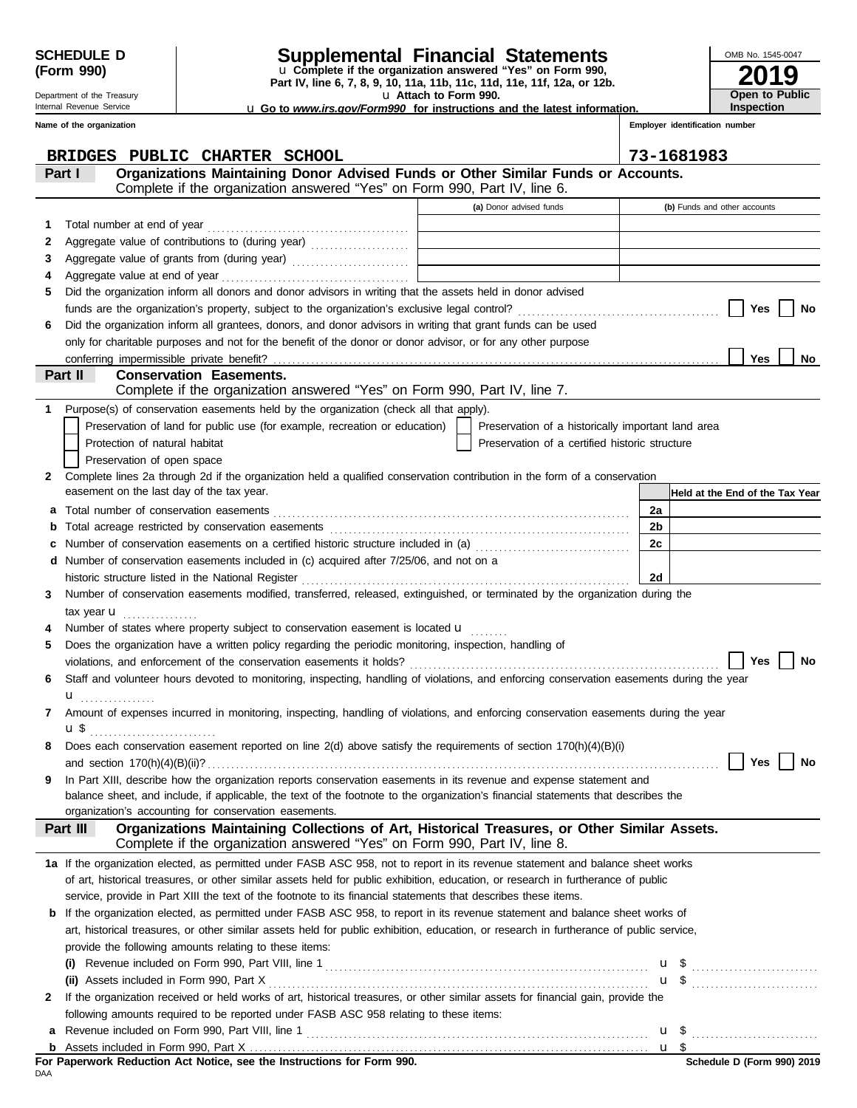| <b>SCHEDULE D</b> |  |
|-------------------|--|
| (Form 990)        |  |

Department of the Treasury Internal Revenue Service

## **SCHEDULE D Supplemental Financial Statements**

**Part IV, line 6, 7, 8, 9, 10, 11a, 11b, 11c, 11d, 11e, 11f, 12a, or 12b.** u **Complete if the organization answered "Yes" on Form 990,**

u **Attach to Form 990.**  u **Go to** *www.irs.gov/Form990* **for instructions and the latest information.**

**Employer identification number Inspection**

**2019**

**Open to Public**

OMB No. 1545-0047

|        | Name of the organization |                                                                                                                                                                           |                                                                                           |    | Employer identification number  |
|--------|--------------------------|---------------------------------------------------------------------------------------------------------------------------------------------------------------------------|-------------------------------------------------------------------------------------------|----|---------------------------------|
|        |                          | BRIDGES PUBLIC CHARTER SCHOOL                                                                                                                                             |                                                                                           |    | 73-1681983                      |
| Part I |                          | Organizations Maintaining Donor Advised Funds or Other Similar Funds or Accounts.<br>Complete if the organization answered "Yes" on Form 990, Part IV, line 6.            |                                                                                           |    |                                 |
|        |                          |                                                                                                                                                                           | (a) Donor advised funds                                                                   |    | (b) Funds and other accounts    |
| 1.     |                          | Total number at end of year                                                                                                                                               | the control of the control of the control of                                              |    |                                 |
| 2      |                          |                                                                                                                                                                           | the control of the control of the control of the control of the control of the control of |    |                                 |
| 3      |                          | Aggregate value of grants from (during year) Mathematical Mathematical Mathematical Mathematical Mathematical M                                                           |                                                                                           |    |                                 |
| 4      |                          |                                                                                                                                                                           |                                                                                           |    |                                 |
| 5      |                          | Did the organization inform all donors and donor advisors in writing that the assets held in donor advised                                                                |                                                                                           |    |                                 |
|        |                          |                                                                                                                                                                           |                                                                                           |    | Yes<br>No                       |
| 6      |                          | Did the organization inform all grantees, donors, and donor advisors in writing that grant funds can be used                                                              |                                                                                           |    |                                 |
|        |                          | only for charitable purposes and not for the benefit of the donor or donor advisor, or for any other purpose                                                              |                                                                                           |    |                                 |
|        |                          |                                                                                                                                                                           |                                                                                           |    | Yes<br>No                       |
|        | Part II                  | <b>Conservation Easements.</b>                                                                                                                                            |                                                                                           |    |                                 |
|        |                          | Complete if the organization answered "Yes" on Form 990, Part IV, line 7.                                                                                                 |                                                                                           |    |                                 |
|        |                          | Purpose(s) of conservation easements held by the organization (check all that apply).                                                                                     |                                                                                           |    |                                 |
|        |                          | Preservation of land for public use (for example, recreation or education)                                                                                                | Preservation of a historically important land area                                        |    |                                 |
|        |                          | Protection of natural habitat                                                                                                                                             | Preservation of a certified historic structure                                            |    |                                 |
|        |                          | Preservation of open space                                                                                                                                                |                                                                                           |    |                                 |
| 2      |                          | Complete lines 2a through 2d if the organization held a qualified conservation contribution in the form of a conservation                                                 |                                                                                           |    |                                 |
|        |                          | easement on the last day of the tax year.                                                                                                                                 |                                                                                           |    | Held at the End of the Tax Year |
| а      |                          |                                                                                                                                                                           |                                                                                           | 2a |                                 |
| b      |                          |                                                                                                                                                                           |                                                                                           | 2b |                                 |
| с      |                          | Number of conservation easements on a certified historic structure included in (a) [[[[[ [ [ ]]]                                                                          |                                                                                           | 2c |                                 |
| d      |                          | Number of conservation easements included in (c) acquired after 7/25/06, and not on a                                                                                     |                                                                                           |    |                                 |
|        |                          | historic structure listed in the National Register                                                                                                                        |                                                                                           | 2d |                                 |
| 3      |                          | Number of conservation easements modified, transferred, released, extinguished, or terminated by the organization during the                                              |                                                                                           |    |                                 |
|        | tax year <b>u</b>        |                                                                                                                                                                           |                                                                                           |    |                                 |
|        |                          | Number of states where property subject to conservation easement is located u                                                                                             |                                                                                           |    |                                 |
| 5      |                          | Does the organization have a written policy regarding the periodic monitoring, inspection, handling of                                                                    |                                                                                           |    |                                 |
|        |                          |                                                                                                                                                                           |                                                                                           |    | <b>Yes</b><br>No                |
| 6      |                          | Staff and volunteer hours devoted to monitoring, inspecting, handling of violations, and enforcing conservation easements during the year                                 |                                                                                           |    |                                 |
|        |                          |                                                                                                                                                                           |                                                                                           |    |                                 |
| 7      |                          | Amount of expenses incurred in monitoring, inspecting, handling of violations, and enforcing conservation easements during the year                                       |                                                                                           |    |                                 |
|        | u \$                     |                                                                                                                                                                           |                                                                                           |    |                                 |
|        |                          | Does each conservation easement reported on line 2(d) above satisfy the requirements of section 170(h)(4)(B)(i)                                                           |                                                                                           |    |                                 |
|        |                          |                                                                                                                                                                           |                                                                                           |    | Yes<br>No                       |
| 9      |                          | In Part XIII, describe how the organization reports conservation easements in its revenue and expense statement and                                                       |                                                                                           |    |                                 |
|        |                          | balance sheet, and include, if applicable, the text of the footnote to the organization's financial statements that describes the                                         |                                                                                           |    |                                 |
|        |                          | organization's accounting for conservation easements.                                                                                                                     |                                                                                           |    |                                 |
|        | Part III                 | Organizations Maintaining Collections of Art, Historical Treasures, or Other Similar Assets.<br>Complete if the organization answered "Yes" on Form 990, Part IV, line 8. |                                                                                           |    |                                 |
|        |                          | 1a If the organization elected, as permitted under FASB ASC 958, not to report in its revenue statement and balance sheet works                                           |                                                                                           |    |                                 |
|        |                          | of art, historical treasures, or other similar assets held for public exhibition, education, or research in furtherance of public                                         |                                                                                           |    |                                 |
|        |                          | service, provide in Part XIII the text of the footnote to its financial statements that describes these items.                                                            |                                                                                           |    |                                 |
| b      |                          | If the organization elected, as permitted under FASB ASC 958, to report in its revenue statement and balance sheet works of                                               |                                                                                           |    |                                 |
|        |                          | art, historical treasures, or other similar assets held for public exhibition, education, or research in furtherance of public service,                                   |                                                                                           |    |                                 |
|        |                          | provide the following amounts relating to these items:                                                                                                                    |                                                                                           |    |                                 |
|        |                          |                                                                                                                                                                           |                                                                                           |    |                                 |
|        |                          | (ii) Assets included in Form 990, Part X                                                                                                                                  |                                                                                           |    | $\mathbf{u}$ \$                 |
| 2      |                          | If the organization received or held works of art, historical treasures, or other similar assets for financial gain, provide the                                          |                                                                                           |    | $u \$                           |
|        |                          |                                                                                                                                                                           |                                                                                           |    |                                 |
|        |                          | following amounts required to be reported under FASB ASC 958 relating to these items:                                                                                     |                                                                                           |    |                                 |
| a      |                          |                                                                                                                                                                           |                                                                                           |    |                                 |
|        |                          |                                                                                                                                                                           |                                                                                           |    |                                 |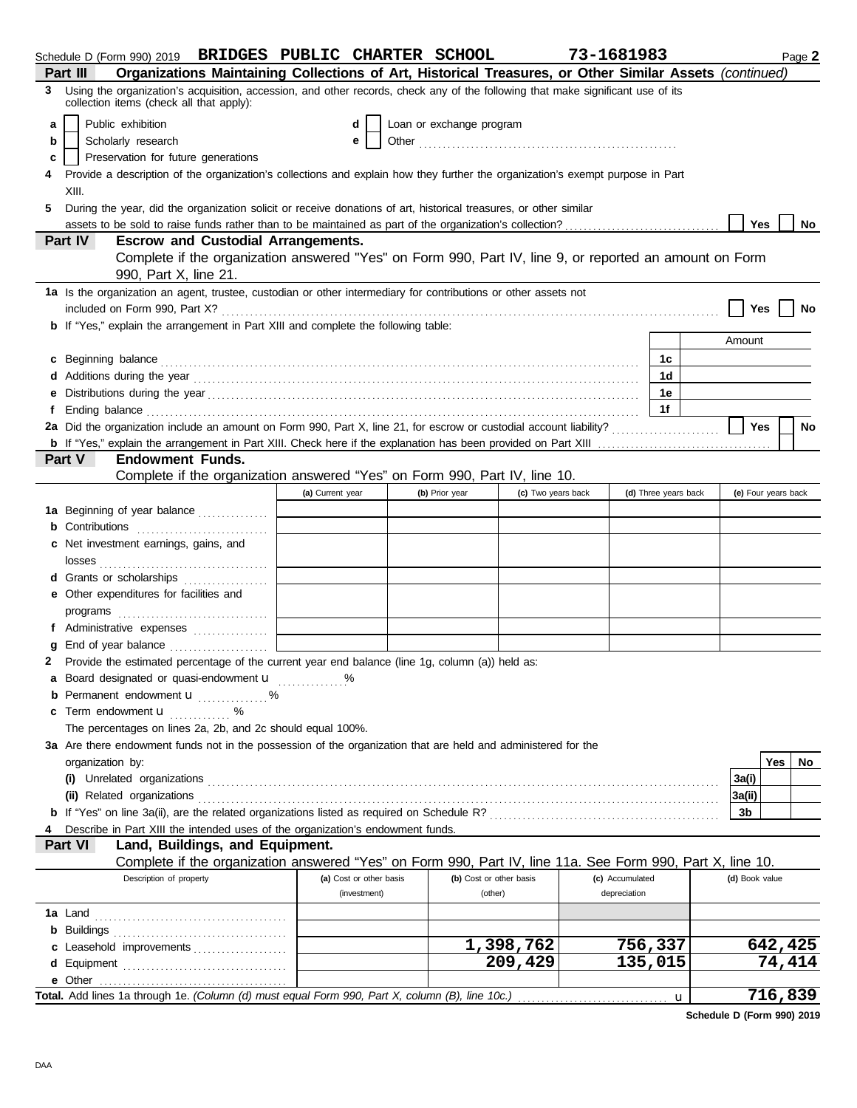|    | Schedule D (Form 990) 2019 BRIDGES PUBLIC CHARTER SCHOOL                                                                                                                                                                             |                  |                         |                          |                         | 73-1681983      |                      |                     |     | Page 2    |
|----|--------------------------------------------------------------------------------------------------------------------------------------------------------------------------------------------------------------------------------------|------------------|-------------------------|--------------------------|-------------------------|-----------------|----------------------|---------------------|-----|-----------|
|    | Organizations Maintaining Collections of Art, Historical Treasures, or Other Similar Assets (continued)<br>Part III                                                                                                                  |                  |                         |                          |                         |                 |                      |                     |     |           |
| 3  | Using the organization's acquisition, accession, and other records, check any of the following that make significant use of its<br>collection items (check all that apply):                                                          |                  |                         |                          |                         |                 |                      |                     |     |           |
| a  | Public exhibition                                                                                                                                                                                                                    |                  | d                       | Loan or exchange program |                         |                 |                      |                     |     |           |
| b  | Scholarly research                                                                                                                                                                                                                   |                  | e                       |                          |                         |                 |                      |                     |     |           |
| c  | Preservation for future generations                                                                                                                                                                                                  |                  |                         |                          |                         |                 |                      |                     |     |           |
|    |                                                                                                                                                                                                                                      |                  |                         |                          |                         |                 |                      |                     |     |           |
|    | Provide a description of the organization's collections and explain how they further the organization's exempt purpose in Part<br>XIII.                                                                                              |                  |                         |                          |                         |                 |                      |                     |     |           |
|    |                                                                                                                                                                                                                                      |                  |                         |                          |                         |                 |                      |                     |     |           |
| 5. | During the year, did the organization solicit or receive donations of art, historical treasures, or other similar                                                                                                                    |                  |                         |                          |                         |                 |                      |                     |     |           |
|    | <b>Escrow and Custodial Arrangements.</b><br><b>Part IV</b>                                                                                                                                                                          |                  |                         |                          |                         |                 |                      | Yes                 |     | No        |
|    | Complete if the organization answered "Yes" on Form 990, Part IV, line 9, or reported an amount on Form                                                                                                                              |                  |                         |                          |                         |                 |                      |                     |     |           |
|    | 990, Part X, line 21.                                                                                                                                                                                                                |                  |                         |                          |                         |                 |                      |                     |     |           |
|    | 1a Is the organization an agent, trustee, custodian or other intermediary for contributions or other assets not                                                                                                                      |                  |                         |                          |                         |                 |                      |                     |     |           |
|    |                                                                                                                                                                                                                                      |                  |                         |                          |                         |                 |                      | Yes                 |     | No        |
|    | b If "Yes," explain the arrangement in Part XIII and complete the following table:                                                                                                                                                   |                  |                         |                          |                         |                 |                      |                     |     |           |
|    |                                                                                                                                                                                                                                      |                  |                         |                          |                         |                 |                      | Amount              |     |           |
|    | c Beginning balance <b>contract to the contract of the contract of the contract of the contract of the contract of the contract of the contract of the contract of the contract of the contract of the contract of the contract </b> |                  |                         |                          |                         |                 | 1c                   |                     |     |           |
|    |                                                                                                                                                                                                                                      |                  |                         |                          |                         |                 | 1d                   |                     |     |           |
|    |                                                                                                                                                                                                                                      |                  |                         |                          |                         |                 | 1e                   |                     |     |           |
|    |                                                                                                                                                                                                                                      |                  |                         |                          |                         |                 | 1f                   |                     |     |           |
|    |                                                                                                                                                                                                                                      |                  |                         |                          |                         |                 |                      | Yes                 |     | <b>No</b> |
|    |                                                                                                                                                                                                                                      |                  |                         |                          |                         |                 |                      |                     |     |           |
|    | <b>Endowment Funds.</b><br><b>Part V</b>                                                                                                                                                                                             |                  |                         |                          |                         |                 |                      |                     |     |           |
|    | Complete if the organization answered "Yes" on Form 990, Part IV, line 10.                                                                                                                                                           |                  |                         |                          |                         |                 |                      |                     |     |           |
|    |                                                                                                                                                                                                                                      | (a) Current year |                         | (b) Prior year           | (c) Two years back      |                 | (d) Three years back | (e) Four years back |     |           |
|    | 1a Beginning of year balance                                                                                                                                                                                                         |                  |                         |                          |                         |                 |                      |                     |     |           |
|    | <b>b</b> Contributions <b>contributions</b>                                                                                                                                                                                          |                  |                         |                          |                         |                 |                      |                     |     |           |
|    | c Net investment earnings, gains, and                                                                                                                                                                                                |                  |                         |                          |                         |                 |                      |                     |     |           |
|    |                                                                                                                                                                                                                                      |                  |                         |                          |                         |                 |                      |                     |     |           |
|    | d Grants or scholarships                                                                                                                                                                                                             |                  |                         |                          |                         |                 |                      |                     |     |           |
|    | e Other expenditures for facilities and                                                                                                                                                                                              |                  |                         |                          |                         |                 |                      |                     |     |           |
|    |                                                                                                                                                                                                                                      |                  |                         |                          |                         |                 |                      |                     |     |           |
|    | f Administrative expenses                                                                                                                                                                                                            |                  |                         |                          |                         |                 |                      |                     |     |           |
|    |                                                                                                                                                                                                                                      |                  |                         |                          |                         |                 |                      |                     |     |           |
| 2  | Provide the estimated percentage of the current year end balance (line 1g, column (a)) held as:                                                                                                                                      |                  |                         |                          |                         |                 |                      |                     |     |           |
|    | a Board designated or quasi-endowment u                                                                                                                                                                                              |                  |                         |                          |                         |                 |                      |                     |     |           |
|    | <b>b</b> Permanent endowment <b>u</b> %                                                                                                                                                                                              |                  |                         |                          |                         |                 |                      |                     |     |           |
|    |                                                                                                                                                                                                                                      |                  |                         |                          |                         |                 |                      |                     |     |           |
|    | <b>c</b> Term endowment $\mathbf{u}$ %<br>The percentages on lines 2a, 2b, and 2c should equal 100%.                                                                                                                                 |                  |                         |                          |                         |                 |                      |                     |     |           |
|    | 3a Are there endowment funds not in the possession of the organization that are held and administered for the                                                                                                                        |                  |                         |                          |                         |                 |                      |                     |     |           |
|    |                                                                                                                                                                                                                                      |                  |                         |                          |                         |                 |                      |                     | Yes | No        |
|    | organization by:                                                                                                                                                                                                                     |                  |                         |                          |                         |                 |                      |                     |     |           |
|    |                                                                                                                                                                                                                                      |                  |                         |                          |                         |                 |                      | 3a(i)               |     |           |
|    |                                                                                                                                                                                                                                      |                  |                         |                          |                         |                 |                      | 3a(ii)              |     |           |
|    |                                                                                                                                                                                                                                      |                  |                         |                          |                         |                 |                      | 3b                  |     |           |
|    | Describe in Part XIII the intended uses of the organization's endowment funds.                                                                                                                                                       |                  |                         |                          |                         |                 |                      |                     |     |           |
|    | Land, Buildings, and Equipment.<br>Part VI                                                                                                                                                                                           |                  |                         |                          |                         |                 |                      |                     |     |           |
|    | Complete if the organization answered "Yes" on Form 990, Part IV, line 11a. See Form 990, Part X, line 10.                                                                                                                           |                  |                         |                          |                         |                 |                      |                     |     |           |
|    | Description of property                                                                                                                                                                                                              |                  | (a) Cost or other basis |                          | (b) Cost or other basis | (c) Accumulated |                      | (d) Book value      |     |           |
|    |                                                                                                                                                                                                                                      |                  | (investment)            |                          | (other)                 | depreciation    |                      |                     |     |           |
|    |                                                                                                                                                                                                                                      |                  |                         |                          |                         |                 |                      |                     |     |           |
|    |                                                                                                                                                                                                                                      |                  |                         |                          |                         |                 |                      |                     |     |           |
|    | c Leasehold improvements                                                                                                                                                                                                             |                  |                         |                          | 1,398,762               |                 | 756,337              |                     |     | 642,425   |
|    |                                                                                                                                                                                                                                      |                  |                         |                          | 209,429                 |                 | 135,015              |                     |     | 74,414    |
|    | e Other                                                                                                                                                                                                                              |                  |                         |                          |                         |                 |                      |                     |     |           |
|    | Total. Add lines 1a through 1e. (Column (d) must equal Form 990, Part X, column (B), line 10c.)                                                                                                                                      |                  |                         |                          |                         |                 | u                    |                     |     | 716,839   |

**Schedule D (Form 990) 2019**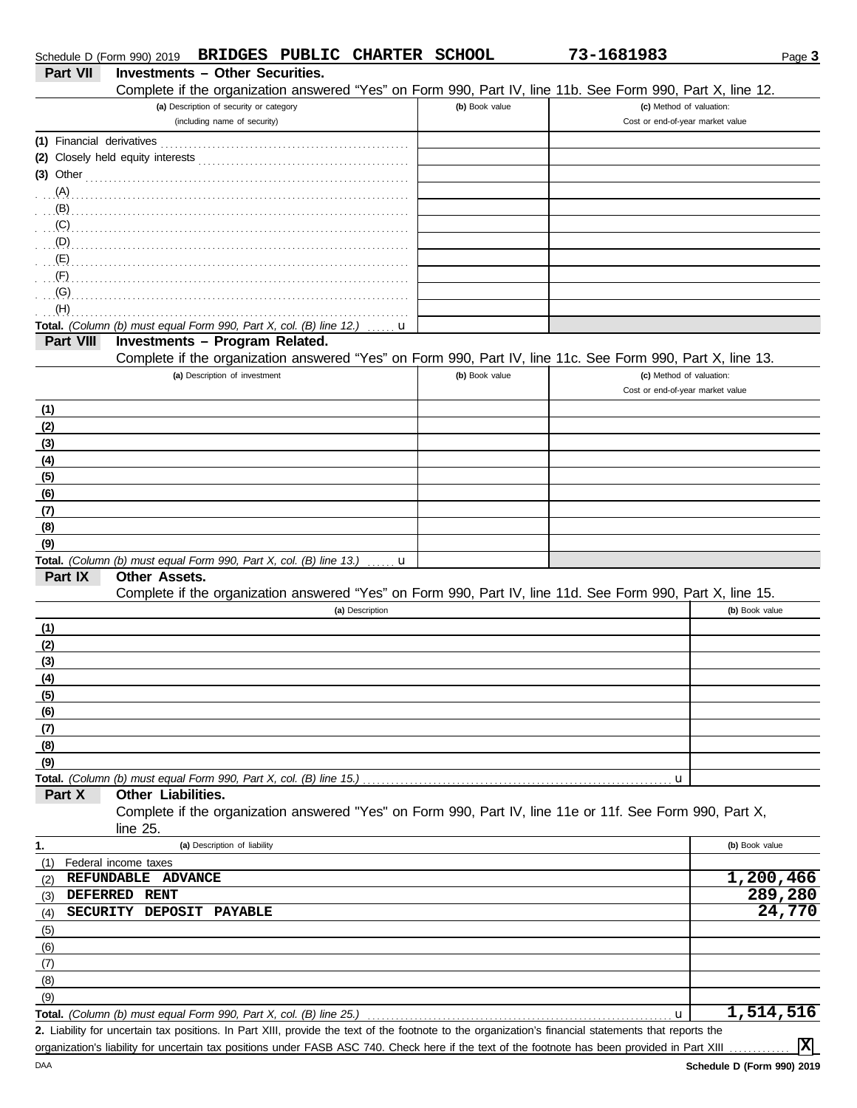|                           | Schedule D (Form 990) 2019 BRIDGES PUBLIC CHARTER SCHOOL                                                   |                | 73-1681983                                                   | Page 3                                                   |
|---------------------------|------------------------------------------------------------------------------------------------------------|----------------|--------------------------------------------------------------|----------------------------------------------------------|
| <b>Part VII</b>           | <b>Investments - Other Securities.</b>                                                                     |                |                                                              |                                                          |
|                           | Complete if the organization answered "Yes" on Form 990, Part IV, line 11b. See Form 990, Part X, line 12. |                |                                                              |                                                          |
|                           | (a) Description of security or category<br>(including name of security)                                    | (b) Book value | (c) Method of valuation:<br>Cost or end-of-year market value |                                                          |
|                           |                                                                                                            |                |                                                              |                                                          |
| (1) Financial derivatives |                                                                                                            |                |                                                              |                                                          |
|                           |                                                                                                            |                |                                                              |                                                          |
| $(3)$ Other               |                                                                                                            |                |                                                              |                                                          |
| $(A)$ .                   |                                                                                                            |                |                                                              |                                                          |
| (B)                       |                                                                                                            |                |                                                              |                                                          |
| (C)                       |                                                                                                            |                |                                                              |                                                          |
| (D)                       |                                                                                                            |                |                                                              |                                                          |
| (E)<br>(F)                |                                                                                                            |                |                                                              |                                                          |
| (G)                       |                                                                                                            |                |                                                              |                                                          |
| (H)                       |                                                                                                            |                |                                                              |                                                          |
|                           | Total. (Column (b) must equal Form 990, Part X, col. (B) line 12.)<br>u                                    |                |                                                              |                                                          |
| Part VIII                 | Investments - Program Related.                                                                             |                |                                                              |                                                          |
|                           | Complete if the organization answered "Yes" on Form 990, Part IV, line 11c. See Form 990, Part X, line 13. |                |                                                              |                                                          |
|                           | (a) Description of investment                                                                              | (b) Book value | (c) Method of valuation:                                     |                                                          |
|                           |                                                                                                            |                | Cost or end-of-year market value                             |                                                          |
| (1)                       |                                                                                                            |                |                                                              |                                                          |
| (2)                       |                                                                                                            |                |                                                              |                                                          |
| (3)                       |                                                                                                            |                |                                                              |                                                          |
| (4)                       |                                                                                                            |                |                                                              |                                                          |
| (5)                       |                                                                                                            |                |                                                              |                                                          |
| (6)                       |                                                                                                            |                |                                                              |                                                          |
| (7)                       |                                                                                                            |                |                                                              |                                                          |
| (8)                       |                                                                                                            |                |                                                              |                                                          |
| (9)                       |                                                                                                            |                |                                                              |                                                          |
|                           | Total. (Column (b) must equal Form 990, Part X, col. (B) line 13.)<br>. <b>. u</b>                         |                |                                                              |                                                          |
| Part IX                   | <b>Other Assets.</b>                                                                                       |                |                                                              |                                                          |
|                           | Complete if the organization answered "Yes" on Form 990, Part IV, line 11d. See Form 990, Part X, line 15. |                |                                                              |                                                          |
|                           | (a) Description                                                                                            |                | (b) Book value                                               |                                                          |
| (1)                       |                                                                                                            |                |                                                              |                                                          |
| (2)                       |                                                                                                            |                |                                                              |                                                          |
| (3)                       |                                                                                                            |                |                                                              |                                                          |
|                           |                                                                                                            |                |                                                              |                                                          |
| (4)                       |                                                                                                            |                |                                                              |                                                          |
| (5)                       |                                                                                                            |                |                                                              |                                                          |
| (6)                       |                                                                                                            |                |                                                              |                                                          |
| (7)                       |                                                                                                            |                |                                                              |                                                          |
| (8)                       |                                                                                                            |                |                                                              |                                                          |
| (9)                       |                                                                                                            |                |                                                              |                                                          |
|                           | Total. (Column (b) must equal Form 990, Part X, col. (B) line 15.)                                         |                | u                                                            |                                                          |
| Part X                    | Other Liabilities.                                                                                         |                |                                                              |                                                          |
|                           | Complete if the organization answered "Yes" on Form 990, Part IV, line 11e or 11f. See Form 990, Part X,   |                |                                                              |                                                          |
|                           | line $25$ .                                                                                                |                |                                                              |                                                          |
|                           | (a) Description of liability                                                                               |                | (b) Book value                                               |                                                          |
| (1)                       | Federal income taxes                                                                                       |                |                                                              |                                                          |
| (2)                       | REFUNDABLE ADVANCE                                                                                         |                |                                                              |                                                          |
| (3)                       | DEFERRED RENT                                                                                              |                |                                                              |                                                          |
| (4)                       | SECURITY DEPOSIT<br><b>PAYABLE</b>                                                                         |                |                                                              |                                                          |
| (5)                       |                                                                                                            |                |                                                              |                                                          |
| (6)                       |                                                                                                            |                |                                                              |                                                          |
| (7)                       |                                                                                                            |                |                                                              |                                                          |
| (8)                       |                                                                                                            |                |                                                              |                                                          |
| 1.<br>(9)                 | Total. (Column (b) must equal Form 990, Part X, col. (B) line 25.)                                         |                | u                                                            | 1,200,466<br>289,280<br>24,770<br>$\overline{1,514,516}$ |

organization's liability for uncertain tax positions under FASB ASC 740. Check here if the text of the footnote has been provided in Part XIII ......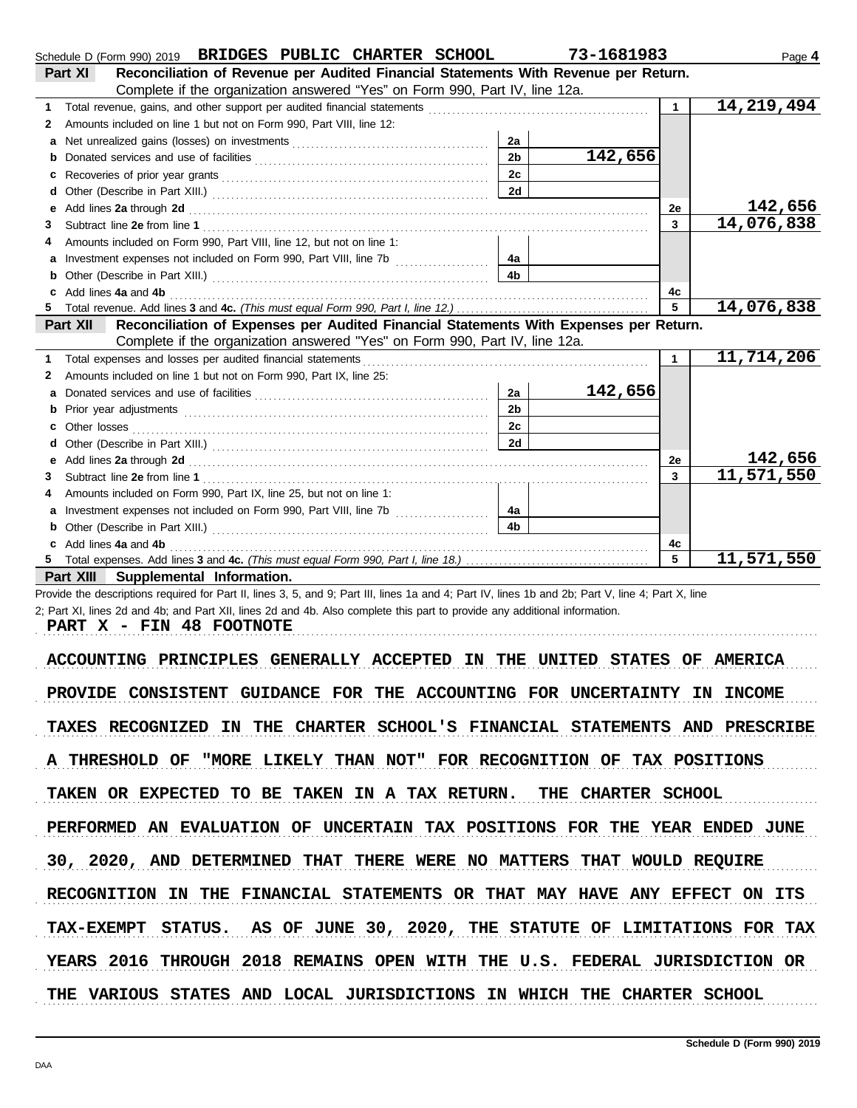|              | Schedule D (Form 990) 2019 BRIDGES PUBLIC CHARTER SCHOOL                                                                                                                                                                       |                | 73-1681983                                                                                                                                                                                                                    |                      | Page 4                  |
|--------------|--------------------------------------------------------------------------------------------------------------------------------------------------------------------------------------------------------------------------------|----------------|-------------------------------------------------------------------------------------------------------------------------------------------------------------------------------------------------------------------------------|----------------------|-------------------------|
|              | Reconciliation of Revenue per Audited Financial Statements With Revenue per Return.<br>Part XI                                                                                                                                 |                |                                                                                                                                                                                                                               |                      |                         |
|              | Complete if the organization answered "Yes" on Form 990, Part IV, line 12a.                                                                                                                                                    |                |                                                                                                                                                                                                                               |                      |                         |
| 1            |                                                                                                                                                                                                                                |                |                                                                                                                                                                                                                               | $\mathbf{1}$         | 14,219,494              |
| $\mathbf{2}$ | Amounts included on line 1 but not on Form 990, Part VIII, line 12:                                                                                                                                                            |                |                                                                                                                                                                                                                               |                      |                         |
| a            |                                                                                                                                                                                                                                | 2a             |                                                                                                                                                                                                                               |                      |                         |
| b            |                                                                                                                                                                                                                                | 2 <sub>b</sub> | 142,656                                                                                                                                                                                                                       |                      |                         |
| c            |                                                                                                                                                                                                                                | 2c             |                                                                                                                                                                                                                               |                      |                         |
| d            |                                                                                                                                                                                                                                | 2d             |                                                                                                                                                                                                                               |                      |                         |
| e            | Add lines 2a through 2d [11] March 2014 [12] March 2014 [12] March 2014 [12] March 2014 [12] March 2014 [12] March 2014 [12] March 2014 [12] March 2014 [12] March 2014 [12] March 2014 [12] March 2014 [12] March 2014 [12] M |                |                                                                                                                                                                                                                               | 2e                   | 142,656                 |
| 3            |                                                                                                                                                                                                                                |                |                                                                                                                                                                                                                               | 3                    | 14,076,838              |
|              | Amounts included on Form 990, Part VIII, line 12, but not on line 1:                                                                                                                                                           |                |                                                                                                                                                                                                                               |                      |                         |
| a            |                                                                                                                                                                                                                                | 4a             |                                                                                                                                                                                                                               |                      |                         |
| b            |                                                                                                                                                                                                                                | 4 <sub>b</sub> |                                                                                                                                                                                                                               |                      |                         |
| c            | Add lines 4a and 4b                                                                                                                                                                                                            |                |                                                                                                                                                                                                                               | 4c                   |                         |
|              |                                                                                                                                                                                                                                |                |                                                                                                                                                                                                                               | 5                    | 14,076,838              |
|              | Reconciliation of Expenses per Audited Financial Statements With Expenses per Return.<br><b>Part XII</b>                                                                                                                       |                |                                                                                                                                                                                                                               |                      |                         |
|              | Complete if the organization answered "Yes" on Form 990, Part IV, line 12a.                                                                                                                                                    |                |                                                                                                                                                                                                                               |                      |                         |
| 1            | Total expenses and losses per audited financial statements                                                                                                                                                                     |                |                                                                                                                                                                                                                               | $\blacktriangleleft$ | $\overline{11,714,206}$ |
| 2            | Amounts included on line 1 but not on Form 990, Part IX, line 25:                                                                                                                                                              |                |                                                                                                                                                                                                                               |                      |                         |
| a            |                                                                                                                                                                                                                                | 2a             | 142,656                                                                                                                                                                                                                       |                      |                         |
| b            |                                                                                                                                                                                                                                | 2 <sub>b</sub> |                                                                                                                                                                                                                               |                      |                         |
| c            |                                                                                                                                                                                                                                | 2c             |                                                                                                                                                                                                                               |                      |                         |
| d            |                                                                                                                                                                                                                                | 2d             |                                                                                                                                                                                                                               |                      |                         |
| е            | Add lines 2a through 2d [11] Additional Property and Property and Property and Property and Property and Property and Property and Property and Property and Property and Property and Property and Property and Property and  |                |                                                                                                                                                                                                                               | 2e                   | 142,656                 |
| 3            |                                                                                                                                                                                                                                |                |                                                                                                                                                                                                                               | 3                    | 11,571,550              |
| 4            | Amounts included on Form 990, Part IX, line 25, but not on line 1:                                                                                                                                                             |                |                                                                                                                                                                                                                               |                      |                         |
| a            | Investment expenses not included on Form 990, Part VIII, line 7b                                                                                                                                                               | 4a             |                                                                                                                                                                                                                               |                      |                         |
| b            |                                                                                                                                                                                                                                | 4 <sub>b</sub> |                                                                                                                                                                                                                               |                      |                         |
| C            | Add lines 4a and 4b                                                                                                                                                                                                            |                |                                                                                                                                                                                                                               | 4c                   |                         |
|              |                                                                                                                                                                                                                                |                |                                                                                                                                                                                                                               | 5                    | 11,571,550              |
|              | Part XIII Supplemental Information.                                                                                                                                                                                            |                |                                                                                                                                                                                                                               |                      |                         |
|              | Provide the descriptions required for Part II, lines 3, 5, and 9; Part III, lines 1a and 4; Part IV, lines 1b and 2b; Part V, line 4; Part X, line                                                                             |                |                                                                                                                                                                                                                               |                      |                         |
|              | 2; Part XI, lines 2d and 4b; and Part XII, lines 2d and 4b. Also complete this part to provide any additional information.                                                                                                     |                |                                                                                                                                                                                                                               |                      |                         |
|              | PART X - FIN 48 FOOTNOTE                                                                                                                                                                                                       |                | and a construction of the construction of the construction of the construction of the construction of the construction of the construction of the construction of the construction of the construction of the construction of |                      |                         |
|              |                                                                                                                                                                                                                                |                |                                                                                                                                                                                                                               |                      |                         |
|              | ACCOUNTING PRINCIPLES GENERALLY ACCEPTED IN THE UNITED STATES                                                                                                                                                                  |                |                                                                                                                                                                                                                               |                      | OF AMERICA              |

ACCOUNTING INTROLLED CONSIGNING ACCELLED IN THE UNITED DIATED OF ABULICA PROVIDE CONSISTENT GUIDANCE FOR THE ACCOUNTING FOR UNCERTAINTY IN INCOME TAXES RECOGNIZED IN THE CHARTER SCHOOL'S FINANCIAL STATEMENTS AND PRESCRIBE A THRESHOLD OF "MORE LIKELY THAN NOT" FOR RECOGNITION OF TAX POSITIONS TAKEN OR EXPECTED TO BE TAKEN IN A TAX RETURN. THE CHARTER SCHOOL PERFORMED AN EVALUATION OF UNCERTAIN TAX POSITIONS FOR THE YEAR ENDED JUNE TAX-EXEMPT STATUS. AS OF JUNE 30, 2020, THE STATUTE OF LIMITATIONS FOR TAX 30, 2020, AND DETERMINED THAT THERE WERE NO MATTERS THAT WOULD REQUIRE RECOGNITION IN THE FINANCIAL STATEMENTS OR THAT MAY HAVE ANY EFFECT ON ITS YEARS 2016 THROUGH 2018 REMAINS OPEN WITH THE U.S. FEDERAL JURISDICTION OR THE VARIOUS STATES AND LOCAL JURISDICTIONS IN WHICH THE CHARTER SCHOOL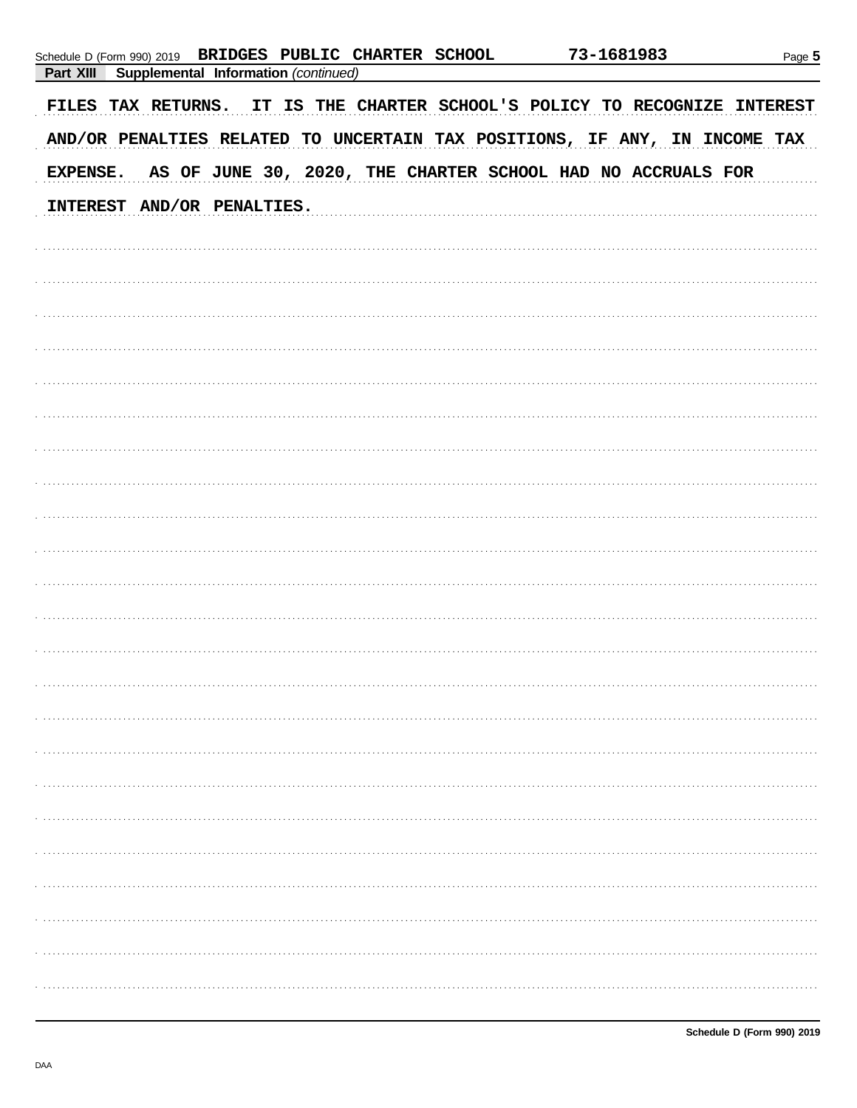|           |                    |                                      | Schedule D (Form 990) 2019 BRIDGES PUBLIC CHARTER SCHOOL | 73-1681983                                                  |                                                                            | Page 5 |
|-----------|--------------------|--------------------------------------|----------------------------------------------------------|-------------------------------------------------------------|----------------------------------------------------------------------------|--------|
| Part XIII |                    | Supplemental Information (continued) |                                                          |                                                             |                                                                            |        |
|           | FILES TAX RETURNS. |                                      |                                                          |                                                             | IT IS THE CHARTER SCHOOL'S POLICY TO RECOGNIZE INTEREST                    |        |
|           |                    |                                      |                                                          |                                                             | AND/OR PENALTIES RELATED TO UNCERTAIN TAX POSITIONS, IF ANY, IN INCOME TAX |        |
|           | <b>EXPENSE.</b>    |                                      |                                                          | AS OF JUNE 30, 2020, THE CHARTER SCHOOL HAD NO ACCRUALS FOR |                                                                            |        |
|           |                    | INTEREST AND/OR PENALTIES.           |                                                          |                                                             |                                                                            |        |
|           |                    |                                      |                                                          |                                                             |                                                                            |        |
|           |                    |                                      |                                                          |                                                             |                                                                            |        |
|           |                    |                                      |                                                          |                                                             |                                                                            |        |
|           |                    |                                      |                                                          |                                                             |                                                                            |        |
|           |                    |                                      |                                                          |                                                             |                                                                            |        |
|           |                    |                                      |                                                          |                                                             |                                                                            |        |
|           |                    |                                      |                                                          |                                                             |                                                                            |        |
|           |                    |                                      |                                                          |                                                             |                                                                            |        |
|           |                    |                                      |                                                          |                                                             |                                                                            |        |
|           |                    |                                      |                                                          |                                                             |                                                                            |        |
|           |                    |                                      |                                                          |                                                             |                                                                            |        |
|           |                    |                                      |                                                          |                                                             |                                                                            |        |
|           |                    |                                      |                                                          |                                                             |                                                                            |        |
|           |                    |                                      |                                                          |                                                             |                                                                            |        |
|           |                    |                                      |                                                          |                                                             |                                                                            |        |
|           |                    |                                      |                                                          |                                                             |                                                                            |        |
|           |                    |                                      |                                                          |                                                             |                                                                            |        |
|           |                    |                                      |                                                          |                                                             |                                                                            |        |
|           |                    |                                      |                                                          |                                                             |                                                                            |        |
|           |                    |                                      |                                                          |                                                             |                                                                            |        |
|           |                    |                                      |                                                          |                                                             |                                                                            |        |
|           |                    |                                      |                                                          |                                                             |                                                                            |        |
|           |                    |                                      |                                                          |                                                             |                                                                            |        |
|           |                    |                                      |                                                          |                                                             |                                                                            |        |
|           |                    |                                      |                                                          |                                                             |                                                                            |        |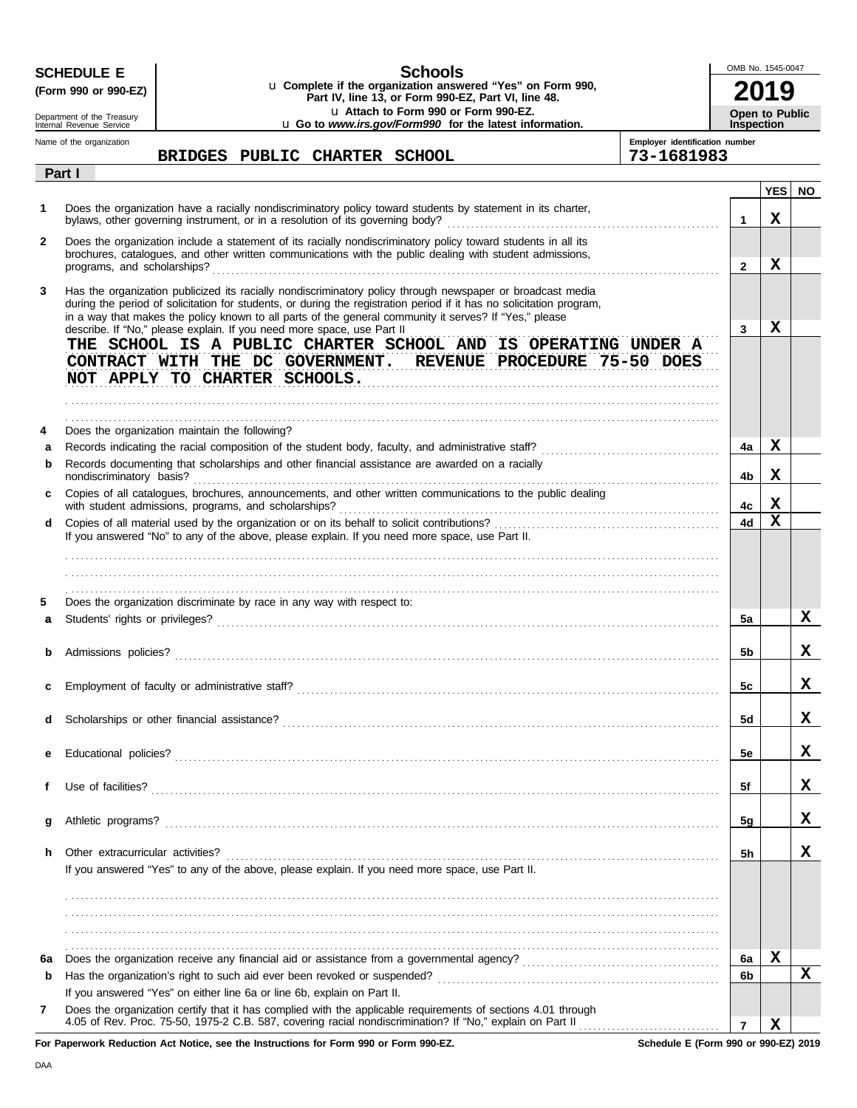|    | SCHEDULE E                                                              |  |                               | <b>Schools</b>                                                                                         |                                                                                                                      |                                | OMB No. 1545-0047 |                |           |  |  |  |  |
|----|-------------------------------------------------------------------------|--|-------------------------------|--------------------------------------------------------------------------------------------------------|----------------------------------------------------------------------------------------------------------------------|--------------------------------|-------------------|----------------|-----------|--|--|--|--|
|    | (Form 990 or 990-EZ)                                                    |  |                               |                                                                                                        | u Complete if the organization answered "Yes" on Form 990,                                                           |                                |                   |                |           |  |  |  |  |
|    |                                                                         |  |                               | Part IV, line 13, or Form 990-EZ, Part VI, line 48.                                                    |                                                                                                                      |                                |                   | Open to Public |           |  |  |  |  |
|    | Department of the Treasury<br>Internal Revenue Service                  |  |                               | u Attach to Form 990 or Form 990-EZ.<br>u Go to www.irs.gov/Form990 for the latest information.        |                                                                                                                      |                                | <b>Inspection</b> |                |           |  |  |  |  |
|    | Name of the organization                                                |  |                               |                                                                                                        |                                                                                                                      | Employer identification number |                   |                |           |  |  |  |  |
|    |                                                                         |  | BRIDGES PUBLIC CHARTER SCHOOL |                                                                                                        |                                                                                                                      | 73-1681983                     |                   |                |           |  |  |  |  |
|    | Part I                                                                  |  |                               |                                                                                                        |                                                                                                                      |                                |                   |                |           |  |  |  |  |
|    |                                                                         |  |                               |                                                                                                        |                                                                                                                      |                                |                   | <b>YES</b>     | <b>NO</b> |  |  |  |  |
| 1  |                                                                         |  |                               |                                                                                                        | Does the organization have a racially nondiscriminatory policy toward students by statement in its charter,          |                                |                   |                |           |  |  |  |  |
|    |                                                                         |  |                               |                                                                                                        |                                                                                                                      |                                | $\mathbf{1}$      | X              |           |  |  |  |  |
| 2  |                                                                         |  |                               |                                                                                                        | Does the organization include a statement of its racially nondiscriminatory policy toward students in all its        |                                |                   |                |           |  |  |  |  |
|    |                                                                         |  |                               |                                                                                                        | brochures, catalogues, and other written communications with the public dealing with student admissions,             |                                |                   |                |           |  |  |  |  |
|    | programs, and scholarships?                                             |  |                               |                                                                                                        |                                                                                                                      |                                | $\mathbf{2}$      | X              |           |  |  |  |  |
| 3  |                                                                         |  |                               |                                                                                                        | Has the organization publicized its racially nondiscriminatory policy through newspaper or broadcast media           |                                |                   |                |           |  |  |  |  |
|    |                                                                         |  |                               |                                                                                                        | during the period of solicitation for students, or during the registration period if it has no solicitation program, |                                |                   |                |           |  |  |  |  |
|    | describe. If "No," please explain. If you need more space, use Part II  |  |                               | in a way that makes the policy known to all parts of the general community it serves? If "Yes," please |                                                                                                                      |                                | 3                 | X              |           |  |  |  |  |
|    |                                                                         |  |                               |                                                                                                        | THE SCHOOL IS A PUBLIC CHARTER SCHOOL AND IS OPERATING UNDER A                                                       |                                |                   |                |           |  |  |  |  |
|    |                                                                         |  |                               |                                                                                                        | CONTRACT WITH THE DC GOVERNMENT. REVENUE PROCEDURE 75-50 DOES                                                        |                                |                   |                |           |  |  |  |  |
|    |                                                                         |  |                               |                                                                                                        | NOT APPLY TO CHARTER SCHOOLS.                                                                                        |                                |                   |                |           |  |  |  |  |
|    |                                                                         |  |                               |                                                                                                        |                                                                                                                      |                                |                   |                |           |  |  |  |  |
|    |                                                                         |  |                               |                                                                                                        |                                                                                                                      |                                |                   |                |           |  |  |  |  |
| 4  | Does the organization maintain the following?                           |  |                               |                                                                                                        |                                                                                                                      |                                |                   |                |           |  |  |  |  |
| a  |                                                                         |  |                               |                                                                                                        |                                                                                                                      |                                | 4a                | x              |           |  |  |  |  |
| b  |                                                                         |  |                               | Records documenting that scholarships and other financial assistance are awarded on a racially         |                                                                                                                      |                                |                   |                |           |  |  |  |  |
|    | nondiscriminatory basis?                                                |  |                               |                                                                                                        |                                                                                                                      |                                | 4b                | x              |           |  |  |  |  |
| C  |                                                                         |  |                               |                                                                                                        | Copies of all catalogues, brochures, announcements, and other written communications to the public dealing           |                                |                   |                |           |  |  |  |  |
|    | with student admissions, programs, and scholarships?                    |  |                               |                                                                                                        |                                                                                                                      |                                | 4с                | x              |           |  |  |  |  |
| d  |                                                                         |  |                               |                                                                                                        |                                                                                                                      |                                | 4d                | $\mathbf x$    |           |  |  |  |  |
|    |                                                                         |  |                               | If you answered "No" to any of the above, please explain. If you need more space, use Part II.         |                                                                                                                      |                                |                   |                |           |  |  |  |  |
|    |                                                                         |  |                               |                                                                                                        |                                                                                                                      |                                |                   |                |           |  |  |  |  |
|    |                                                                         |  |                               |                                                                                                        |                                                                                                                      |                                |                   |                |           |  |  |  |  |
|    | Does the organization discriminate by race in any way with respect to:  |  |                               |                                                                                                        |                                                                                                                      |                                |                   |                |           |  |  |  |  |
| 5  |                                                                         |  |                               |                                                                                                        |                                                                                                                      |                                | 5a                |                | х         |  |  |  |  |
| a  |                                                                         |  |                               |                                                                                                        |                                                                                                                      |                                |                   |                |           |  |  |  |  |
|    |                                                                         |  |                               |                                                                                                        |                                                                                                                      |                                | 5b                |                | х         |  |  |  |  |
|    |                                                                         |  |                               |                                                                                                        |                                                                                                                      |                                |                   |                |           |  |  |  |  |
|    | Employment of faculty or administrative staff?                          |  |                               |                                                                                                        |                                                                                                                      |                                | 5c                |                | х         |  |  |  |  |
|    |                                                                         |  |                               |                                                                                                        |                                                                                                                      |                                |                   |                |           |  |  |  |  |
|    |                                                                         |  |                               |                                                                                                        |                                                                                                                      |                                | <b>5d</b>         |                | X         |  |  |  |  |
|    |                                                                         |  |                               |                                                                                                        |                                                                                                                      |                                |                   |                |           |  |  |  |  |
| е  |                                                                         |  |                               |                                                                                                        |                                                                                                                      |                                | 5е                |                | x         |  |  |  |  |
|    |                                                                         |  |                               |                                                                                                        |                                                                                                                      |                                |                   |                |           |  |  |  |  |
| f  |                                                                         |  |                               |                                                                                                        |                                                                                                                      |                                | 5f                |                | X         |  |  |  |  |
|    |                                                                         |  |                               |                                                                                                        |                                                                                                                      |                                |                   |                |           |  |  |  |  |
| g  |                                                                         |  |                               |                                                                                                        |                                                                                                                      |                                | 5g                |                | x         |  |  |  |  |
|    |                                                                         |  |                               |                                                                                                        |                                                                                                                      |                                |                   |                |           |  |  |  |  |
| h. | Other extracurricular activities?                                       |  |                               |                                                                                                        |                                                                                                                      |                                | 5h                |                | X         |  |  |  |  |
|    |                                                                         |  |                               | If you answered "Yes" to any of the above, please explain. If you need more space, use Part II.        |                                                                                                                      |                                |                   |                |           |  |  |  |  |
|    |                                                                         |  |                               |                                                                                                        |                                                                                                                      |                                |                   |                |           |  |  |  |  |
|    |                                                                         |  |                               |                                                                                                        |                                                                                                                      |                                |                   |                |           |  |  |  |  |
|    |                                                                         |  |                               |                                                                                                        |                                                                                                                      |                                |                   |                |           |  |  |  |  |
|    |                                                                         |  |                               |                                                                                                        |                                                                                                                      |                                |                   |                |           |  |  |  |  |
| 6a |                                                                         |  |                               |                                                                                                        |                                                                                                                      |                                | 6a                | X              |           |  |  |  |  |
| b  |                                                                         |  |                               |                                                                                                        |                                                                                                                      |                                | 6b                |                | X         |  |  |  |  |
|    | If you answered "Yes" on either line 6a or line 6b, explain on Part II. |  |                               |                                                                                                        |                                                                                                                      |                                |                   |                |           |  |  |  |  |
|    |                                                                         |  |                               |                                                                                                        |                                                                                                                      |                                |                   |                |           |  |  |  |  |

**7** Does the organization certify that it has complied with the applicable requirements of sections 4.01 through 4.05 of Rev. Proc. 75-50, 1975-2 C.B. 587, covering racial nondiscrimination? If "No," explain on Part II

**For Paperwork Reduction Act Notice, see the Instructions for Form 990 or Form 990-EZ.**

**Schedule E (Form 990 or 990-EZ) 2019**

. . . . . . <u>. . . . . . .</u>

**7**

**X**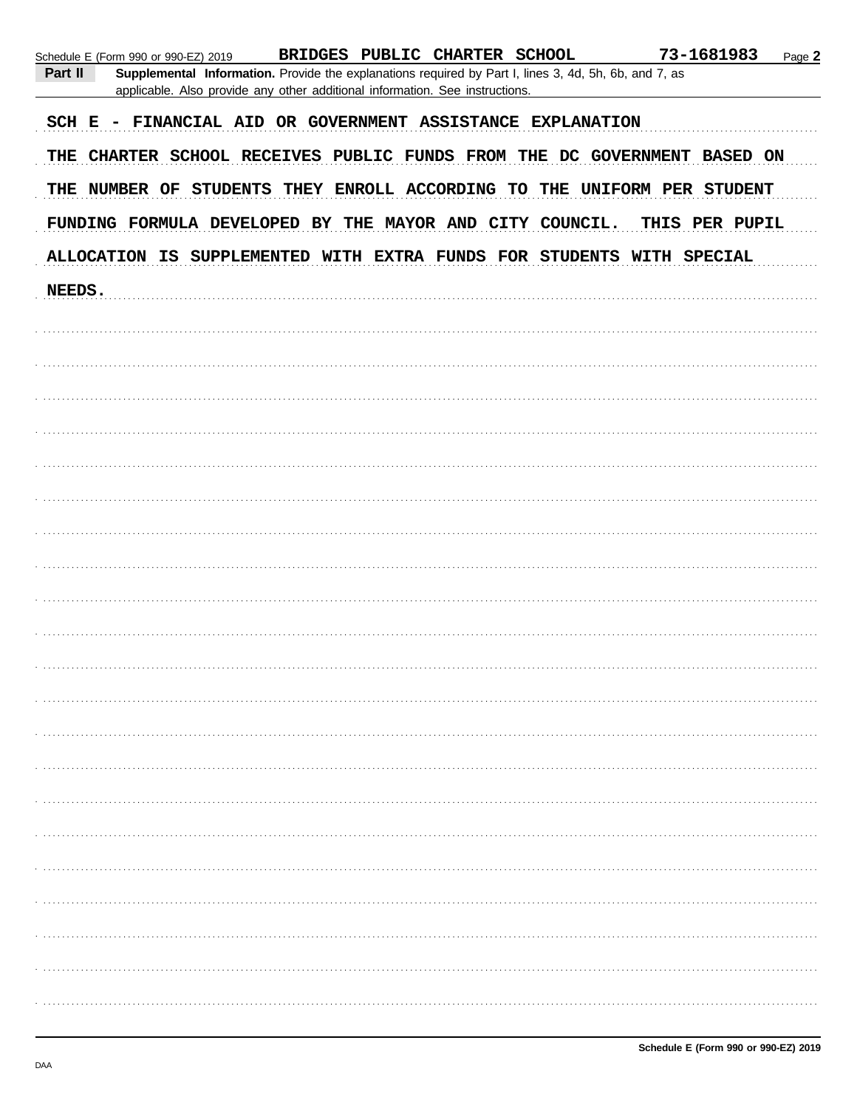| 73-1681983<br>BRIDGES PUBLIC CHARTER SCHOOL<br>Page 2<br>Schedule E (Form 990 or 990-EZ) 2019                    |
|------------------------------------------------------------------------------------------------------------------|
| Part II<br>Supplemental Information. Provide the explanations required by Part I, lines 3, 4d, 5h, 6b, and 7, as |
| applicable. Also provide any other additional information. See instructions.                                     |
|                                                                                                                  |
| SCH E - FINANCIAL AID OR GOVERNMENT ASSISTANCE EXPLANATION                                                       |
|                                                                                                                  |
| THE CHARTER SCHOOL RECEIVES PUBLIC FUNDS FROM THE DC GOVERNMENT BASED ON                                         |
| THE NUMBER OF STUDENTS THEY ENROLL ACCORDING TO THE UNIFORM PER STUDENT                                          |
|                                                                                                                  |
| FUNDING FORMULA DEVELOPED BY THE MAYOR AND CITY COUNCIL.<br>THIS PER PUPIL                                       |
|                                                                                                                  |
| ALLOCATION IS SUPPLEMENTED WITH EXTRA FUNDS FOR STUDENTS WITH SPECIAL                                            |
|                                                                                                                  |
| NEEDS.                                                                                                           |
|                                                                                                                  |
|                                                                                                                  |
|                                                                                                                  |
|                                                                                                                  |
|                                                                                                                  |
|                                                                                                                  |
|                                                                                                                  |
|                                                                                                                  |
|                                                                                                                  |
|                                                                                                                  |
|                                                                                                                  |
|                                                                                                                  |
|                                                                                                                  |
|                                                                                                                  |
|                                                                                                                  |
|                                                                                                                  |
|                                                                                                                  |
|                                                                                                                  |
|                                                                                                                  |
|                                                                                                                  |
|                                                                                                                  |
|                                                                                                                  |
|                                                                                                                  |
|                                                                                                                  |
|                                                                                                                  |
|                                                                                                                  |
|                                                                                                                  |
|                                                                                                                  |
|                                                                                                                  |
|                                                                                                                  |
|                                                                                                                  |
|                                                                                                                  |
|                                                                                                                  |
|                                                                                                                  |
|                                                                                                                  |
|                                                                                                                  |
|                                                                                                                  |
|                                                                                                                  |
|                                                                                                                  |
|                                                                                                                  |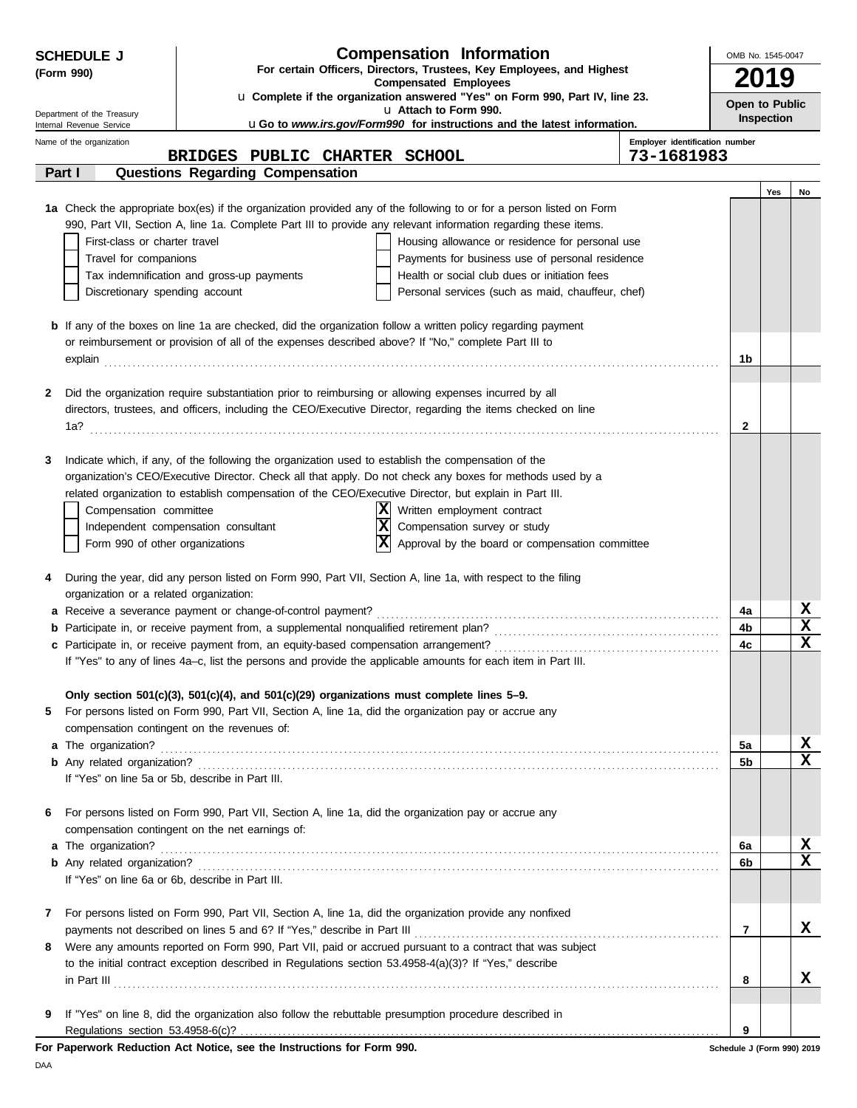| For certain Officers, Directors, Trustees, Key Employees, and Highest<br>(Form 990)<br>2019<br><b>Compensated Employees</b><br>u Complete if the organization answered "Yes" on Form 990, Part IV, line 23.<br>Open to Public<br>u Attach to Form 990.<br>Department of the Treasury<br><b>Inspection</b><br>uGo to www.irs.gov/Form990 for instructions and the latest information.<br>Internal Revenue Service<br>Employer identification number<br>Name of the organization<br>73-1681983<br>BRIDGES PUBLIC CHARTER SCHOOL<br>Part I<br>Questions Regarding Compensation<br>Yes<br>No<br>1a Check the appropriate box(es) if the organization provided any of the following to or for a person listed on Form<br>990, Part VII, Section A, line 1a. Complete Part III to provide any relevant information regarding these items.<br>First-class or charter travel<br>Housing allowance or residence for personal use<br>Travel for companions<br>Payments for business use of personal residence<br>Tax indemnification and gross-up payments<br>Health or social club dues or initiation fees<br>Discretionary spending account<br>Personal services (such as maid, chauffeur, chef)<br><b>b</b> If any of the boxes on line 1a are checked, did the organization follow a written policy regarding payment<br>or reimbursement or provision of all of the expenses described above? If "No," complete Part III to<br>1b<br>Did the organization require substantiation prior to reimbursing or allowing expenses incurred by all<br>2<br>directors, trustees, and officers, including the CEO/Executive Director, regarding the items checked on line<br>$\mathbf{2}$<br>Indicate which, if any, of the following the organization used to establish the compensation of the<br>3<br>organization's CEO/Executive Director. Check all that apply. Do not check any boxes for methods used by a<br>related organization to establish compensation of the CEO/Executive Director, but explain in Part III.<br>Compensation committee<br>IХ<br>Written employment contract<br>x<br>Compensation survey or study<br>Independent compensation consultant<br>$\overline{\mathbf{x}}$<br>Approval by the board or compensation committee<br>Form 990 of other organizations<br>During the year, did any person listed on Form 990, Part VII, Section A, line 1a, with respect to the filing<br>4<br>organization or a related organization:<br>X<br>a Receive a severance payment or change-of-control payment?<br>4a<br>$\mathbf x$<br>4b<br>$\mathbf x$<br>4c<br>If "Yes" to any of lines 4a-c, list the persons and provide the applicable amounts for each item in Part III.<br>Only section 501(c)(3), 501(c)(4), and 501(c)(29) organizations must complete lines $5-9$ .<br>For persons listed on Form 990, Part VII, Section A, line 1a, did the organization pay or accrue any<br>5<br>compensation contingent on the revenues of:<br>X<br>5a<br>$\mathbf x$<br>5b<br>If "Yes" on line 5a or 5b, describe in Part III.<br>For persons listed on Form 990, Part VII, Section A, line 1a, did the organization pay or accrue any<br>6<br>compensation contingent on the net earnings of:<br>х<br>6a<br>$\mathbf x$<br>6b<br>If "Yes" on line 6a or 6b, describe in Part III.<br>For persons listed on Form 990, Part VII, Section A, line 1a, did the organization provide any nonfixed<br>7<br>X<br>7<br>Were any amounts reported on Form 990, Part VII, paid or accrued pursuant to a contract that was subject<br>8<br>to the initial contract exception described in Regulations section 53.4958-4(a)(3)? If "Yes," describe<br>x<br>$\ $ n Part III $\ $<br>8<br>If "Yes" on line 8, did the organization also follow the rebuttable presumption procedure described in<br>9<br>9<br>For Paperwork Reduction Act Notice, see the Instructions for Form 990.<br>Schedule J (Form 990) 2019 | <b>SCHEDULE J</b> | <b>Compensation Information</b> |  | OMB No. 1545-0047 |  |  |
|------------------------------------------------------------------------------------------------------------------------------------------------------------------------------------------------------------------------------------------------------------------------------------------------------------------------------------------------------------------------------------------------------------------------------------------------------------------------------------------------------------------------------------------------------------------------------------------------------------------------------------------------------------------------------------------------------------------------------------------------------------------------------------------------------------------------------------------------------------------------------------------------------------------------------------------------------------------------------------------------------------------------------------------------------------------------------------------------------------------------------------------------------------------------------------------------------------------------------------------------------------------------------------------------------------------------------------------------------------------------------------------------------------------------------------------------------------------------------------------------------------------------------------------------------------------------------------------------------------------------------------------------------------------------------------------------------------------------------------------------------------------------------------------------------------------------------------------------------------------------------------------------------------------------------------------------------------------------------------------------------------------------------------------------------------------------------------------------------------------------------------------------------------------------------------------------------------------------------------------------------------------------------------------------------------------------------------------------------------------------------------------------------------------------------------------------------------------------------------------------------------------------------------------------------------------------------------------------------------------------------------------------------------------------------------------------------------------------------------------------------------------------------------------------------------------------------------------------------------------------------------------------------------------------------------------------------------------------------------------------------------------------------------------------------------------------------------------------------------------------------------------------------------------------------------------------------------------------------------------------------------------------------------------------------------------------------------------------------------------------------------------------------------------------------------------------------------------------------------------------------------------------------------------------------------------------------------------------------------------------------------------------------------------------------------------------------------------------------------------------------------------------------------------------------------------------------------------------------------------------------------------------------|-------------------|---------------------------------|--|-------------------|--|--|
|                                                                                                                                                                                                                                                                                                                                                                                                                                                                                                                                                                                                                                                                                                                                                                                                                                                                                                                                                                                                                                                                                                                                                                                                                                                                                                                                                                                                                                                                                                                                                                                                                                                                                                                                                                                                                                                                                                                                                                                                                                                                                                                                                                                                                                                                                                                                                                                                                                                                                                                                                                                                                                                                                                                                                                                                                                                                                                                                                                                                                                                                                                                                                                                                                                                                                                                                                                                                                                                                                                                                                                                                                                                                                                                                                                                                                                                                                                      |                   |                                 |  |                   |  |  |
|                                                                                                                                                                                                                                                                                                                                                                                                                                                                                                                                                                                                                                                                                                                                                                                                                                                                                                                                                                                                                                                                                                                                                                                                                                                                                                                                                                                                                                                                                                                                                                                                                                                                                                                                                                                                                                                                                                                                                                                                                                                                                                                                                                                                                                                                                                                                                                                                                                                                                                                                                                                                                                                                                                                                                                                                                                                                                                                                                                                                                                                                                                                                                                                                                                                                                                                                                                                                                                                                                                                                                                                                                                                                                                                                                                                                                                                                                                      |                   |                                 |  |                   |  |  |
|                                                                                                                                                                                                                                                                                                                                                                                                                                                                                                                                                                                                                                                                                                                                                                                                                                                                                                                                                                                                                                                                                                                                                                                                                                                                                                                                                                                                                                                                                                                                                                                                                                                                                                                                                                                                                                                                                                                                                                                                                                                                                                                                                                                                                                                                                                                                                                                                                                                                                                                                                                                                                                                                                                                                                                                                                                                                                                                                                                                                                                                                                                                                                                                                                                                                                                                                                                                                                                                                                                                                                                                                                                                                                                                                                                                                                                                                                                      |                   |                                 |  |                   |  |  |
|                                                                                                                                                                                                                                                                                                                                                                                                                                                                                                                                                                                                                                                                                                                                                                                                                                                                                                                                                                                                                                                                                                                                                                                                                                                                                                                                                                                                                                                                                                                                                                                                                                                                                                                                                                                                                                                                                                                                                                                                                                                                                                                                                                                                                                                                                                                                                                                                                                                                                                                                                                                                                                                                                                                                                                                                                                                                                                                                                                                                                                                                                                                                                                                                                                                                                                                                                                                                                                                                                                                                                                                                                                                                                                                                                                                                                                                                                                      |                   |                                 |  |                   |  |  |
|                                                                                                                                                                                                                                                                                                                                                                                                                                                                                                                                                                                                                                                                                                                                                                                                                                                                                                                                                                                                                                                                                                                                                                                                                                                                                                                                                                                                                                                                                                                                                                                                                                                                                                                                                                                                                                                                                                                                                                                                                                                                                                                                                                                                                                                                                                                                                                                                                                                                                                                                                                                                                                                                                                                                                                                                                                                                                                                                                                                                                                                                                                                                                                                                                                                                                                                                                                                                                                                                                                                                                                                                                                                                                                                                                                                                                                                                                                      |                   |                                 |  |                   |  |  |
|                                                                                                                                                                                                                                                                                                                                                                                                                                                                                                                                                                                                                                                                                                                                                                                                                                                                                                                                                                                                                                                                                                                                                                                                                                                                                                                                                                                                                                                                                                                                                                                                                                                                                                                                                                                                                                                                                                                                                                                                                                                                                                                                                                                                                                                                                                                                                                                                                                                                                                                                                                                                                                                                                                                                                                                                                                                                                                                                                                                                                                                                                                                                                                                                                                                                                                                                                                                                                                                                                                                                                                                                                                                                                                                                                                                                                                                                                                      |                   |                                 |  |                   |  |  |
|                                                                                                                                                                                                                                                                                                                                                                                                                                                                                                                                                                                                                                                                                                                                                                                                                                                                                                                                                                                                                                                                                                                                                                                                                                                                                                                                                                                                                                                                                                                                                                                                                                                                                                                                                                                                                                                                                                                                                                                                                                                                                                                                                                                                                                                                                                                                                                                                                                                                                                                                                                                                                                                                                                                                                                                                                                                                                                                                                                                                                                                                                                                                                                                                                                                                                                                                                                                                                                                                                                                                                                                                                                                                                                                                                                                                                                                                                                      |                   |                                 |  |                   |  |  |
|                                                                                                                                                                                                                                                                                                                                                                                                                                                                                                                                                                                                                                                                                                                                                                                                                                                                                                                                                                                                                                                                                                                                                                                                                                                                                                                                                                                                                                                                                                                                                                                                                                                                                                                                                                                                                                                                                                                                                                                                                                                                                                                                                                                                                                                                                                                                                                                                                                                                                                                                                                                                                                                                                                                                                                                                                                                                                                                                                                                                                                                                                                                                                                                                                                                                                                                                                                                                                                                                                                                                                                                                                                                                                                                                                                                                                                                                                                      |                   |                                 |  |                   |  |  |
|                                                                                                                                                                                                                                                                                                                                                                                                                                                                                                                                                                                                                                                                                                                                                                                                                                                                                                                                                                                                                                                                                                                                                                                                                                                                                                                                                                                                                                                                                                                                                                                                                                                                                                                                                                                                                                                                                                                                                                                                                                                                                                                                                                                                                                                                                                                                                                                                                                                                                                                                                                                                                                                                                                                                                                                                                                                                                                                                                                                                                                                                                                                                                                                                                                                                                                                                                                                                                                                                                                                                                                                                                                                                                                                                                                                                                                                                                                      |                   |                                 |  |                   |  |  |
|                                                                                                                                                                                                                                                                                                                                                                                                                                                                                                                                                                                                                                                                                                                                                                                                                                                                                                                                                                                                                                                                                                                                                                                                                                                                                                                                                                                                                                                                                                                                                                                                                                                                                                                                                                                                                                                                                                                                                                                                                                                                                                                                                                                                                                                                                                                                                                                                                                                                                                                                                                                                                                                                                                                                                                                                                                                                                                                                                                                                                                                                                                                                                                                                                                                                                                                                                                                                                                                                                                                                                                                                                                                                                                                                                                                                                                                                                                      |                   |                                 |  |                   |  |  |
|                                                                                                                                                                                                                                                                                                                                                                                                                                                                                                                                                                                                                                                                                                                                                                                                                                                                                                                                                                                                                                                                                                                                                                                                                                                                                                                                                                                                                                                                                                                                                                                                                                                                                                                                                                                                                                                                                                                                                                                                                                                                                                                                                                                                                                                                                                                                                                                                                                                                                                                                                                                                                                                                                                                                                                                                                                                                                                                                                                                                                                                                                                                                                                                                                                                                                                                                                                                                                                                                                                                                                                                                                                                                                                                                                                                                                                                                                                      |                   |                                 |  |                   |  |  |
|                                                                                                                                                                                                                                                                                                                                                                                                                                                                                                                                                                                                                                                                                                                                                                                                                                                                                                                                                                                                                                                                                                                                                                                                                                                                                                                                                                                                                                                                                                                                                                                                                                                                                                                                                                                                                                                                                                                                                                                                                                                                                                                                                                                                                                                                                                                                                                                                                                                                                                                                                                                                                                                                                                                                                                                                                                                                                                                                                                                                                                                                                                                                                                                                                                                                                                                                                                                                                                                                                                                                                                                                                                                                                                                                                                                                                                                                                                      |                   |                                 |  |                   |  |  |
|                                                                                                                                                                                                                                                                                                                                                                                                                                                                                                                                                                                                                                                                                                                                                                                                                                                                                                                                                                                                                                                                                                                                                                                                                                                                                                                                                                                                                                                                                                                                                                                                                                                                                                                                                                                                                                                                                                                                                                                                                                                                                                                                                                                                                                                                                                                                                                                                                                                                                                                                                                                                                                                                                                                                                                                                                                                                                                                                                                                                                                                                                                                                                                                                                                                                                                                                                                                                                                                                                                                                                                                                                                                                                                                                                                                                                                                                                                      |                   |                                 |  |                   |  |  |
|                                                                                                                                                                                                                                                                                                                                                                                                                                                                                                                                                                                                                                                                                                                                                                                                                                                                                                                                                                                                                                                                                                                                                                                                                                                                                                                                                                                                                                                                                                                                                                                                                                                                                                                                                                                                                                                                                                                                                                                                                                                                                                                                                                                                                                                                                                                                                                                                                                                                                                                                                                                                                                                                                                                                                                                                                                                                                                                                                                                                                                                                                                                                                                                                                                                                                                                                                                                                                                                                                                                                                                                                                                                                                                                                                                                                                                                                                                      |                   |                                 |  |                   |  |  |
|                                                                                                                                                                                                                                                                                                                                                                                                                                                                                                                                                                                                                                                                                                                                                                                                                                                                                                                                                                                                                                                                                                                                                                                                                                                                                                                                                                                                                                                                                                                                                                                                                                                                                                                                                                                                                                                                                                                                                                                                                                                                                                                                                                                                                                                                                                                                                                                                                                                                                                                                                                                                                                                                                                                                                                                                                                                                                                                                                                                                                                                                                                                                                                                                                                                                                                                                                                                                                                                                                                                                                                                                                                                                                                                                                                                                                                                                                                      |                   |                                 |  |                   |  |  |
|                                                                                                                                                                                                                                                                                                                                                                                                                                                                                                                                                                                                                                                                                                                                                                                                                                                                                                                                                                                                                                                                                                                                                                                                                                                                                                                                                                                                                                                                                                                                                                                                                                                                                                                                                                                                                                                                                                                                                                                                                                                                                                                                                                                                                                                                                                                                                                                                                                                                                                                                                                                                                                                                                                                                                                                                                                                                                                                                                                                                                                                                                                                                                                                                                                                                                                                                                                                                                                                                                                                                                                                                                                                                                                                                                                                                                                                                                                      |                   |                                 |  |                   |  |  |
|                                                                                                                                                                                                                                                                                                                                                                                                                                                                                                                                                                                                                                                                                                                                                                                                                                                                                                                                                                                                                                                                                                                                                                                                                                                                                                                                                                                                                                                                                                                                                                                                                                                                                                                                                                                                                                                                                                                                                                                                                                                                                                                                                                                                                                                                                                                                                                                                                                                                                                                                                                                                                                                                                                                                                                                                                                                                                                                                                                                                                                                                                                                                                                                                                                                                                                                                                                                                                                                                                                                                                                                                                                                                                                                                                                                                                                                                                                      |                   |                                 |  |                   |  |  |
|                                                                                                                                                                                                                                                                                                                                                                                                                                                                                                                                                                                                                                                                                                                                                                                                                                                                                                                                                                                                                                                                                                                                                                                                                                                                                                                                                                                                                                                                                                                                                                                                                                                                                                                                                                                                                                                                                                                                                                                                                                                                                                                                                                                                                                                                                                                                                                                                                                                                                                                                                                                                                                                                                                                                                                                                                                                                                                                                                                                                                                                                                                                                                                                                                                                                                                                                                                                                                                                                                                                                                                                                                                                                                                                                                                                                                                                                                                      |                   |                                 |  |                   |  |  |
|                                                                                                                                                                                                                                                                                                                                                                                                                                                                                                                                                                                                                                                                                                                                                                                                                                                                                                                                                                                                                                                                                                                                                                                                                                                                                                                                                                                                                                                                                                                                                                                                                                                                                                                                                                                                                                                                                                                                                                                                                                                                                                                                                                                                                                                                                                                                                                                                                                                                                                                                                                                                                                                                                                                                                                                                                                                                                                                                                                                                                                                                                                                                                                                                                                                                                                                                                                                                                                                                                                                                                                                                                                                                                                                                                                                                                                                                                                      |                   |                                 |  |                   |  |  |
|                                                                                                                                                                                                                                                                                                                                                                                                                                                                                                                                                                                                                                                                                                                                                                                                                                                                                                                                                                                                                                                                                                                                                                                                                                                                                                                                                                                                                                                                                                                                                                                                                                                                                                                                                                                                                                                                                                                                                                                                                                                                                                                                                                                                                                                                                                                                                                                                                                                                                                                                                                                                                                                                                                                                                                                                                                                                                                                                                                                                                                                                                                                                                                                                                                                                                                                                                                                                                                                                                                                                                                                                                                                                                                                                                                                                                                                                                                      |                   |                                 |  |                   |  |  |
|                                                                                                                                                                                                                                                                                                                                                                                                                                                                                                                                                                                                                                                                                                                                                                                                                                                                                                                                                                                                                                                                                                                                                                                                                                                                                                                                                                                                                                                                                                                                                                                                                                                                                                                                                                                                                                                                                                                                                                                                                                                                                                                                                                                                                                                                                                                                                                                                                                                                                                                                                                                                                                                                                                                                                                                                                                                                                                                                                                                                                                                                                                                                                                                                                                                                                                                                                                                                                                                                                                                                                                                                                                                                                                                                                                                                                                                                                                      |                   |                                 |  |                   |  |  |
|                                                                                                                                                                                                                                                                                                                                                                                                                                                                                                                                                                                                                                                                                                                                                                                                                                                                                                                                                                                                                                                                                                                                                                                                                                                                                                                                                                                                                                                                                                                                                                                                                                                                                                                                                                                                                                                                                                                                                                                                                                                                                                                                                                                                                                                                                                                                                                                                                                                                                                                                                                                                                                                                                                                                                                                                                                                                                                                                                                                                                                                                                                                                                                                                                                                                                                                                                                                                                                                                                                                                                                                                                                                                                                                                                                                                                                                                                                      |                   |                                 |  |                   |  |  |
|                                                                                                                                                                                                                                                                                                                                                                                                                                                                                                                                                                                                                                                                                                                                                                                                                                                                                                                                                                                                                                                                                                                                                                                                                                                                                                                                                                                                                                                                                                                                                                                                                                                                                                                                                                                                                                                                                                                                                                                                                                                                                                                                                                                                                                                                                                                                                                                                                                                                                                                                                                                                                                                                                                                                                                                                                                                                                                                                                                                                                                                                                                                                                                                                                                                                                                                                                                                                                                                                                                                                                                                                                                                                                                                                                                                                                                                                                                      |                   |                                 |  |                   |  |  |
|                                                                                                                                                                                                                                                                                                                                                                                                                                                                                                                                                                                                                                                                                                                                                                                                                                                                                                                                                                                                                                                                                                                                                                                                                                                                                                                                                                                                                                                                                                                                                                                                                                                                                                                                                                                                                                                                                                                                                                                                                                                                                                                                                                                                                                                                                                                                                                                                                                                                                                                                                                                                                                                                                                                                                                                                                                                                                                                                                                                                                                                                                                                                                                                                                                                                                                                                                                                                                                                                                                                                                                                                                                                                                                                                                                                                                                                                                                      |                   |                                 |  |                   |  |  |
|                                                                                                                                                                                                                                                                                                                                                                                                                                                                                                                                                                                                                                                                                                                                                                                                                                                                                                                                                                                                                                                                                                                                                                                                                                                                                                                                                                                                                                                                                                                                                                                                                                                                                                                                                                                                                                                                                                                                                                                                                                                                                                                                                                                                                                                                                                                                                                                                                                                                                                                                                                                                                                                                                                                                                                                                                                                                                                                                                                                                                                                                                                                                                                                                                                                                                                                                                                                                                                                                                                                                                                                                                                                                                                                                                                                                                                                                                                      |                   |                                 |  |                   |  |  |
|                                                                                                                                                                                                                                                                                                                                                                                                                                                                                                                                                                                                                                                                                                                                                                                                                                                                                                                                                                                                                                                                                                                                                                                                                                                                                                                                                                                                                                                                                                                                                                                                                                                                                                                                                                                                                                                                                                                                                                                                                                                                                                                                                                                                                                                                                                                                                                                                                                                                                                                                                                                                                                                                                                                                                                                                                                                                                                                                                                                                                                                                                                                                                                                                                                                                                                                                                                                                                                                                                                                                                                                                                                                                                                                                                                                                                                                                                                      |                   |                                 |  |                   |  |  |
|                                                                                                                                                                                                                                                                                                                                                                                                                                                                                                                                                                                                                                                                                                                                                                                                                                                                                                                                                                                                                                                                                                                                                                                                                                                                                                                                                                                                                                                                                                                                                                                                                                                                                                                                                                                                                                                                                                                                                                                                                                                                                                                                                                                                                                                                                                                                                                                                                                                                                                                                                                                                                                                                                                                                                                                                                                                                                                                                                                                                                                                                                                                                                                                                                                                                                                                                                                                                                                                                                                                                                                                                                                                                                                                                                                                                                                                                                                      |                   |                                 |  |                   |  |  |
|                                                                                                                                                                                                                                                                                                                                                                                                                                                                                                                                                                                                                                                                                                                                                                                                                                                                                                                                                                                                                                                                                                                                                                                                                                                                                                                                                                                                                                                                                                                                                                                                                                                                                                                                                                                                                                                                                                                                                                                                                                                                                                                                                                                                                                                                                                                                                                                                                                                                                                                                                                                                                                                                                                                                                                                                                                                                                                                                                                                                                                                                                                                                                                                                                                                                                                                                                                                                                                                                                                                                                                                                                                                                                                                                                                                                                                                                                                      |                   |                                 |  |                   |  |  |
|                                                                                                                                                                                                                                                                                                                                                                                                                                                                                                                                                                                                                                                                                                                                                                                                                                                                                                                                                                                                                                                                                                                                                                                                                                                                                                                                                                                                                                                                                                                                                                                                                                                                                                                                                                                                                                                                                                                                                                                                                                                                                                                                                                                                                                                                                                                                                                                                                                                                                                                                                                                                                                                                                                                                                                                                                                                                                                                                                                                                                                                                                                                                                                                                                                                                                                                                                                                                                                                                                                                                                                                                                                                                                                                                                                                                                                                                                                      |                   |                                 |  |                   |  |  |
|                                                                                                                                                                                                                                                                                                                                                                                                                                                                                                                                                                                                                                                                                                                                                                                                                                                                                                                                                                                                                                                                                                                                                                                                                                                                                                                                                                                                                                                                                                                                                                                                                                                                                                                                                                                                                                                                                                                                                                                                                                                                                                                                                                                                                                                                                                                                                                                                                                                                                                                                                                                                                                                                                                                                                                                                                                                                                                                                                                                                                                                                                                                                                                                                                                                                                                                                                                                                                                                                                                                                                                                                                                                                                                                                                                                                                                                                                                      |                   |                                 |  |                   |  |  |
|                                                                                                                                                                                                                                                                                                                                                                                                                                                                                                                                                                                                                                                                                                                                                                                                                                                                                                                                                                                                                                                                                                                                                                                                                                                                                                                                                                                                                                                                                                                                                                                                                                                                                                                                                                                                                                                                                                                                                                                                                                                                                                                                                                                                                                                                                                                                                                                                                                                                                                                                                                                                                                                                                                                                                                                                                                                                                                                                                                                                                                                                                                                                                                                                                                                                                                                                                                                                                                                                                                                                                                                                                                                                                                                                                                                                                                                                                                      |                   |                                 |  |                   |  |  |
|                                                                                                                                                                                                                                                                                                                                                                                                                                                                                                                                                                                                                                                                                                                                                                                                                                                                                                                                                                                                                                                                                                                                                                                                                                                                                                                                                                                                                                                                                                                                                                                                                                                                                                                                                                                                                                                                                                                                                                                                                                                                                                                                                                                                                                                                                                                                                                                                                                                                                                                                                                                                                                                                                                                                                                                                                                                                                                                                                                                                                                                                                                                                                                                                                                                                                                                                                                                                                                                                                                                                                                                                                                                                                                                                                                                                                                                                                                      |                   |                                 |  |                   |  |  |
|                                                                                                                                                                                                                                                                                                                                                                                                                                                                                                                                                                                                                                                                                                                                                                                                                                                                                                                                                                                                                                                                                                                                                                                                                                                                                                                                                                                                                                                                                                                                                                                                                                                                                                                                                                                                                                                                                                                                                                                                                                                                                                                                                                                                                                                                                                                                                                                                                                                                                                                                                                                                                                                                                                                                                                                                                                                                                                                                                                                                                                                                                                                                                                                                                                                                                                                                                                                                                                                                                                                                                                                                                                                                                                                                                                                                                                                                                                      |                   |                                 |  |                   |  |  |
|                                                                                                                                                                                                                                                                                                                                                                                                                                                                                                                                                                                                                                                                                                                                                                                                                                                                                                                                                                                                                                                                                                                                                                                                                                                                                                                                                                                                                                                                                                                                                                                                                                                                                                                                                                                                                                                                                                                                                                                                                                                                                                                                                                                                                                                                                                                                                                                                                                                                                                                                                                                                                                                                                                                                                                                                                                                                                                                                                                                                                                                                                                                                                                                                                                                                                                                                                                                                                                                                                                                                                                                                                                                                                                                                                                                                                                                                                                      |                   |                                 |  |                   |  |  |
|                                                                                                                                                                                                                                                                                                                                                                                                                                                                                                                                                                                                                                                                                                                                                                                                                                                                                                                                                                                                                                                                                                                                                                                                                                                                                                                                                                                                                                                                                                                                                                                                                                                                                                                                                                                                                                                                                                                                                                                                                                                                                                                                                                                                                                                                                                                                                                                                                                                                                                                                                                                                                                                                                                                                                                                                                                                                                                                                                                                                                                                                                                                                                                                                                                                                                                                                                                                                                                                                                                                                                                                                                                                                                                                                                                                                                                                                                                      |                   |                                 |  |                   |  |  |
|                                                                                                                                                                                                                                                                                                                                                                                                                                                                                                                                                                                                                                                                                                                                                                                                                                                                                                                                                                                                                                                                                                                                                                                                                                                                                                                                                                                                                                                                                                                                                                                                                                                                                                                                                                                                                                                                                                                                                                                                                                                                                                                                                                                                                                                                                                                                                                                                                                                                                                                                                                                                                                                                                                                                                                                                                                                                                                                                                                                                                                                                                                                                                                                                                                                                                                                                                                                                                                                                                                                                                                                                                                                                                                                                                                                                                                                                                                      |                   |                                 |  |                   |  |  |
|                                                                                                                                                                                                                                                                                                                                                                                                                                                                                                                                                                                                                                                                                                                                                                                                                                                                                                                                                                                                                                                                                                                                                                                                                                                                                                                                                                                                                                                                                                                                                                                                                                                                                                                                                                                                                                                                                                                                                                                                                                                                                                                                                                                                                                                                                                                                                                                                                                                                                                                                                                                                                                                                                                                                                                                                                                                                                                                                                                                                                                                                                                                                                                                                                                                                                                                                                                                                                                                                                                                                                                                                                                                                                                                                                                                                                                                                                                      |                   |                                 |  |                   |  |  |
|                                                                                                                                                                                                                                                                                                                                                                                                                                                                                                                                                                                                                                                                                                                                                                                                                                                                                                                                                                                                                                                                                                                                                                                                                                                                                                                                                                                                                                                                                                                                                                                                                                                                                                                                                                                                                                                                                                                                                                                                                                                                                                                                                                                                                                                                                                                                                                                                                                                                                                                                                                                                                                                                                                                                                                                                                                                                                                                                                                                                                                                                                                                                                                                                                                                                                                                                                                                                                                                                                                                                                                                                                                                                                                                                                                                                                                                                                                      |                   |                                 |  |                   |  |  |
|                                                                                                                                                                                                                                                                                                                                                                                                                                                                                                                                                                                                                                                                                                                                                                                                                                                                                                                                                                                                                                                                                                                                                                                                                                                                                                                                                                                                                                                                                                                                                                                                                                                                                                                                                                                                                                                                                                                                                                                                                                                                                                                                                                                                                                                                                                                                                                                                                                                                                                                                                                                                                                                                                                                                                                                                                                                                                                                                                                                                                                                                                                                                                                                                                                                                                                                                                                                                                                                                                                                                                                                                                                                                                                                                                                                                                                                                                                      |                   |                                 |  |                   |  |  |
|                                                                                                                                                                                                                                                                                                                                                                                                                                                                                                                                                                                                                                                                                                                                                                                                                                                                                                                                                                                                                                                                                                                                                                                                                                                                                                                                                                                                                                                                                                                                                                                                                                                                                                                                                                                                                                                                                                                                                                                                                                                                                                                                                                                                                                                                                                                                                                                                                                                                                                                                                                                                                                                                                                                                                                                                                                                                                                                                                                                                                                                                                                                                                                                                                                                                                                                                                                                                                                                                                                                                                                                                                                                                                                                                                                                                                                                                                                      |                   |                                 |  |                   |  |  |
|                                                                                                                                                                                                                                                                                                                                                                                                                                                                                                                                                                                                                                                                                                                                                                                                                                                                                                                                                                                                                                                                                                                                                                                                                                                                                                                                                                                                                                                                                                                                                                                                                                                                                                                                                                                                                                                                                                                                                                                                                                                                                                                                                                                                                                                                                                                                                                                                                                                                                                                                                                                                                                                                                                                                                                                                                                                                                                                                                                                                                                                                                                                                                                                                                                                                                                                                                                                                                                                                                                                                                                                                                                                                                                                                                                                                                                                                                                      |                   |                                 |  |                   |  |  |
|                                                                                                                                                                                                                                                                                                                                                                                                                                                                                                                                                                                                                                                                                                                                                                                                                                                                                                                                                                                                                                                                                                                                                                                                                                                                                                                                                                                                                                                                                                                                                                                                                                                                                                                                                                                                                                                                                                                                                                                                                                                                                                                                                                                                                                                                                                                                                                                                                                                                                                                                                                                                                                                                                                                                                                                                                                                                                                                                                                                                                                                                                                                                                                                                                                                                                                                                                                                                                                                                                                                                                                                                                                                                                                                                                                                                                                                                                                      |                   |                                 |  |                   |  |  |
|                                                                                                                                                                                                                                                                                                                                                                                                                                                                                                                                                                                                                                                                                                                                                                                                                                                                                                                                                                                                                                                                                                                                                                                                                                                                                                                                                                                                                                                                                                                                                                                                                                                                                                                                                                                                                                                                                                                                                                                                                                                                                                                                                                                                                                                                                                                                                                                                                                                                                                                                                                                                                                                                                                                                                                                                                                                                                                                                                                                                                                                                                                                                                                                                                                                                                                                                                                                                                                                                                                                                                                                                                                                                                                                                                                                                                                                                                                      |                   |                                 |  |                   |  |  |
|                                                                                                                                                                                                                                                                                                                                                                                                                                                                                                                                                                                                                                                                                                                                                                                                                                                                                                                                                                                                                                                                                                                                                                                                                                                                                                                                                                                                                                                                                                                                                                                                                                                                                                                                                                                                                                                                                                                                                                                                                                                                                                                                                                                                                                                                                                                                                                                                                                                                                                                                                                                                                                                                                                                                                                                                                                                                                                                                                                                                                                                                                                                                                                                                                                                                                                                                                                                                                                                                                                                                                                                                                                                                                                                                                                                                                                                                                                      |                   |                                 |  |                   |  |  |
|                                                                                                                                                                                                                                                                                                                                                                                                                                                                                                                                                                                                                                                                                                                                                                                                                                                                                                                                                                                                                                                                                                                                                                                                                                                                                                                                                                                                                                                                                                                                                                                                                                                                                                                                                                                                                                                                                                                                                                                                                                                                                                                                                                                                                                                                                                                                                                                                                                                                                                                                                                                                                                                                                                                                                                                                                                                                                                                                                                                                                                                                                                                                                                                                                                                                                                                                                                                                                                                                                                                                                                                                                                                                                                                                                                                                                                                                                                      |                   |                                 |  |                   |  |  |
|                                                                                                                                                                                                                                                                                                                                                                                                                                                                                                                                                                                                                                                                                                                                                                                                                                                                                                                                                                                                                                                                                                                                                                                                                                                                                                                                                                                                                                                                                                                                                                                                                                                                                                                                                                                                                                                                                                                                                                                                                                                                                                                                                                                                                                                                                                                                                                                                                                                                                                                                                                                                                                                                                                                                                                                                                                                                                                                                                                                                                                                                                                                                                                                                                                                                                                                                                                                                                                                                                                                                                                                                                                                                                                                                                                                                                                                                                                      |                   |                                 |  |                   |  |  |
|                                                                                                                                                                                                                                                                                                                                                                                                                                                                                                                                                                                                                                                                                                                                                                                                                                                                                                                                                                                                                                                                                                                                                                                                                                                                                                                                                                                                                                                                                                                                                                                                                                                                                                                                                                                                                                                                                                                                                                                                                                                                                                                                                                                                                                                                                                                                                                                                                                                                                                                                                                                                                                                                                                                                                                                                                                                                                                                                                                                                                                                                                                                                                                                                                                                                                                                                                                                                                                                                                                                                                                                                                                                                                                                                                                                                                                                                                                      |                   |                                 |  |                   |  |  |
|                                                                                                                                                                                                                                                                                                                                                                                                                                                                                                                                                                                                                                                                                                                                                                                                                                                                                                                                                                                                                                                                                                                                                                                                                                                                                                                                                                                                                                                                                                                                                                                                                                                                                                                                                                                                                                                                                                                                                                                                                                                                                                                                                                                                                                                                                                                                                                                                                                                                                                                                                                                                                                                                                                                                                                                                                                                                                                                                                                                                                                                                                                                                                                                                                                                                                                                                                                                                                                                                                                                                                                                                                                                                                                                                                                                                                                                                                                      |                   |                                 |  |                   |  |  |
|                                                                                                                                                                                                                                                                                                                                                                                                                                                                                                                                                                                                                                                                                                                                                                                                                                                                                                                                                                                                                                                                                                                                                                                                                                                                                                                                                                                                                                                                                                                                                                                                                                                                                                                                                                                                                                                                                                                                                                                                                                                                                                                                                                                                                                                                                                                                                                                                                                                                                                                                                                                                                                                                                                                                                                                                                                                                                                                                                                                                                                                                                                                                                                                                                                                                                                                                                                                                                                                                                                                                                                                                                                                                                                                                                                                                                                                                                                      |                   |                                 |  |                   |  |  |
|                                                                                                                                                                                                                                                                                                                                                                                                                                                                                                                                                                                                                                                                                                                                                                                                                                                                                                                                                                                                                                                                                                                                                                                                                                                                                                                                                                                                                                                                                                                                                                                                                                                                                                                                                                                                                                                                                                                                                                                                                                                                                                                                                                                                                                                                                                                                                                                                                                                                                                                                                                                                                                                                                                                                                                                                                                                                                                                                                                                                                                                                                                                                                                                                                                                                                                                                                                                                                                                                                                                                                                                                                                                                                                                                                                                                                                                                                                      |                   |                                 |  |                   |  |  |
|                                                                                                                                                                                                                                                                                                                                                                                                                                                                                                                                                                                                                                                                                                                                                                                                                                                                                                                                                                                                                                                                                                                                                                                                                                                                                                                                                                                                                                                                                                                                                                                                                                                                                                                                                                                                                                                                                                                                                                                                                                                                                                                                                                                                                                                                                                                                                                                                                                                                                                                                                                                                                                                                                                                                                                                                                                                                                                                                                                                                                                                                                                                                                                                                                                                                                                                                                                                                                                                                                                                                                                                                                                                                                                                                                                                                                                                                                                      |                   |                                 |  |                   |  |  |

DAA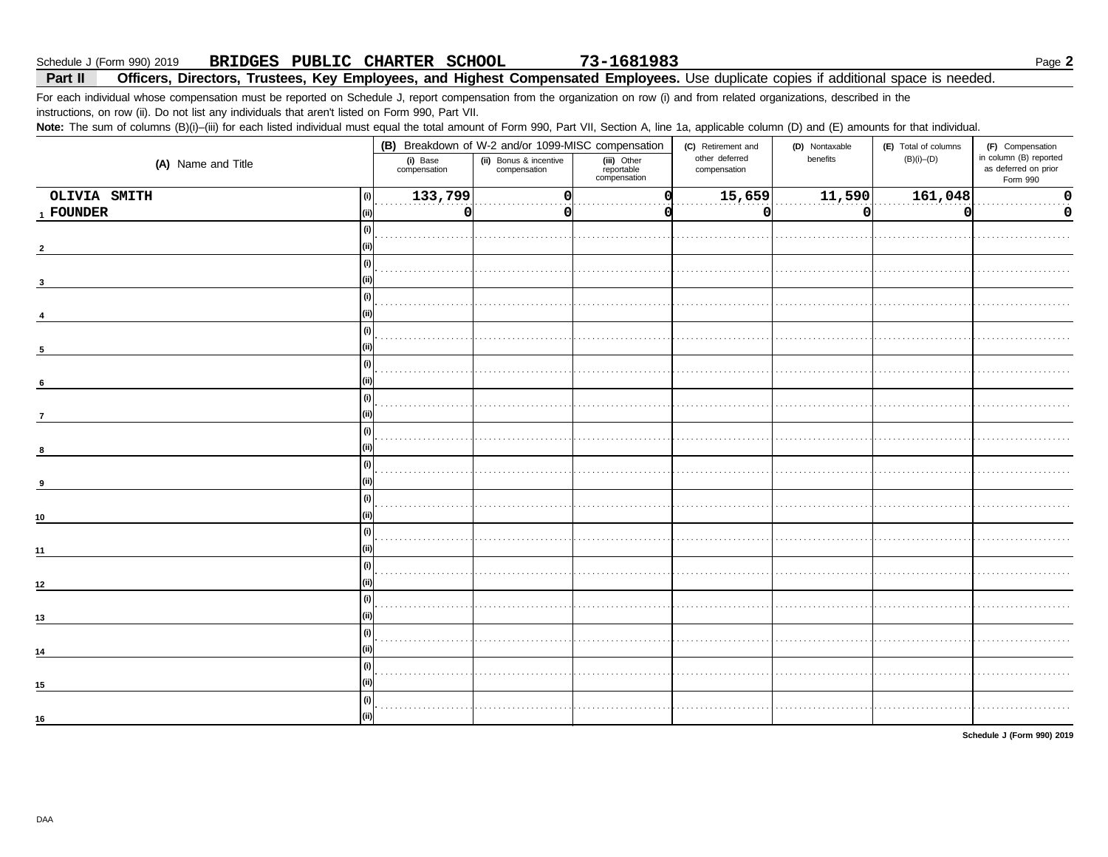#### Schedule J (Form 990) 2019 BRIDGES PUBLIC CHARTER SCHOOL

Part II Officers, Directors, Trustees, Key Employees, and Highest Compensated Employees. Use duplicate copies if additional space is needed.

For each individual whose compensation must be reported on Schedule J, report compensation from the organization on row (i) and from related organizations, described in the

instructions, on row (ii). Do not list any individuals that aren't listed on Form 990, Part VII.

Note: The sum of columns (B)(i)-(iii) for each listed individual must equal the total amount of Form 990, Part VII, Section A, line 1a, applicable column (D) and (E) amounts for that individual.

|                     |                          | (B) Breakdown of W-2 and/or 1099-MISC compensation |                                           | (C) Retirement and             | (D) Nontaxable | (E) Total of columns | (F) Compensation                                           |
|---------------------|--------------------------|----------------------------------------------------|-------------------------------------------|--------------------------------|----------------|----------------------|------------------------------------------------------------|
| (A) Name and Title  | (i) Base<br>compensation | (ii) Bonus & incentive<br>compensation             | (iii) Other<br>reportable<br>compensation | other deferred<br>compensation | benefits       | $(B)(i)$ - $(D)$     | in column (B) reported<br>as deferred on prior<br>Form 990 |
| OLIVIA SMITH<br>(i) | 133,799                  | $\Omega$                                           |                                           | $\boxed{15,659}$               | 11,590         | 161,048              | U                                                          |
| 1 FOUNDER<br>(ii)   | 0                        | n                                                  |                                           | 0                              | 0              | 0                    | 0                                                          |
|                     | (i)                      |                                                    |                                           |                                |                |                      |                                                            |
|                     | (i)                      |                                                    |                                           |                                |                |                      |                                                            |
|                     | (i)                      |                                                    |                                           |                                |                |                      |                                                            |
|                     | (i)                      |                                                    |                                           |                                |                |                      |                                                            |
| 5                   | (i)                      |                                                    |                                           |                                |                |                      |                                                            |
| 6                   | (i)                      |                                                    |                                           |                                |                |                      |                                                            |
| $\overline{7}$      | (i)                      |                                                    |                                           |                                |                |                      |                                                            |
| l (ii)              |                          |                                                    |                                           |                                |                |                      |                                                            |
|                     | (i)                      |                                                    |                                           |                                |                |                      |                                                            |
| l (ii'<br>10        | (i)                      |                                                    |                                           |                                |                |                      |                                                            |
| 11                  | (i)                      |                                                    |                                           |                                |                |                      |                                                            |
| 12                  | (i)                      |                                                    |                                           |                                |                |                      |                                                            |
| 13                  | (i)                      |                                                    |                                           |                                |                |                      |                                                            |
| 14                  | (i)                      |                                                    |                                           |                                |                |                      |                                                            |
|                     | (i)                      |                                                    |                                           |                                |                |                      |                                                            |
| 15                  | (i)                      |                                                    |                                           |                                |                |                      |                                                            |
| 16                  |                          |                                                    |                                           |                                |                |                      |                                                            |

Schedule J (Form 990) 2019

73-1681983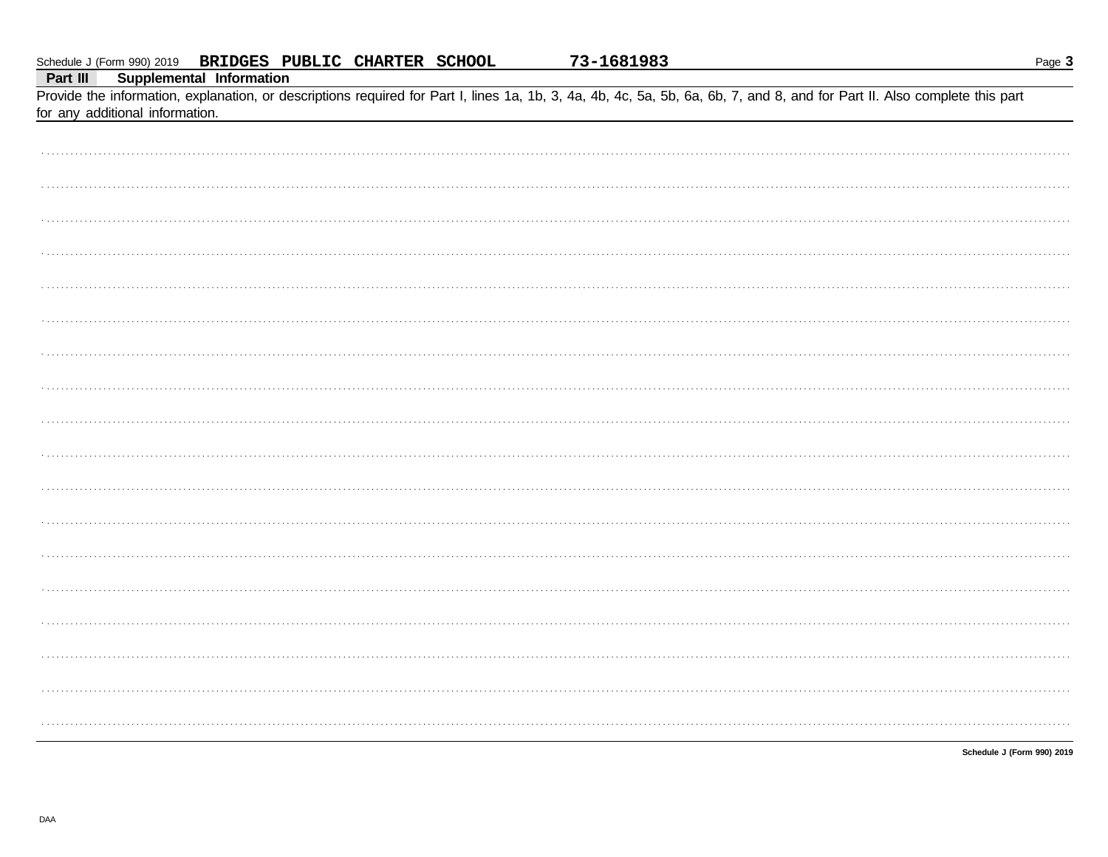| Schedule J (Form 990) 2019 BRIDGES PUBLIC CHARTER SCHOOL |                          |  | 73-1681983                                                                                                                                                                 |  |
|----------------------------------------------------------|--------------------------|--|----------------------------------------------------------------------------------------------------------------------------------------------------------------------------|--|
| Part III                                                 | Supplemental Information |  |                                                                                                                                                                            |  |
|                                                          |                          |  | Provide the information, explanation, or descriptions required for Part I, lines 1a, 1b, 3, 4a, 4b, 4c, 5a, 5b, 6a, 6b, 7, and 8, and for Part II. Also complete this part |  |
| for any additional information.                          |                          |  |                                                                                                                                                                            |  |
|                                                          |                          |  |                                                                                                                                                                            |  |

| ior any additional information. |                            |
|---------------------------------|----------------------------|
|                                 |                            |
|                                 |                            |
|                                 |                            |
|                                 |                            |
|                                 |                            |
|                                 |                            |
|                                 |                            |
|                                 |                            |
|                                 |                            |
|                                 |                            |
|                                 |                            |
|                                 |                            |
|                                 |                            |
|                                 |                            |
|                                 |                            |
|                                 |                            |
|                                 |                            |
|                                 |                            |
|                                 |                            |
|                                 |                            |
|                                 | Schedule J (Form 990) 2019 |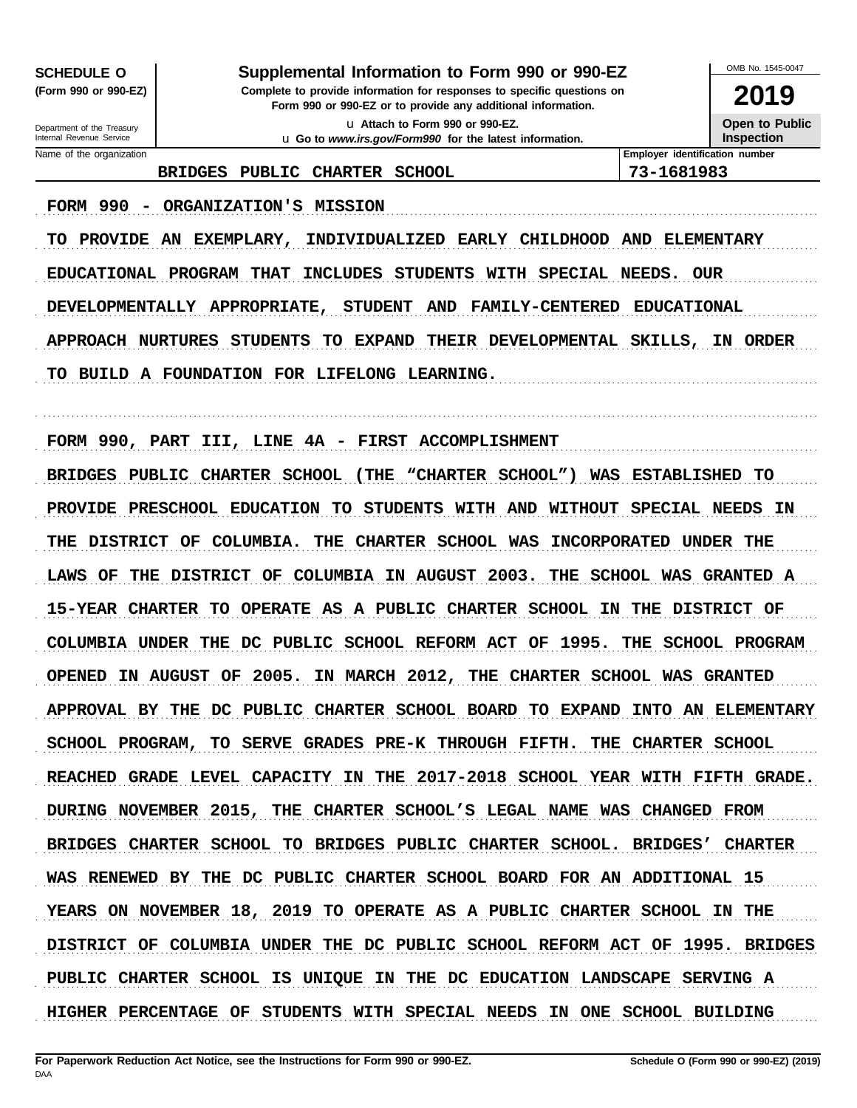### **SCHEDULE O Supplemental Information to Form 990 or 990-EZ**

**Form 990 or 990-EZ or to provide any additional information. (Form 990 or 990-EZ) Complete to provide information for responses to specific questions on**

u **Attach to Form 990 or 990-EZ.** u **Go to** *www.irs.gov/Form990* **for the latest information.** OMB No. 1545-0047

**2019 Open to Public**

**Inspection**

Name of the organization **Employer identification number Employer identification number** Internal Revenue Service Department of the Treasury

**BRIDGES PUBLIC CHARTER SCHOOL 73-1681983**

FORM 990 - ORGANIZATION'S MISSION

TO PROVIDE AN EXEMPLARY, INDIVIDUALIZED EARLY CHILDHOOD AND ELEMENTARY EDUCATIONAL PROGRAM THAT INCLUDES STUDENTS WITH SPECIAL NEEDS. OUR DEVELOPMENTALLY APPROPRIATE, STUDENT AND FAMILY-CENTERED EDUCATIONAL APPROACH NURTURES STUDENTS TO EXPAND THEIR DEVELOPMENTAL SKILLS, IN ORDER TO BUILD A FOUNDATION FOR LIFELONG LEARNING.

. . . . . . . . . . . . . . . . . . . . . . . . . . . . . . . . . . . . . . . . . . . . . . . . . . . . . . . . . . . . . . . . . . . . . . . . . . . . . . . . . . . . . . . . . . . . . . . . . . . . . . . . . . . . . . . . . . . . . . . . . . . . . . . . . . . . . . . . . . . . . . . . . . . . . . . . . . . . . . . . . . . . . .

FORM 990, PART III, LINE 4A - FIRST ACCOMPLISHMENT

BRIDGES PUBLIC CHARTER SCHOOL (THE "CHARTER SCHOOL") WAS ESTABLISHED TO PROVIDE PRESCHOOL EDUCATION TO STUDENTS WITH AND WITHOUT SPECIAL NEEDS IN THE DISTRICT OF COLUMBIA. THE CHARTER SCHOOL WAS INCORPORATED UNDER THE LAWS OF THE DISTRICT OF COLUMBIA IN AUGUST 2003. THE SCHOOL WAS GRANTED A 15-YEAR CHARTER TO OPERATE AS A PUBLIC CHARTER SCHOOL IN THE DISTRICT OF COLUMBIA UNDER THE DC PUBLIC SCHOOL REFORM ACT OF 1995. THE SCHOOL PROGRAM OPENED IN AUGUST OF 2005. IN MARCH 2012, THE CHARTER SCHOOL WAS GRANTED APPROVAL BY THE DC PUBLIC CHARTER SCHOOL BOARD TO EXPAND INTO AN ELEMENTARY SCHOOL PROGRAM, TO SERVE GRADES PRE-K THROUGH FIFTH. THE CHARTER SCHOOL REACHED GRADE LEVEL CAPACITY IN THE 2017-2018 SCHOOL YEAR WITH FIFTH GRADE. DURING NOVEMBER 2015, THE CHARTER SCHOOL'S LEGAL NAME WAS CHANGED FROM BRIDGES CHARTER SCHOOL TO BRIDGES PUBLIC CHARTER SCHOOL. BRIDGES' CHARTER WAS RENEWED BY THE DC PUBLIC CHARTER SCHOOL BOARD FOR AN ADDITIONAL 15 YEARS ON NOVEMBER 18, 2019 TO OPERATE AS A PUBLIC CHARTER SCHOOL IN THE DISTRICT OF COLUMBIA UNDER THE DC PUBLIC SCHOOL REFORM ACT OF 1995. BRIDGES PUBLIC CHARTER SCHOOL IS UNIQUE IN THE DC EDUCATION LANDSCAPE SERVING A HIGHER PERCENTAGE OF STUDENTS WITH SPECIAL NEEDS IN ONE SCHOOL BUILDING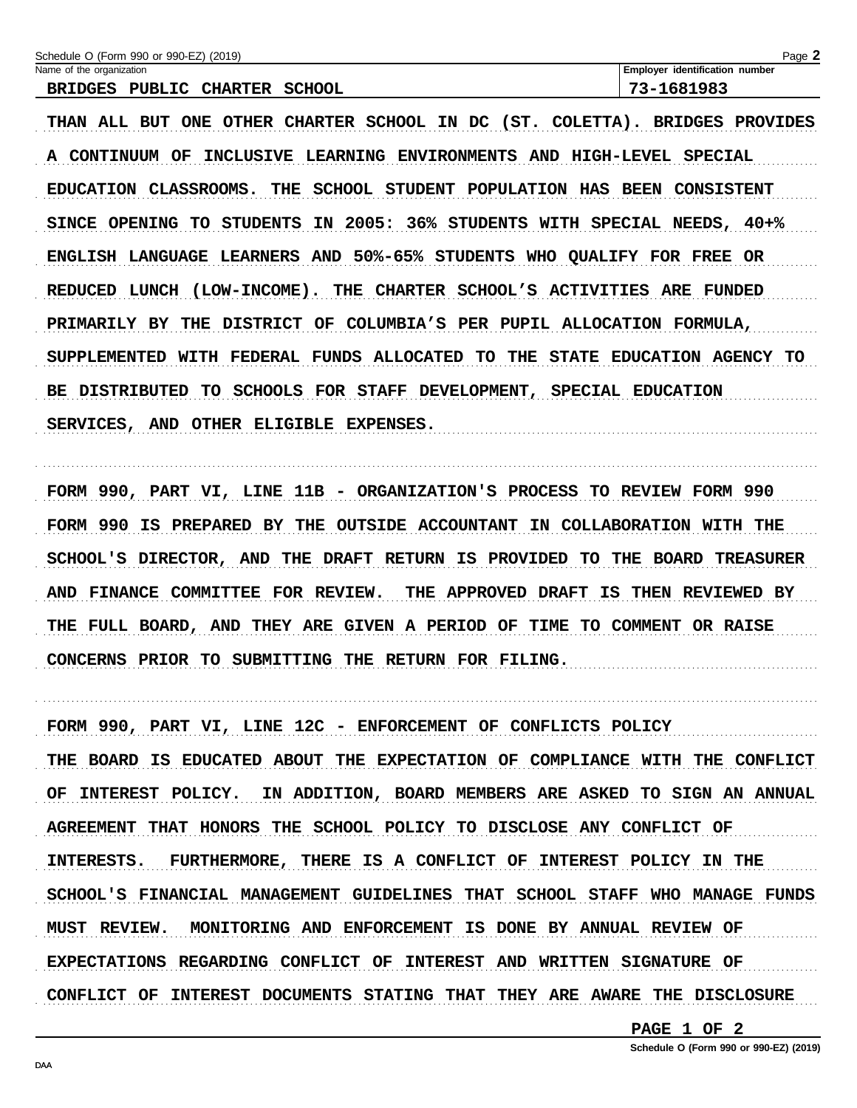| Schedule O (Form 990 or 990-EZ) (2019)<br>$P$ aqe $\blacktriangle$<br><b>Employer identification number</b><br>73-1681983<br><b>BRIDGES</b><br>PUBLIC CHARTER SCHOOL |  |  |  |
|----------------------------------------------------------------------------------------------------------------------------------------------------------------------|--|--|--|
| Name of the organization                                                                                                                                             |  |  |  |
|                                                                                                                                                                      |  |  |  |

THAN ALL BUT ONE OTHER CHARTER SCHOOL IN DC (ST. COLETTA). BRIDGES PROVIDES A CONTINUUM OF INCLUSIVE LEARNING ENVIRONMENTS AND HIGH-LEVEL SPECIAL EDUCATION CLASSROOMS. THE SCHOOL STUDENT POPULATION HAS BEEN CONSISTENT SINCE OPENING TO STUDENTS IN 2005: 36% STUDENTS WITH SPECIAL NEEDS, 40+% ENGLISH LANGUAGE LEARNERS AND 50%-65% STUDENTS WHO QUALIFY FOR FREE OR REDUCED LUNCH (LOW-INCOME). THE CHARTER SCHOOL'S ACTIVITIES ARE FUNDED PRIMARILY BY THE DISTRICT OF COLUMBIA'S PER PUPIL ALLOCATION FORMULA, SUPPLEMENTED WITH FEDERAL FUNDS ALLOCATED TO THE STATE EDUCATION AGENCY TO BE DISTRIBUTED TO SCHOOLS FOR STAFF DEVELOPMENT, SPECIAL EDUCATION SERVICES, AND OTHER ELIGIBLE EXPENSES.

FORM 990, PART VI, LINE 11B - ORGANIZATION'S PROCESS TO REVIEW FORM 990 FORM 990 IS PREPARED BY THE OUTSIDE ACCOUNTANT IN COLLABORATION WITH THE SCHOOL'S DIRECTOR, AND THE DRAFT RETURN IS PROVIDED TO THE BOARD TREASURER AND FINANCE COMMITTEE FOR REVIEW. THE APPROVED DRAFT IS THEN REVIEWED BY THE FULL BOARD, AND THEY ARE GIVEN A PERIOD OF TIME TO COMMENT OR RAISE CONCERNS PRIOR TO SUBMITTING THE RETURN FOR FILING.

FORM 990, PART VI, LINE 12C - ENFORCEMENT OF CONFLICTS POLICY THE BOARD IS EDUCATED ABOUT THE EXPECTATION OF COMPLIANCE WITH THE CONFLICT OF INTEREST POLICY. IN ADDITION, BOARD MEMBERS ARE ASKED TO SIGN AN ANNUAL AGREEMENT THAT HONORS THE SCHOOL POLICY TO DISCLOSE ANY CONFLICT OF INTERESTS. FURTHERMORE, THERE IS A CONFLICT OF INTEREST POLICY IN THE SCHOOL'S FINANCIAL MANAGEMENT GUIDELINES THAT SCHOOL STAFF WHO MANAGE FUNDS MUST REVIEW. MONITORING AND ENFORCEMENT IS DONE BY ANNUAL REVIEW OF EXPECTATIONS REGARDING CONFLICT OF INTEREST AND WRITTEN SIGNATURE OF CONFLICT OF INTEREST DOCUMENTS STATING THAT THEY ARE AWARE THE DISCLOSURE

PAGE 1 OF 2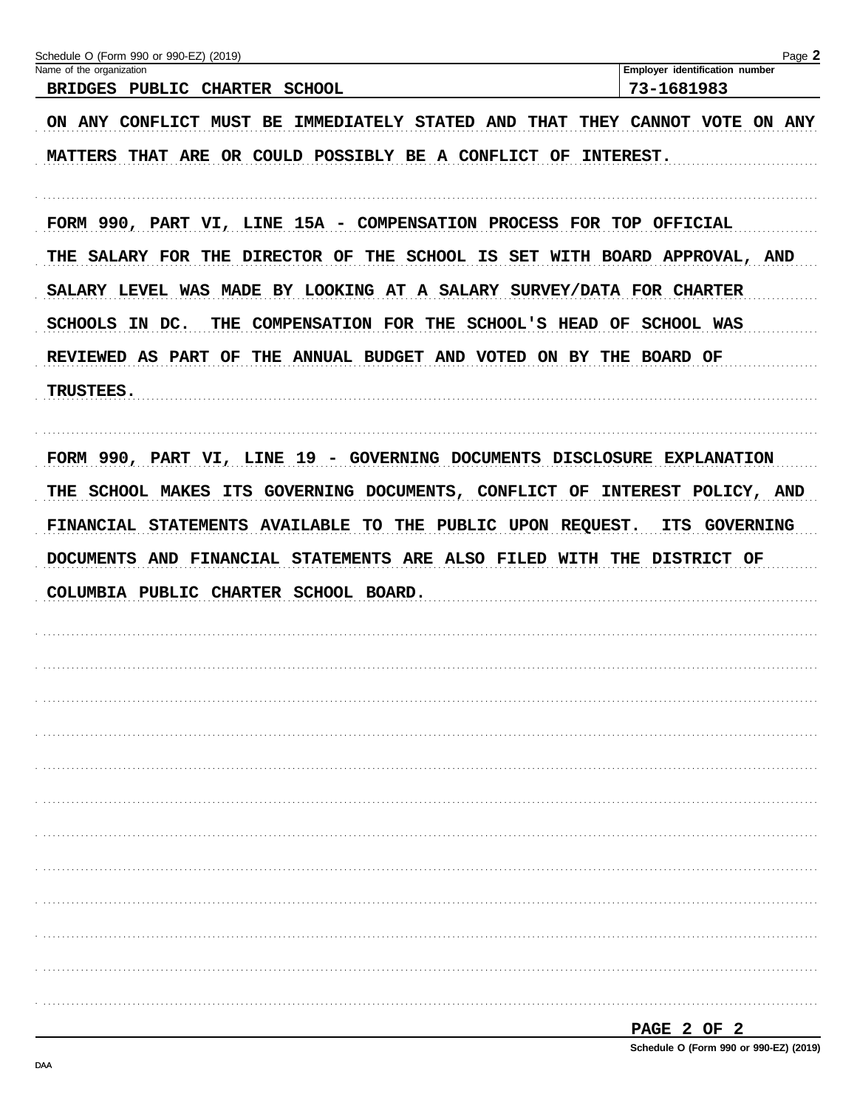| Schedule O (Form 990 or 990-EZ) (2019)                                      | Page 2                                       |
|-----------------------------------------------------------------------------|----------------------------------------------|
| Name of the organization<br>BRIDGES PUBLIC CHARTER SCHOOL                   | Employer identification number<br>73-1681983 |
| ON ANY CONFLICT MUST BE IMMEDIATELY STATED AND THAT THEY CANNOT VOTE ON ANY |                                              |
| MATTERS THAT ARE OR COULD POSSIBLY BE A CONFLICT OF INTEREST.               |                                              |
|                                                                             |                                              |
| FORM 990, PART VI, LINE 15A - COMPENSATION PROCESS FOR TOP OFFICIAL         |                                              |
| THE SALARY FOR THE DIRECTOR OF THE SCHOOL IS SET WITH BOARD APPROVAL, AND   |                                              |
| SALARY LEVEL WAS MADE BY LOOKING AT A SALARY SURVEY/DATA FOR CHARTER        |                                              |
| THE COMPENSATION FOR THE SCHOOL'S HEAD OF SCHOOL WAS<br>SCHOOLS IN DC.      |                                              |
| REVIEWED AS PART OF THE ANNUAL BUDGET AND VOTED ON BY THE BOARD OF          |                                              |
| TRUSTEES.                                                                   |                                              |
|                                                                             |                                              |
| FORM 990, PART VI, LINE 19 - GOVERNING DOCUMENTS DISCLOSURE EXPLANATION     |                                              |
| THE SCHOOL MAKES ITS GOVERNING DOCUMENTS, CONFLICT OF INTEREST POLICY, AND  |                                              |
| FINANCIAL STATEMENTS AVAILABLE TO THE PUBLIC UPON REQUEST.                  | ITS GOVERNING                                |
| DOCUMENTS AND FINANCIAL STATEMENTS ARE ALSO FILED WITH THE DISTRICT OF      |                                              |
|                                                                             |                                              |
| COLUMBIA PUBLIC CHARTER SCHOOL BOARD.                                       |                                              |
|                                                                             |                                              |
|                                                                             |                                              |
|                                                                             |                                              |
|                                                                             |                                              |
|                                                                             |                                              |
|                                                                             |                                              |
|                                                                             |                                              |
|                                                                             |                                              |
|                                                                             |                                              |
|                                                                             |                                              |
|                                                                             |                                              |
|                                                                             |                                              |
|                                                                             |                                              |

| PAGB 4 OF 4 |  |                                        |  |
|-------------|--|----------------------------------------|--|
|             |  | Schedule O (Form 990 or 990-EZ) (2019) |  |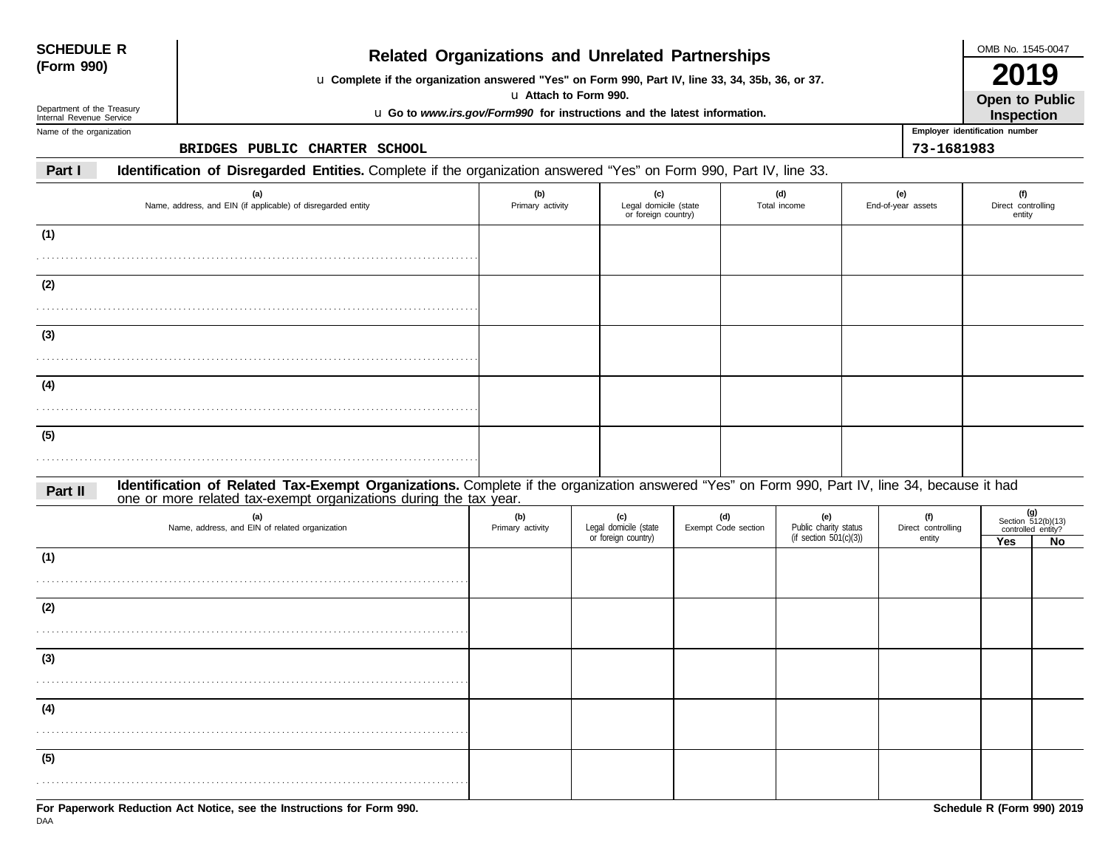| <b>SCHEDULE R</b> |  |
|-------------------|--|
| (Form 990)        |  |

# **(Form 990) Related Organizations and Unrelated Partnerships**

u **Complete if the organization answered "Yes" on Form 990, Part IV, line 33, 34, 35b, 36, or 37.**

u **Attach to Form 990.**

u **Go to** *www.irs.gov/Form990* **for instructions and the latest information.**

Department of the Treasury Internal Revenue Service Name of the organization

**BRIDGES PUBLIC CHARTER SCHOOL 73-1681983**

**Part I Identification of Disregarded Entities.** Complete if the organization answered "Yes" on Form 990, Part IV, line 33.

| (a)<br>Name, address, and EIN (if applicable) of disregarded entity                                                                                                                                                           | (b)<br>Primary activity | (c)<br>Legal domicile (state<br>or foreign country) |                            | (d)<br>Total income                                       | (e)<br>End-of-year assets           | (f)<br>Direct controlling<br>entity |                                                   |
|-------------------------------------------------------------------------------------------------------------------------------------------------------------------------------------------------------------------------------|-------------------------|-----------------------------------------------------|----------------------------|-----------------------------------------------------------|-------------------------------------|-------------------------------------|---------------------------------------------------|
| (1)                                                                                                                                                                                                                           |                         |                                                     |                            |                                                           |                                     |                                     |                                                   |
|                                                                                                                                                                                                                               |                         |                                                     |                            |                                                           |                                     |                                     |                                                   |
| (2)                                                                                                                                                                                                                           |                         |                                                     |                            |                                                           |                                     |                                     |                                                   |
|                                                                                                                                                                                                                               |                         |                                                     |                            |                                                           |                                     |                                     |                                                   |
| (3)                                                                                                                                                                                                                           |                         |                                                     |                            |                                                           |                                     |                                     |                                                   |
|                                                                                                                                                                                                                               |                         |                                                     |                            |                                                           |                                     |                                     |                                                   |
| (4)                                                                                                                                                                                                                           |                         |                                                     |                            |                                                           |                                     |                                     |                                                   |
|                                                                                                                                                                                                                               |                         |                                                     |                            |                                                           |                                     |                                     |                                                   |
| (5)                                                                                                                                                                                                                           |                         |                                                     |                            |                                                           |                                     |                                     |                                                   |
|                                                                                                                                                                                                                               |                         |                                                     |                            |                                                           |                                     |                                     |                                                   |
| Identification of Related Tax-Exempt Organizations. Complete if the organization answered "Yes" on Form 990, Part IV, line 34, because it had<br>one or more related tax-exempt organizations during the tax year.<br>Part II |                         |                                                     |                            |                                                           |                                     |                                     |                                                   |
| (a)<br>Name, address, and EIN of related organization                                                                                                                                                                         | (b)<br>Primary activity | (c)<br>Legal domicile (state<br>or foreign country) | (d)<br>Exempt Code section | (e)<br>Public charity status<br>(if section $501(c)(3)$ ) | (f)<br>Direct controlling<br>entity |                                     | $(g)$<br>Section 512(b)(13)<br>controlled entity? |
| (1)                                                                                                                                                                                                                           |                         |                                                     |                            |                                                           |                                     | Yes                                 | No                                                |
|                                                                                                                                                                                                                               |                         |                                                     |                            |                                                           |                                     |                                     |                                                   |
|                                                                                                                                                                                                                               |                         |                                                     |                            |                                                           |                                     |                                     |                                                   |
| (2)                                                                                                                                                                                                                           |                         |                                                     |                            |                                                           |                                     |                                     |                                                   |
|                                                                                                                                                                                                                               |                         |                                                     |                            |                                                           |                                     |                                     |                                                   |
| (3)                                                                                                                                                                                                                           |                         |                                                     |                            |                                                           |                                     |                                     |                                                   |
|                                                                                                                                                                                                                               |                         |                                                     |                            |                                                           |                                     |                                     |                                                   |
| (4)                                                                                                                                                                                                                           |                         |                                                     |                            |                                                           |                                     |                                     |                                                   |
|                                                                                                                                                                                                                               |                         |                                                     |                            |                                                           |                                     |                                     |                                                   |

**Employer identification number**

**Open to Public Inspection**

OMB No. 1545-0047

DAA **For Paperwork Reduction Act Notice, see the Instructions for Form 990. Schedule R (Form 990) 2019**

. . . . . . . . . . . . . . . . . . . . . . . . . . . . . . . . . . . . . . . . . . . . . . . . . . . . . . . . . . . . . . . . . . . . . . . . . . . . . . . . . . . . . . . . . . . .

**(5)**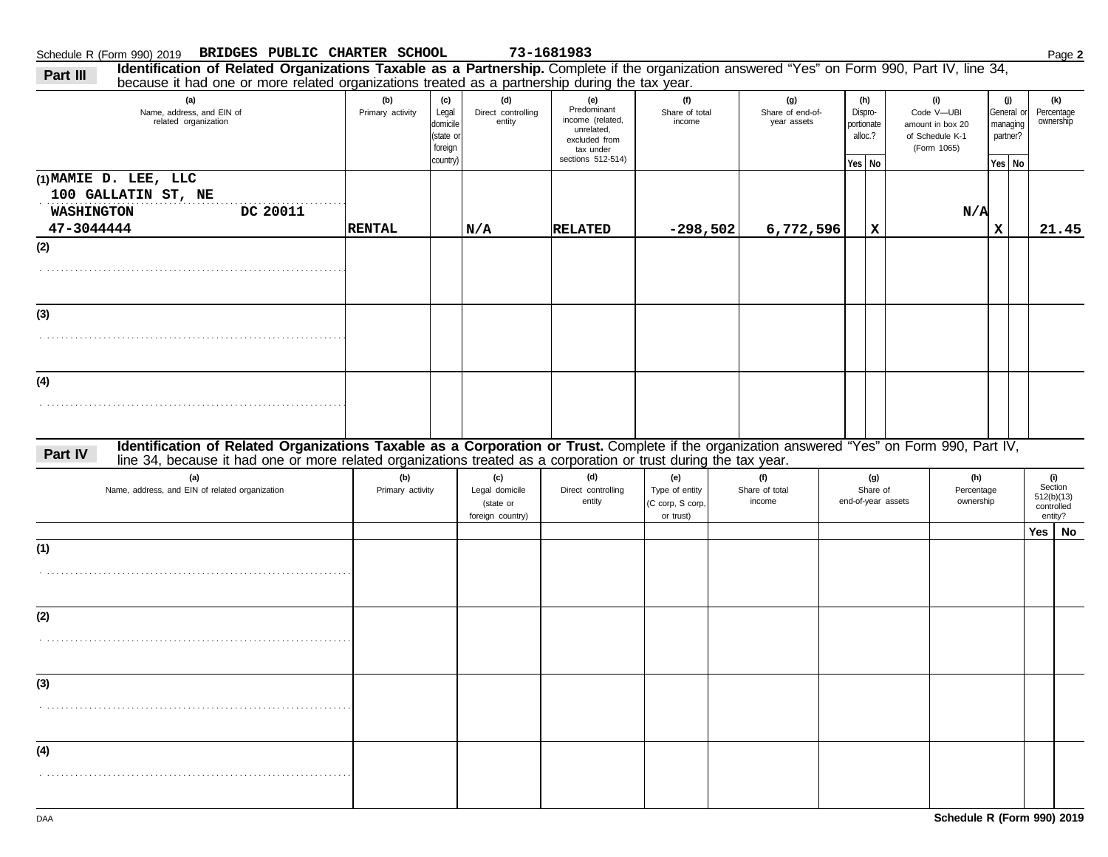#### Schedule R (Form 990) 2019 Page **2 BRIDGES PUBLIC CHARTER SCHOOL 73-1681983**

| Identification of Related Organizations Taxable as a Partnership. Complete if the organization answered "Yes" on Form 990, Part IV, line 34,<br>Part III<br>because it had one or more related organizations treated as a partnership during the tax year.                  |                         |                                                              |                                                        |                                                                                                         |                                                        |                                 |                    |                                                   |                                       |                                                                         |                  |                                                       |                                                       |
|-----------------------------------------------------------------------------------------------------------------------------------------------------------------------------------------------------------------------------------------------------------------------------|-------------------------|--------------------------------------------------------------|--------------------------------------------------------|---------------------------------------------------------------------------------------------------------|--------------------------------------------------------|---------------------------------|--------------------|---------------------------------------------------|---------------------------------------|-------------------------------------------------------------------------|------------------|-------------------------------------------------------|-------------------------------------------------------|
| (a)<br>Name, address, and EIN of<br>related organization                                                                                                                                                                                                                    | (b)<br>Primary activity | (c)<br>Legal<br>domicile<br>(state or<br>foreign<br>country) | (d)<br>Direct controlling<br>entity                    | (e)<br>Predominant<br>income (related,<br>unrelated,<br>excluded from<br>tax under<br>sections 512-514) | (f)<br>Share of total<br>income                        | Share of end-of-                | (g)<br>year assets | (h)<br>Dispro-<br>portionate<br>alloc.?<br>Yes No |                                       | (i)<br>Code V-UBI<br>amount in box 20<br>of Schedule K-1<br>(Form 1065) |                  | (j)<br>General or<br>managing<br>partner?<br>$Yes$ No | (k)<br>Percentage<br>ownership                        |
| (1) MAMIE D. LEE, LLC<br>100 GALLATIN ST, NE<br>DC 20011<br><b>WASHINGTON</b><br>47-3044444                                                                                                                                                                                 | <b>RENTAL</b>           |                                                              | N/A                                                    | <b>RELATED</b>                                                                                          | $-298,502$                                             |                                 | 6,772,596          |                                                   | X                                     | N/A                                                                     | $\mathbf x$      |                                                       | 21.45                                                 |
| (2)                                                                                                                                                                                                                                                                         |                         |                                                              |                                                        |                                                                                                         |                                                        |                                 |                    |                                                   |                                       |                                                                         |                  |                                                       |                                                       |
| (3)                                                                                                                                                                                                                                                                         |                         |                                                              |                                                        |                                                                                                         |                                                        |                                 |                    |                                                   |                                       |                                                                         |                  |                                                       |                                                       |
| (4)                                                                                                                                                                                                                                                                         |                         |                                                              |                                                        |                                                                                                         |                                                        |                                 |                    |                                                   |                                       |                                                                         |                  |                                                       |                                                       |
| Identification of Related Organizations Taxable as a Corporation or Trust. Complete if the organization answered "Yes" on Form 990, Part IV,<br>Part IV<br>line 34, because it had one or more related organizations treated as a corporation or trust during the tax year. |                         |                                                              |                                                        |                                                                                                         |                                                        |                                 |                    |                                                   |                                       |                                                                         |                  |                                                       |                                                       |
| (a)<br>Name, address, and EIN of related organization                                                                                                                                                                                                                       | (b)<br>Primary activity |                                                              | (c)<br>Legal domicile<br>(state or<br>foreign country) | (d)<br>Direct controlling<br>entity                                                                     | (e)<br>Type of entity<br>(C corp, S corp,<br>or trust) | (f)<br>Share of total<br>income |                    |                                                   | (g)<br>Share of<br>end-of-year assets | Percentage                                                              | (h)<br>ownership |                                                       | (i)<br>Section<br>512(b)(13)<br>controlled<br>entity? |
| (1)                                                                                                                                                                                                                                                                         |                         |                                                              |                                                        |                                                                                                         |                                                        |                                 |                    |                                                   |                                       |                                                                         |                  |                                                       | Yes   No                                              |
| (2)                                                                                                                                                                                                                                                                         |                         |                                                              |                                                        |                                                                                                         |                                                        |                                 |                    |                                                   |                                       |                                                                         |                  |                                                       |                                                       |
| (3)                                                                                                                                                                                                                                                                         |                         |                                                              |                                                        |                                                                                                         |                                                        |                                 |                    |                                                   |                                       |                                                                         |                  |                                                       |                                                       |
| (4)                                                                                                                                                                                                                                                                         |                         |                                                              |                                                        |                                                                                                         |                                                        |                                 |                    |                                                   |                                       |                                                                         |                  |                                                       |                                                       |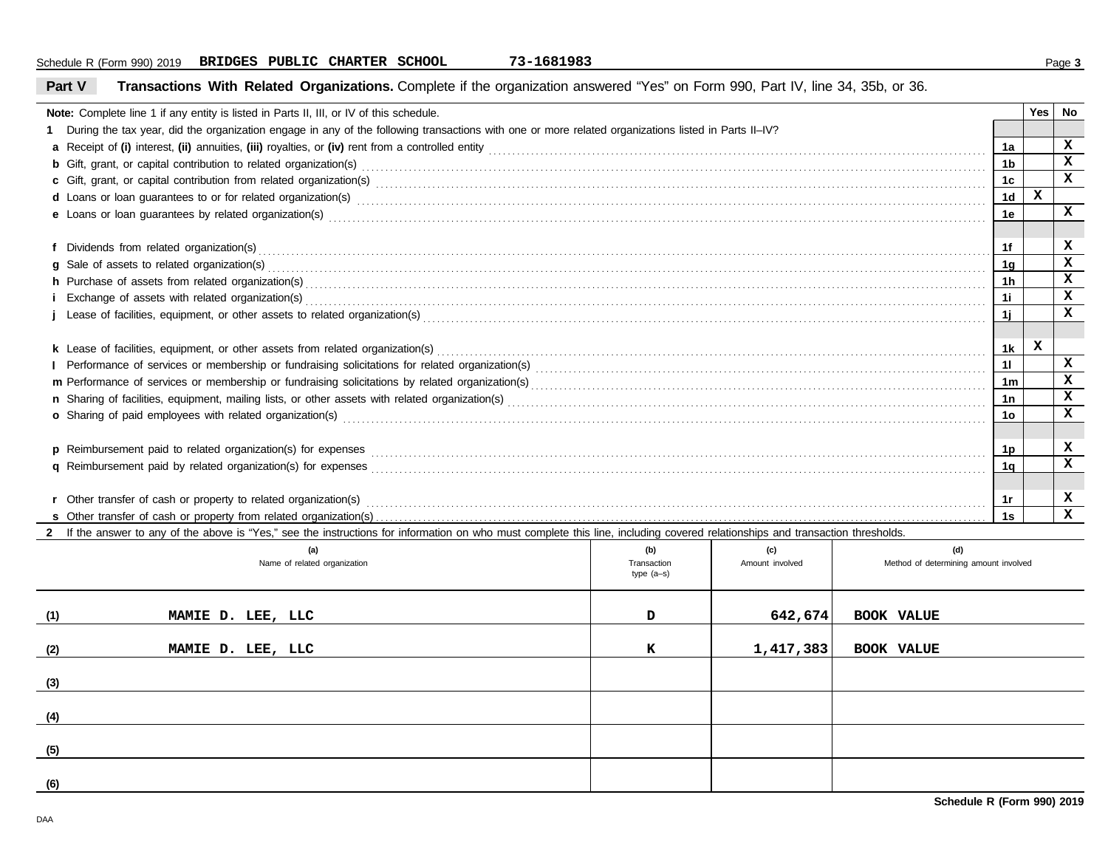Lease of facilities, equipment, or other assets to related organization(s)

#### **Part V Transactions With Related Organizations.** Complete if the organization answered "Yes" on Form 990, Part IV, line 34, 35b, or 36. **Note:** Complete line 1 if any entity is listed in Parts II, III, or IV of this schedule. **1** During the tax year, did the organization engage in any of the following transactions with one or more related organizations listed in Parts II–IV? **a** Receipt of **(i)** interest, **(ii)** annuities, **(iii)** royalties, or **(iv)** rent from a controlled entity . . . . . . . . . . . . . . . . . . . . . . . . . . . . . . . . . . . . . . . . . . . . . . . . . . . . . . . . . . . . . . . . . . . . . . . . . . . . . . . . . . . . . . . . . . . . . . . . . . . . . . . . . . **b** Gift, grant, or capital contribution to related organization(s)  $\textbf{c}$  Gift, grant, or capital contribution from related organization(s) with the contract contract control control of the contribution from related organization(s) with the control control control of control control of d Loans or loan guarantees to or for related organization(s) www.community.com/www.community.com/www.community.com/www.community.com/www.community.com/www.community.com/www.community.com/www.community.com/www.community.com  $\bullet$  Loans or loan guarantees by related organization(s) with an example construction and construction of the constraint of the constraint  $\bullet$ **f** Dividends from related organization(s) . . . . . . . . . . . . . . . . . . . . . . . . . . . . . . . . . . . . . . . . . . . . . . . . . . . . . . . . . . . . . . . . . . . . . . . . . . . . . . . . . . . . . . . . . . . . . . . . . . . . . . . . . . . . . . . . . . . . . . . . . . . . . . . . . . . . . . . . . . . . . . . . . . . . . . . . . . . . **g** Sale of assets to related organization(s) . . . . . . . . . . . . . . . . . . . . . . . . . . . . . . . . . . . . . . . . . . . . . . . . . . . . . . . . . . . . . . . . . . . . . . . . . . . . . . . . . . . . . . . . . . . . . . . . . . . . . . . . . . . . . . . . . . . . . . . . . . . . . . . . . . . . . . . . . . . . . . . . . . . . . . . . . **h** Purchase of assets from related organization(s) . . . . . . . . . . . . . . . . . . . . . . . . . . . . . . . . . . . . . . . . . . . . . . . . . . . . . . . . . . . . . . . . . . . . . . . . . . . . . . . . . . . . . . . . . . . . . . . . . . . . . . . . . . . . . . . . . . . . . . . . . . . . . . . . . . . . . . . . . . . . . . . . . **i** . . . . . . . . . . . . . . . . . . . . . . . . . . . . . . . . . . . . . . . . . . . . . . . . . . . . . . . . . . . . . . . . . . . . . . . . . . . . . . . . . . . . . . . . . . . . . . . . . . . . . . . . . . . . . . . . . . . . . . . . . . . . . . . . . . . . . Exchange of assets with related organization(s) . . . . . . . . . . . . . . . . . . . . . . . . . . . . . . . . . . . . . . . . . . . . . . . . . . . . . . . . . . . . . . . . . . . . . . . . . . . . . . . . . . . . . . . . . . . . . . . . . . . . . . . . . . . . . . . . . . . . . . . . . . . . . . . . . . . . . . . . . . . . . . . . . **1a 1b 1c 1d 1e 1f 1g 1h 1i Yes No X X**

| $j$ Lease of facilities, equipment, or other assets to related organization(s)                                                                                                                                                 |  |  |
|--------------------------------------------------------------------------------------------------------------------------------------------------------------------------------------------------------------------------------|--|--|
|                                                                                                                                                                                                                                |  |  |
|                                                                                                                                                                                                                                |  |  |
|                                                                                                                                                                                                                                |  |  |
|                                                                                                                                                                                                                                |  |  |
|                                                                                                                                                                                                                                |  |  |
|                                                                                                                                                                                                                                |  |  |
|                                                                                                                                                                                                                                |  |  |
|                                                                                                                                                                                                                                |  |  |
| q Reimbursement paid by related organization(s) for expenses [1111] and the content to content the content of the content or expenses [1111] and content to content the content of Reimbursement paid by related organization( |  |  |
|                                                                                                                                                                                                                                |  |  |
|                                                                                                                                                                                                                                |  |  |
|                                                                                                                                                                                                                                |  |  |

**2** If the answer to any of the above is "Yes," see the instructions for information on who must complete this line, including covered relationships and transaction thresholds.

|     | (a)<br>Name of related organization | (b)<br>Transaction<br>type (a-s) | (c)<br>Amount involved | (d)<br>Method of determining amount involved |
|-----|-------------------------------------|----------------------------------|------------------------|----------------------------------------------|
| (1) | MAMIE D. LEE, LLC                   | D                                | 642,674                | <b>BOOK VALUE</b>                            |
| (2) | MAMIE D. LEE, LLC                   | K                                | 1,417,383              | <b>BOOK VALUE</b>                            |
| (3) |                                     |                                  |                        |                                              |
| (4) |                                     |                                  |                        |                                              |
| (5) |                                     |                                  |                        |                                              |
| (6) |                                     |                                  |                        |                                              |

**X X X**

**X X X X**  $\overline{\mathbf{x}}$ 

**1j**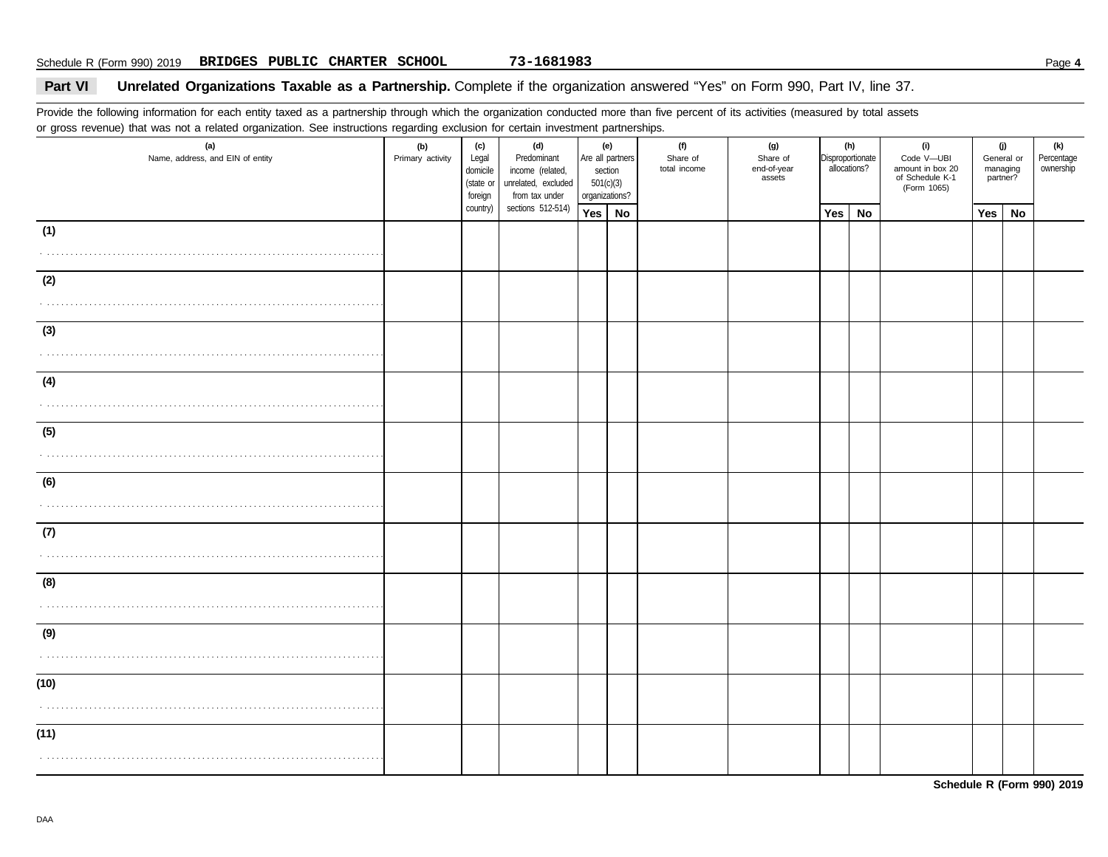### Part VI Unrelated Organizations Taxable as a Partnership. Complete if the organization answered "Yes" on Form 990, Part IV, line 37.

Provide the following information for each entity taxed as a partnership through which the organization conducted more than five percent of its activities (measured by total assets or gross revenue) that was not a related organization. See instructions regarding exclusion for certain investment partnerships.

| $\frac{1}{2}$ . $\frac{1}{2}$ . $\frac{1}{2}$ . $\frac{1}{2}$ . $\frac{1}{2}$ . $\frac{1}{2}$ . $\frac{1}{2}$ . $\frac{1}{2}$ . $\frac{1}{2}$ . $\frac{1}{2}$<br>(a)<br>Name, address, and EIN of entity | (b)<br>Primary activity | (c)<br>Legal<br>domicile<br>(state or<br>foreign | (d)<br>Predominant<br>income (related,<br>unrelated, excluded<br>from tax under | (e)<br>Are all partners<br>section<br>501(c)(3)<br>organizations? |  | (f)<br>Share of<br>total income | (g)<br>Share of<br>end-of-year<br>assets | (h)<br>Disproportionate<br>allocations? |  | (i)<br>Code V-UBI<br>amount in box 20<br>of Schedule K-1<br>(Form 1065) | (j)<br>General or<br>managing<br>partner? |  | (k)<br>Percentage<br>ownership |
|----------------------------------------------------------------------------------------------------------------------------------------------------------------------------------------------------------|-------------------------|--------------------------------------------------|---------------------------------------------------------------------------------|-------------------------------------------------------------------|--|---------------------------------|------------------------------------------|-----------------------------------------|--|-------------------------------------------------------------------------|-------------------------------------------|--|--------------------------------|
|                                                                                                                                                                                                          | country)                | sections 512-514)                                | Yes $\vert$ No                                                                  |                                                                   |  |                                 | Yes                                      | No                                      |  | Yes                                                                     | No                                        |  |                                |
| (1)<br>$\sigma$ , and $\sigma$ , and $\sigma$                                                                                                                                                            |                         |                                                  |                                                                                 |                                                                   |  |                                 |                                          |                                         |  |                                                                         |                                           |  |                                |
| (2)                                                                                                                                                                                                      |                         |                                                  |                                                                                 |                                                                   |  |                                 |                                          |                                         |  |                                                                         |                                           |  |                                |
| (3)                                                                                                                                                                                                      |                         |                                                  |                                                                                 |                                                                   |  |                                 |                                          |                                         |  |                                                                         |                                           |  |                                |
| (4)                                                                                                                                                                                                      |                         |                                                  |                                                                                 |                                                                   |  |                                 |                                          |                                         |  |                                                                         |                                           |  |                                |
| (5)<br>.                                                                                                                                                                                                 |                         |                                                  |                                                                                 |                                                                   |  |                                 |                                          |                                         |  |                                                                         |                                           |  |                                |
| (6)                                                                                                                                                                                                      |                         |                                                  |                                                                                 |                                                                   |  |                                 |                                          |                                         |  |                                                                         |                                           |  |                                |
| (7)                                                                                                                                                                                                      |                         |                                                  |                                                                                 |                                                                   |  |                                 |                                          |                                         |  |                                                                         |                                           |  |                                |
| (8)                                                                                                                                                                                                      |                         |                                                  |                                                                                 |                                                                   |  |                                 |                                          |                                         |  |                                                                         |                                           |  |                                |
| (9)                                                                                                                                                                                                      |                         |                                                  |                                                                                 |                                                                   |  |                                 |                                          |                                         |  |                                                                         |                                           |  |                                |
| (10)                                                                                                                                                                                                     |                         |                                                  |                                                                                 |                                                                   |  |                                 |                                          |                                         |  |                                                                         |                                           |  |                                |
| (11)                                                                                                                                                                                                     |                         |                                                  |                                                                                 |                                                                   |  |                                 |                                          |                                         |  |                                                                         |                                           |  |                                |

**Schedule R (Form 990) 2019**